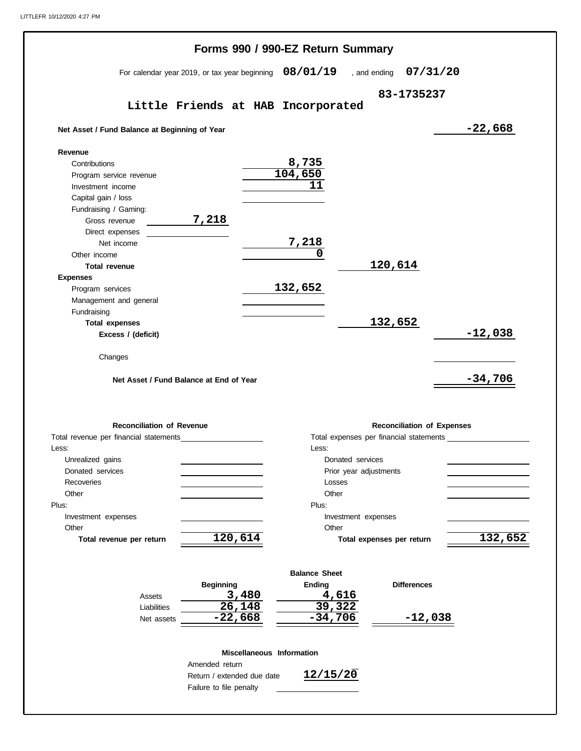|                                                                    | Forms 990 / 990-EZ Return Summary                      |                      |                           |                                   |                                         |
|--------------------------------------------------------------------|--------------------------------------------------------|----------------------|---------------------------|-----------------------------------|-----------------------------------------|
|                                                                    | For calendar year 2019, or tax year beginning 08/01/19 |                      | , and ending              | 07/31/20                          |                                         |
|                                                                    |                                                        |                      |                           | 83-1735237                        |                                         |
|                                                                    | Little Friends at HAB Incorporated                     |                      |                           |                                   |                                         |
| Net Asset / Fund Balance at Beginning of Year                      |                                                        |                      |                           |                                   | $-22,668$                               |
| Revenue                                                            |                                                        |                      |                           |                                   |                                         |
| Contributions                                                      |                                                        | 8,735                |                           |                                   |                                         |
| Program service revenue                                            |                                                        | 104,650              |                           |                                   |                                         |
| Investment income                                                  |                                                        | 11                   |                           |                                   |                                         |
| Capital gain / loss                                                |                                                        |                      |                           |                                   |                                         |
| Fundraising / Gaming:                                              |                                                        |                      |                           |                                   |                                         |
| Gross revenue                                                      | 7,218                                                  |                      |                           |                                   |                                         |
| Direct expenses                                                    |                                                        |                      |                           |                                   |                                         |
| Net income                                                         |                                                        | <u>7,218</u>         |                           |                                   |                                         |
| Other income                                                       |                                                        | 0                    |                           |                                   |                                         |
| <b>Total revenue</b>                                               |                                                        |                      | 120,614                   |                                   |                                         |
| <b>Expenses</b>                                                    |                                                        |                      |                           |                                   |                                         |
| Program services                                                   |                                                        | 132,652              |                           |                                   |                                         |
| Management and general                                             |                                                        |                      |                           |                                   |                                         |
| Fundraising                                                        |                                                        |                      |                           |                                   |                                         |
| <b>Total expenses</b>                                              |                                                        |                      | 132,652                   |                                   |                                         |
|                                                                    |                                                        |                      |                           |                                   | $-12,038$                               |
| Excess / (deficit)<br>Changes                                      | Net Asset / Fund Balance at End of Year                |                      |                           |                                   | $-34,706$                               |
|                                                                    |                                                        |                      |                           |                                   |                                         |
| <b>Reconciliation of Revenue</b>                                   |                                                        |                      |                           | <b>Reconciliation of Expenses</b> |                                         |
|                                                                    |                                                        | Less:                |                           |                                   | Total expenses per financial statements |
|                                                                    |                                                        | Donated services     |                           |                                   |                                         |
| Unrealized gains<br>Donated services                               |                                                        |                      | Prior year adjustments    |                                   |                                         |
| Recoveries                                                         |                                                        | Losses               |                           |                                   |                                         |
| Other                                                              |                                                        | Other                |                           |                                   |                                         |
|                                                                    |                                                        | Plus:                |                           |                                   |                                         |
| Investment expenses                                                |                                                        |                      | Investment expenses       |                                   |                                         |
| Other                                                              |                                                        | Other                |                           |                                   |                                         |
| Total revenue per return                                           | 120,614                                                |                      | Total expenses per return |                                   |                                         |
|                                                                    |                                                        |                      |                           |                                   |                                         |
|                                                                    |                                                        | <b>Balance Sheet</b> |                           |                                   |                                         |
|                                                                    | <b>Beginning</b>                                       | Ending               |                           | <b>Differences</b>                |                                         |
| Total revenue per financial statements<br>Less:<br>Plus:<br>Assets | 3,480                                                  | 4,616                |                           |                                   | 132,652                                 |
| Liabilities<br>Net assets                                          | $\overline{26,148}$<br>$-22,668$                       | 39,322<br>$-34,706$  |                           | $-12,038$                         |                                         |
|                                                                    | Miscellaneous Information<br>Amended return            |                      |                           |                                   |                                         |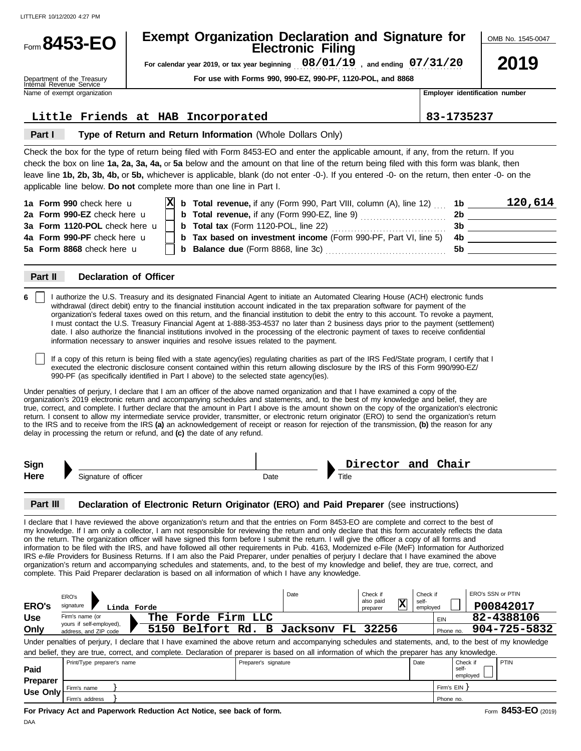#### $\blacksquare$  For calendar year 2019, or tax year beginning  $\enspace \enspace \enspace \enspace 08/01/19 \enspace$  , and ending  $\enspace \enspace \enspace 07/31/20 \enspace$ **Electronic Filing Exempt Organization Declaration and Signature for 8453-EO**

**For use with Forms 990, 990-EZ, 990-PF, 1120-POL, and 8868**

OMB No. 1545-0047 **2019**

Department of the Treasury<br>Internal Revenue Service

Name of exempt organization **Employer identification number Employer identification number** 

## **Little Friends at HAB Incorporated 83-1735237**

#### **Part I Type of Return and Return Information** (Whole Dollars Only)

check the box on line **1a, 2a, 3a, 4a,** or **5a** below and the amount on that line of the return being filed with this form was blank, then leave line **1b, 2b, 3b, 4b,** or **5b,** whichever is applicable, blank (do not enter -0-). If you entered -0- on the return, then enter -0- on the applicable line below. **Do not** complete more than one line in Part I. Check the box for the type of return being filed with Form 8453-EO and enter the applicable amount, if any, from the return. If you

| 1a Form 990 check here u      |  | $ \mathbf{X} $ b Total revenue, if any (Form 990, Part VIII, column (A), line 12) 1b |      | 120,614 |
|-------------------------------|--|--------------------------------------------------------------------------------------|------|---------|
| 2a Form 990-EZ check here u   |  | <b>b Total revenue,</b> if any (Form 990-EZ, line 9)                                 | 2b   |         |
| 3a Form 1120-POL check here u |  | <b>b</b> Total tax (Form 1120-POL, line 22)                                          |      |         |
| 4a Form 990-PF check here u   |  | <b>b</b> Tax based on investment income (Form 990-PF, Part VI, line 5)               | - 4b |         |
| 5a Form 8868 check here u     |  | <b>b Balance due</b> (Form 8868, line 3c)                                            |      |         |
|                               |  |                                                                                      |      |         |

#### **Part II Declaration of Officer**

**6** I authorize the U.S. Treasury and its designated Financial Agent to initiate an Automated Clearing House (ACH) electronic funds withdrawal (direct debit) entry to the financial institution account indicated in the tax preparation software for payment of the organization's federal taxes owed on this return, and the financial institution to debit the entry to this account. To revoke a payment, I must contact the U.S. Treasury Financial Agent at 1-888-353-4537 no later than 2 business days prior to the payment (settlement) date. I also authorize the financial institutions involved in the processing of the electronic payment of taxes to receive confidential information necessary to answer inquiries and resolve issues related to the payment.

If a copy of this return is being filed with a state agency(ies) regulating charities as part of the IRS Fed/State program, I certify that I executed the electronic disclosure consent contained within this return allowing disclosure by the IRS of this Form 990/990-EZ/ 990-PF (as specifically identified in Part I above) to the selected state agency(ies).

Under penalties of perjury, I declare that I am an officer of the above named organization and that I have examined a copy of the organization's 2019 electronic return and accompanying schedules and statements, and, to the best of my knowledge and belief, they are true, correct, and complete. I further declare that the amount in Part I above is the amount shown on the copy of the organization's electronic return. I consent to allow my intermediate service provider, transmitter, or electronic return originator (ERO) to send the organization's return to the IRS and to receive from the IRS **(a)** an acknowledgement of receipt or reason for rejection of the transmission, **(b)** the reason for any delay in processing the return or refund, and **(c)** the date of any refund.

| Sign |                      |      | Chair<br>Director and |  |
|------|----------------------|------|-----------------------|--|
| Here | Signature of officer | Date | Title                 |  |

#### **Part III Declaration of Electronic Return Originator (ERO) and Paid Preparer** (see instructions)

I declare that I have reviewed the above organization's return and that the entries on Form 8453-EO are complete and correct to the best of my knowledge. If I am only a collector, I am not responsible for reviewing the return and only declare that this form accurately reflects the data on the return. The organization officer will have signed this form before I submit the return. I will give the officer a copy of all forms and information to be filed with the IRS, and have followed all other requirements in Pub. 4163, Modernized e-File (MeF) Information for Authorized IRS *e-file* Providers for Business Returns. If I am also the Paid Preparer, under penalties of perjury I declare that I have examined the above organization's return and accompanying schedules and statements, and, to the best of my knowledge and belief, they are true, correct, and complete. This Paid Preparer declaration is based on all information of which I have any knowledge.

| <b>ERO's</b>                                                                                                                                            | ERO's<br>signature<br>Linda Forde                 |                    |  | Date                            | Check if<br>also paid<br>$\overline{\textbf{x}}$<br>preparer | Check if<br>self-<br>emploved |           | ERO's SSN or PTIN<br>P00842017 |  |  |
|---------------------------------------------------------------------------------------------------------------------------------------------------------|---------------------------------------------------|--------------------|--|---------------------------------|--------------------------------------------------------------|-------------------------------|-----------|--------------------------------|--|--|
| <b>Use</b>                                                                                                                                              | Firm's name (or                                   | The Forde Firm LLC |  |                                 |                                                              |                               | EIN       | 82-4388106                     |  |  |
| Only                                                                                                                                                    | yours if self-employed),<br>address, and ZIP code | 5150               |  | Belfort Rd. B Jacksony FL 32256 |                                                              |                               | Phone no. | 904-725-5832                   |  |  |
| Under penalties of perjury, I declare that I have examined the above return and accompanying schedules and statements, and, to the best of my knowledge |                                                   |                    |  |                                 |                                                              |                               |           |                                |  |  |

and belief, they are true, correct, and complete. Declaration of preparer is based on all information of which the preparer has any knowledge.

| Paid            | Print/Type preparer's name | Date<br>Preparer's signature |           | Check i<br>self<br>employed | PTIN |
|-----------------|----------------------------|------------------------------|-----------|-----------------------------|------|
| <b>Preparer</b> | Firm's name                |                              |           | Firm's EIN                  |      |
| <b>Use Only</b> | Firm's address             |                              | Phone no. |                             |      |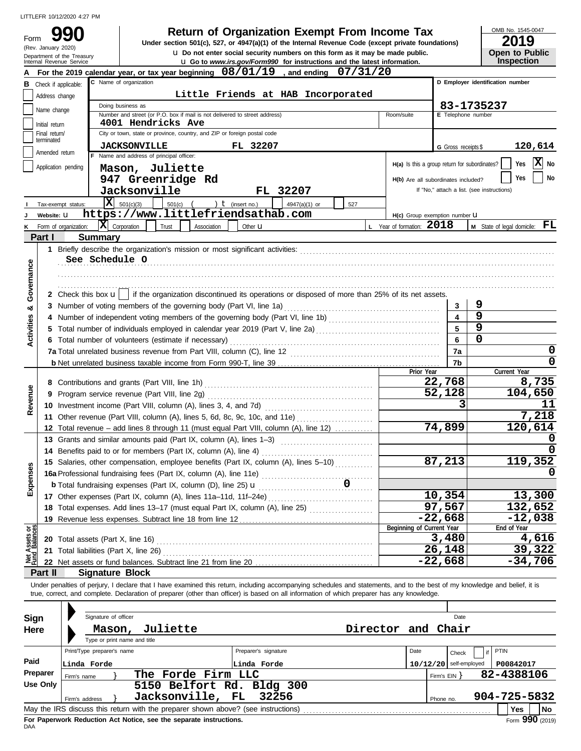(Rev. January 2020)

Form

# **990 2019 2019 2019 2019 2019 2019 2019 2019 2019 2019 2019 2019 2019 2019 2019 2019 2019 2019 2019 2019 2019 2019 2019 2019 2019 2019 2019 2019 2019 2019 2019**

u **Do not enter social security numbers on this form as it may be made public. Open to Public Under section 501(c), 527, or 4947(a)(1) of the Internal Revenue Code (except private foundations)**

OMB No. 1545-0047

|                       | ZV I J            |  |
|-----------------------|-------------------|--|
| <b>Open to Public</b> |                   |  |
|                       | <b>Inspection</b> |  |

|                                |                             | Department of the Treasury<br>Internal Revenue Service |                              |                     |                                          |                                                                                   |  |                      |       | <b>u</b> Go to www.irs.gov/Form990 for instructions and the latest information.                                                            |          |                                                            |                          |                | <b>OPULL TO LAND</b><br><b>Inspection</b>                                                                                                                                  |  |  |
|--------------------------------|-----------------------------|--------------------------------------------------------|------------------------------|---------------------|------------------------------------------|-----------------------------------------------------------------------------------|--|----------------------|-------|--------------------------------------------------------------------------------------------------------------------------------------------|----------|------------------------------------------------------------|--------------------------|----------------|----------------------------------------------------------------------------------------------------------------------------------------------------------------------------|--|--|
|                                |                             |                                                        |                              |                     |                                          |                                                                                   |  |                      |       | For the 2019 calendar year, or tax year beginning $08/01/19$ , and ending                                                                  | 07/31/20 |                                                            |                          |                |                                                                                                                                                                            |  |  |
| В                              | Check if applicable:        |                                                        | C Name of organization       |                     |                                          |                                                                                   |  |                      |       |                                                                                                                                            |          |                                                            |                          |                | D Employer identification number                                                                                                                                           |  |  |
|                                | Address change              |                                                        |                              |                     |                                          |                                                                                   |  |                      |       | Little Friends at HAB Incorporated                                                                                                         |          |                                                            |                          |                |                                                                                                                                                                            |  |  |
|                                |                             |                                                        | Doing business as            |                     |                                          |                                                                                   |  |                      |       |                                                                                                                                            |          |                                                            | 83-1735237               |                |                                                                                                                                                                            |  |  |
|                                | Name change                 |                                                        |                              |                     |                                          | Number and street (or P.O. box if mail is not delivered to street address)        |  |                      |       |                                                                                                                                            |          | Room/suite                                                 | E Telephone number       |                |                                                                                                                                                                            |  |  |
|                                | Initial return              |                                                        |                              |                     | 4001 Hendricks Ave                       |                                                                                   |  |                      |       |                                                                                                                                            |          |                                                            |                          |                |                                                                                                                                                                            |  |  |
|                                | Final return/<br>terminated |                                                        |                              |                     |                                          | City or town, state or province, country, and ZIP or foreign postal code          |  |                      |       |                                                                                                                                            |          |                                                            |                          |                |                                                                                                                                                                            |  |  |
|                                |                             |                                                        |                              | <b>JACKSONVILLE</b> |                                          |                                                                                   |  | FL 32207             |       |                                                                                                                                            |          |                                                            | G Gross receipts \$      |                | 120,614                                                                                                                                                                    |  |  |
|                                | Amended return              |                                                        |                              |                     | F Name and address of principal officer: |                                                                                   |  |                      |       |                                                                                                                                            |          |                                                            |                          |                |                                                                                                                                                                            |  |  |
|                                | Application pending         |                                                        |                              |                     | Mason, Juliette                          |                                                                                   |  |                      |       |                                                                                                                                            |          | H(a) Is this a group return for subordinates?              |                          |                | X No<br>Yes                                                                                                                                                                |  |  |
|                                |                             |                                                        |                              |                     |                                          | 947 Greenridge Rd                                                                 |  |                      |       |                                                                                                                                            |          | H(b) Are all subordinates included?                        |                          |                | No<br>Yes                                                                                                                                                                  |  |  |
|                                |                             |                                                        |                              |                     | Jacksonville                             |                                                                                   |  |                      |       | FL 32207                                                                                                                                   |          |                                                            |                          |                | If "No," attach a list. (see instructions)                                                                                                                                 |  |  |
|                                |                             | Tax-exempt status:                                     | $\vert \mathbf{x} \vert$     | 501(c)(3)           |                                          | $501(c)$ (                                                                        |  | ) $t$ (insert no.)   |       | 4947(a)(1) or                                                                                                                              | 527      |                                                            |                          |                |                                                                                                                                                                            |  |  |
|                                | Website: U                  |                                                        |                              |                     |                                          | https://www.littlefriendsathab.com                                                |  |                      |       |                                                                                                                                            |          |                                                            |                          |                |                                                                                                                                                                            |  |  |
|                                |                             |                                                        | $ \mathbf{X} $ Corporation   |                     |                                          |                                                                                   |  |                      |       |                                                                                                                                            |          | H(c) Group exemption number U<br>L Year of formation: 2018 |                          |                |                                                                                                                                                                            |  |  |
| Κ                              |                             | Form of organization:                                  |                              |                     | Trust                                    | Association                                                                       |  | Other <b>u</b>       |       |                                                                                                                                            |          |                                                            |                          |                | M State of legal domicile: FL                                                                                                                                              |  |  |
|                                | Part I                      |                                                        | <b>Summary</b>               |                     |                                          |                                                                                   |  |                      |       |                                                                                                                                            |          |                                                            |                          |                |                                                                                                                                                                            |  |  |
|                                |                             |                                                        |                              |                     |                                          |                                                                                   |  |                      |       |                                                                                                                                            |          |                                                            |                          |                |                                                                                                                                                                            |  |  |
|                                |                             |                                                        | See Schedule O               |                     |                                          |                                                                                   |  |                      |       |                                                                                                                                            |          |                                                            |                          |                |                                                                                                                                                                            |  |  |
|                                |                             |                                                        |                              |                     |                                          |                                                                                   |  |                      |       |                                                                                                                                            |          |                                                            |                          |                |                                                                                                                                                                            |  |  |
| Governance                     |                             |                                                        |                              |                     |                                          |                                                                                   |  |                      |       |                                                                                                                                            |          |                                                            |                          |                |                                                                                                                                                                            |  |  |
|                                |                             |                                                        |                              |                     |                                          |                                                                                   |  |                      |       | 2 Check this box $\mathbf{u}$ if the organization discontinued its operations or disposed of more than 25% of its net assets.              |          |                                                            |                          |                |                                                                                                                                                                            |  |  |
| ಯ                              |                             |                                                        |                              |                     |                                          | 3 Number of voting members of the governing body (Part VI, line 1a)               |  |                      |       |                                                                                                                                            |          |                                                            | $\mathbf{3}$             | 9              |                                                                                                                                                                            |  |  |
|                                |                             |                                                        |                              |                     |                                          |                                                                                   |  |                      |       |                                                                                                                                            |          |                                                            | $\overline{\mathbf{4}}$  | 9              |                                                                                                                                                                            |  |  |
|                                |                             |                                                        |                              |                     |                                          |                                                                                   |  |                      |       | Total number of individuals employed in calendar year 2019 (Part V, line 2a) [[[[[[[[[[[[[[[[[[[[[[[[[[[[[[[[                              |          |                                                            | 5                        | $\overline{9}$ |                                                                                                                                                                            |  |  |
| <b>Activities</b>              |                             |                                                        |                              |                     |                                          | 6 Total number of volunteers (estimate if necessary)                              |  |                      |       |                                                                                                                                            |          |                                                            | 6                        | $\Omega$       |                                                                                                                                                                            |  |  |
|                                |                             |                                                        |                              |                     |                                          |                                                                                   |  |                      |       |                                                                                                                                            |          |                                                            | 7a                       |                | 0                                                                                                                                                                          |  |  |
|                                |                             |                                                        |                              |                     |                                          |                                                                                   |  |                      |       |                                                                                                                                            |          |                                                            | 7b                       |                | 0                                                                                                                                                                          |  |  |
|                                |                             |                                                        |                              |                     |                                          |                                                                                   |  |                      |       |                                                                                                                                            |          | Prior Year                                                 |                          |                | Current Year                                                                                                                                                               |  |  |
|                                |                             |                                                        |                              |                     |                                          |                                                                                   |  |                      |       |                                                                                                                                            |          |                                                            | 22,768                   |                | 8,735                                                                                                                                                                      |  |  |
| Revenue                        |                             | 9 Program service revenue (Part VIII, line 2g)         |                              |                     |                                          |                                                                                   |  |                      |       | 52,128                                                                                                                                     |          | 104,650                                                    |                          |                |                                                                                                                                                                            |  |  |
|                                |                             |                                                        |                              |                     |                                          |                                                                                   |  |                      |       |                                                                                                                                            |          |                                                            | 3                        |                | 11                                                                                                                                                                         |  |  |
|                                |                             |                                                        |                              |                     |                                          |                                                                                   |  |                      |       | 11 Other revenue (Part VIII, column (A), lines 5, 6d, 8c, 9c, 10c, and 11e)                                                                |          |                                                            |                          |                | 7,218                                                                                                                                                                      |  |  |
|                                |                             |                                                        |                              |                     |                                          |                                                                                   |  |                      |       | 12 Total revenue - add lines 8 through 11 (must equal Part VIII, column (A), line 12)                                                      |          |                                                            | $\overline{74,899}$      |                | 120,614                                                                                                                                                                    |  |  |
|                                |                             |                                                        |                              |                     |                                          | 13 Grants and similar amounts paid (Part IX, column (A), lines 1-3)               |  |                      |       |                                                                                                                                            |          |                                                            |                          |                |                                                                                                                                                                            |  |  |
|                                |                             |                                                        |                              |                     |                                          |                                                                                   |  |                      |       |                                                                                                                                            |          |                                                            |                          |                |                                                                                                                                                                            |  |  |
|                                |                             |                                                        |                              |                     |                                          | 14 Benefits paid to or for members (Part IX, column (A), line 4)                  |  |                      |       |                                                                                                                                            |          |                                                            |                          |                |                                                                                                                                                                            |  |  |
| inses                          |                             |                                                        |                              |                     |                                          |                                                                                   |  |                      |       | 15 Salaries, other compensation, employee benefits (Part IX, column (A), lines 5-10)                                                       |          |                                                            | 87,213                   |                | 119,352                                                                                                                                                                    |  |  |
|                                |                             |                                                        |                              |                     |                                          |                                                                                   |  |                      |       |                                                                                                                                            |          |                                                            |                          |                |                                                                                                                                                                            |  |  |
| Exper                          |                             |                                                        |                              |                     |                                          | <b>b</b> Total fundraising expenses (Part IX, column (D), line 25) $\mathbf{u}$   |  |                      |       |                                                                                                                                            | 0        |                                                            |                          |                |                                                                                                                                                                            |  |  |
|                                |                             |                                                        |                              |                     |                                          | 17 Other expenses (Part IX, column (A), lines 11a-11d, 11f-24e)                   |  |                      |       |                                                                                                                                            |          |                                                            | 10,354                   |                | 13,300                                                                                                                                                                     |  |  |
|                                |                             |                                                        |                              |                     |                                          |                                                                                   |  |                      |       | 18 Total expenses. Add lines 13-17 (must equal Part IX, column (A), line 25)                                                               |          |                                                            | 97,567                   |                | 132,652                                                                                                                                                                    |  |  |
|                                |                             |                                                        |                              |                     |                                          | 19 Revenue less expenses. Subtract line 18 from line 12                           |  |                      |       |                                                                                                                                            |          |                                                            | $-22,668$                |                | $-12,038$                                                                                                                                                                  |  |  |
| Net Assets or<br>Fund Balances |                             |                                                        |                              |                     |                                          |                                                                                   |  |                      |       |                                                                                                                                            |          | Beginning of Current Year                                  |                          |                | End of Year                                                                                                                                                                |  |  |
|                                |                             | 20 Total assets (Part X, line 16)                      |                              |                     |                                          |                                                                                   |  |                      |       |                                                                                                                                            |          |                                                            | 3,480                    |                | 4,616                                                                                                                                                                      |  |  |
|                                | 21                          | Total liabilities (Part X, line 26)                    |                              |                     |                                          |                                                                                   |  |                      |       |                                                                                                                                            |          |                                                            | 26,148                   |                | 39,322                                                                                                                                                                     |  |  |
|                                |                             |                                                        |                              |                     |                                          |                                                                                   |  |                      |       |                                                                                                                                            |          |                                                            | $-22,668$                |                | $-34,706$                                                                                                                                                                  |  |  |
|                                | Part II                     |                                                        | <b>Signature Block</b>       |                     |                                          |                                                                                   |  |                      |       |                                                                                                                                            |          |                                                            |                          |                |                                                                                                                                                                            |  |  |
|                                |                             |                                                        |                              |                     |                                          |                                                                                   |  |                      |       |                                                                                                                                            |          |                                                            |                          |                | Under penalties of periury, I declare that I have examined this return, including accompanying schedules and statements, and to the best of my knowledge and belief, it is |  |  |
|                                |                             |                                                        |                              |                     |                                          |                                                                                   |  |                      |       | true, correct, and complete. Declaration of preparer (other than officer) is based on all information of which preparer has any knowledge. |          |                                                            |                          |                |                                                                                                                                                                            |  |  |
|                                |                             |                                                        |                              |                     |                                          |                                                                                   |  |                      |       |                                                                                                                                            |          |                                                            |                          |                |                                                                                                                                                                            |  |  |
| Sign                           |                             |                                                        | Signature of officer         |                     |                                          |                                                                                   |  |                      |       |                                                                                                                                            |          |                                                            | Date                     |                |                                                                                                                                                                            |  |  |
| Here                           |                             |                                                        | Mason,                       |                     | Juliette                                 |                                                                                   |  |                      |       |                                                                                                                                            |          | Director and Chair                                         |                          |                |                                                                                                                                                                            |  |  |
|                                |                             |                                                        | Type or print name and title |                     |                                          |                                                                                   |  |                      |       |                                                                                                                                            |          |                                                            |                          |                |                                                                                                                                                                            |  |  |
|                                |                             |                                                        | Print/Type preparer's name   |                     |                                          |                                                                                   |  | Preparer's signature |       |                                                                                                                                            |          | Date                                                       | Check                    |                | PTIN                                                                                                                                                                       |  |  |
| Paid                           |                             | Linda Forde                                            |                              |                     |                                          |                                                                                   |  | Linda Forde          |       |                                                                                                                                            |          |                                                            | $10/12/20$ self-employed |                | P00842017                                                                                                                                                                  |  |  |
|                                | Preparer                    |                                                        |                              |                     |                                          | The Forde Firm LLC                                                                |  |                      |       |                                                                                                                                            |          |                                                            |                          |                | 82-4388106                                                                                                                                                                 |  |  |
|                                | <b>Use Only</b>             | Firm's name                                            |                              |                     |                                          | 5150 Belfort Rd. Bldg 300                                                         |  |                      |       |                                                                                                                                            |          |                                                            | Firm's EIN }             |                |                                                                                                                                                                            |  |  |
|                                |                             |                                                        |                              |                     |                                          | Jacksonville, FL                                                                  |  |                      | 32256 |                                                                                                                                            |          |                                                            |                          |                | 904-725-5832                                                                                                                                                               |  |  |
|                                |                             | Firm's address                                         |                              |                     |                                          |                                                                                   |  |                      |       |                                                                                                                                            |          |                                                            | Phone no.                |                |                                                                                                                                                                            |  |  |
|                                |                             |                                                        |                              |                     |                                          | May the IRS discuss this return with the preparer shown above? (see instructions) |  |                      |       |                                                                                                                                            |          |                                                            |                          |                | Yes<br>No                                                                                                                                                                  |  |  |

| Sign     |                                                                                                              | Signature of officer                   |  |                                                                      |  | Date                 |                    |      |              |                          |            |              |  |  |
|----------|--------------------------------------------------------------------------------------------------------------|----------------------------------------|--|----------------------------------------------------------------------|--|----------------------|--------------------|------|--------------|--------------------------|------------|--------------|--|--|
| Here     |                                                                                                              | Mason,<br>Type or print name and title |  | Juliette                                                             |  |                      | Director and Chair |      |              |                          |            |              |  |  |
|          | Print/Type preparer's name                                                                                   |                                        |  |                                                                      |  | Preparer's signature |                    | Date |              | Check                    | PTIN       |              |  |  |
| Paid     | Linda Forde                                                                                                  |                                        |  |                                                                      |  | Linda Forde          |                    |      |              | $10/12/20$ self-employed | P00842017  |              |  |  |
| Preparer | Firm's name                                                                                                  |                                        |  | The Forde Firm LLC                                                   |  |                      |                    |      | Firm's $EIN$ |                          | 82-4388106 |              |  |  |
| Use Only | Firm's address                                                                                               |                                        |  | 5150 Belfort Rd. Bldg 300<br>Jacksonville, FL                        |  | 32256                |                    |      | Phone no.    |                          |            | 904-725-5832 |  |  |
|          | <b>No</b><br>May the IRS discuss this return with the preparer shown above? (see instructions)<br><b>Yes</b> |                                        |  |                                                                      |  |                      |                    |      |              |                          |            |              |  |  |
|          |                                                                                                              |                                        |  | Fax Bananceal: Badrietten, Aat Nation, and the accession instruments |  |                      |                    |      |              |                          |            | nnn.         |  |  |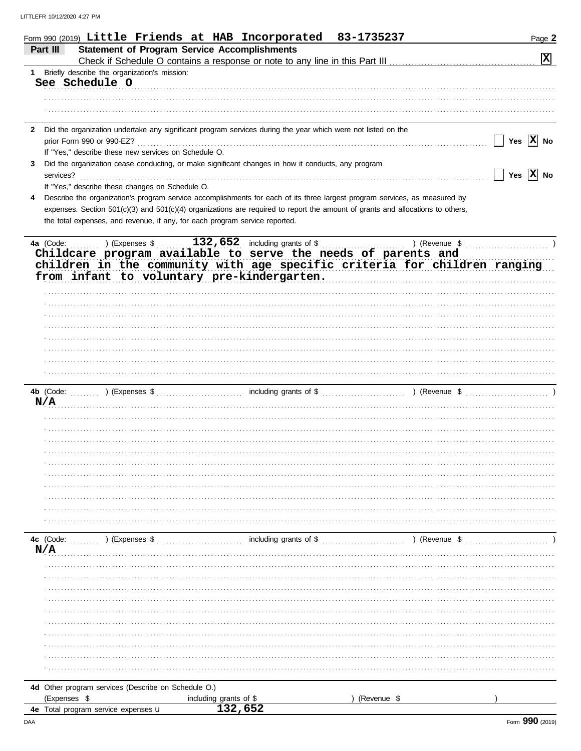| Form 990 (2019) Little Friends at HAB Incorporated 83-1735237               |                                                                                                                                |               | Page 2                                            |
|-----------------------------------------------------------------------------|--------------------------------------------------------------------------------------------------------------------------------|---------------|---------------------------------------------------|
| Part III                                                                    | <b>Statement of Program Service Accomplishments</b>                                                                            |               |                                                   |
|                                                                             |                                                                                                                                |               | $\boxed{\mathbf{x}}$                              |
| Briefly describe the organization's mission:<br>1<br>See Schedule O         |                                                                                                                                |               |                                                   |
|                                                                             |                                                                                                                                |               |                                                   |
|                                                                             |                                                                                                                                |               |                                                   |
|                                                                             |                                                                                                                                |               |                                                   |
| $\mathbf{2}$                                                                | Did the organization undertake any significant program services during the year which were not listed on the                   |               |                                                   |
|                                                                             |                                                                                                                                |               | Yes $ \mathbf{X} $ No                             |
| If "Yes," describe these new services on Schedule O.                        |                                                                                                                                |               |                                                   |
| 3<br>services?                                                              | Did the organization cease conducting, or make significant changes in how it conducts, any program                             |               | $\boxed{\phantom{1}}$ Yes $\boxed{\textbf{X}}$ No |
| If "Yes," describe these changes on Schedule O.                             |                                                                                                                                |               |                                                   |
| 4                                                                           | Describe the organization's program service accomplishments for each of its three largest program services, as measured by     |               |                                                   |
|                                                                             | expenses. Section 501(c)(3) and 501(c)(4) organizations are required to report the amount of grants and allocations to others, |               |                                                   |
| the total expenses, and revenue, if any, for each program service reported. |                                                                                                                                |               |                                                   |
|                                                                             |                                                                                                                                |               |                                                   |
| 4a (Code:                                                                   | $\ldots$ ) (Expenses \$ $\ldots$ , 132,652 including grants of \$ $\ldots$                                                     |               |                                                   |
| Childcare program available to serve the needs of parents and               |                                                                                                                                |               |                                                   |
| children in the community with age specific criteria for children ranging   |                                                                                                                                |               |                                                   |
| from infant to voluntary pre-kindergarten.                                  |                                                                                                                                |               |                                                   |
|                                                                             |                                                                                                                                |               |                                                   |
|                                                                             |                                                                                                                                |               |                                                   |
|                                                                             |                                                                                                                                |               |                                                   |
|                                                                             |                                                                                                                                |               |                                                   |
|                                                                             |                                                                                                                                |               |                                                   |
|                                                                             |                                                                                                                                |               |                                                   |
|                                                                             |                                                                                                                                |               |                                                   |
|                                                                             |                                                                                                                                |               |                                                   |
|                                                                             |                                                                                                                                |               |                                                   |
| N/A                                                                         |                                                                                                                                |               |                                                   |
|                                                                             |                                                                                                                                |               |                                                   |
|                                                                             |                                                                                                                                |               |                                                   |
|                                                                             |                                                                                                                                |               |                                                   |
|                                                                             |                                                                                                                                |               |                                                   |
|                                                                             |                                                                                                                                |               |                                                   |
|                                                                             |                                                                                                                                |               |                                                   |
|                                                                             |                                                                                                                                |               |                                                   |
|                                                                             |                                                                                                                                |               |                                                   |
|                                                                             |                                                                                                                                |               |                                                   |
|                                                                             |                                                                                                                                |               |                                                   |
| 4c (Code:<br>) (Expenses \$                                                 | including grants of \$                                                                                                         | ) (Revenue \$ |                                                   |
| N/A                                                                         |                                                                                                                                |               |                                                   |
|                                                                             |                                                                                                                                |               |                                                   |
|                                                                             |                                                                                                                                |               |                                                   |
|                                                                             |                                                                                                                                |               |                                                   |
|                                                                             |                                                                                                                                |               |                                                   |
|                                                                             |                                                                                                                                |               |                                                   |
|                                                                             |                                                                                                                                |               |                                                   |
|                                                                             |                                                                                                                                |               |                                                   |
|                                                                             |                                                                                                                                |               |                                                   |
|                                                                             |                                                                                                                                |               |                                                   |
|                                                                             |                                                                                                                                |               |                                                   |
| 4d Other program services (Describe on Schedule O.)                         |                                                                                                                                |               |                                                   |
| (Expenses \$                                                                | including grants of \$                                                                                                         | (Revenue \$   |                                                   |
| 4e Total program service expenses u                                         | 132,652                                                                                                                        |               |                                                   |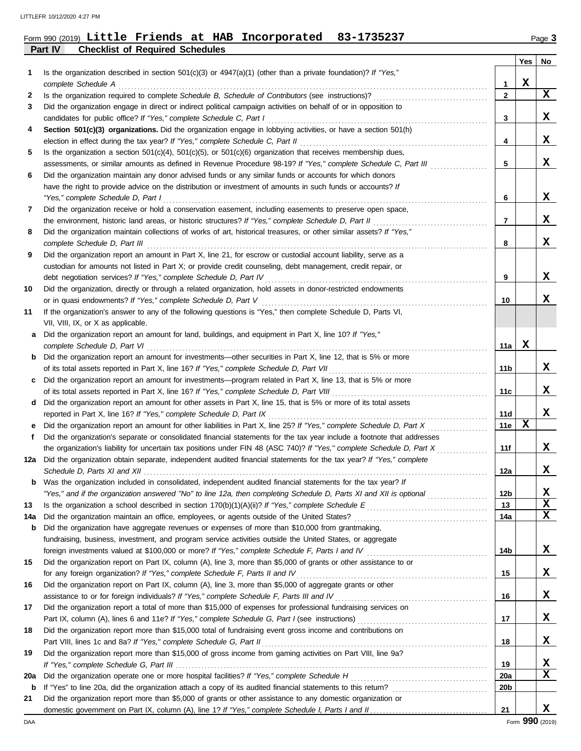## **Part IV Checklist of Required Schedules** Form 990 (2019) Page **3 Little Friends at HAB Incorporated 83-1735237**

| 1           | Is the organization described in section $501(c)(3)$ or $4947(a)(1)$ (other than a private foundation)? If "Yes,"                                    |                 | Yes | No |
|-------------|------------------------------------------------------------------------------------------------------------------------------------------------------|-----------------|-----|----|
|             | complete Schedule A                                                                                                                                  | 1               | X   |    |
| 2           | Is the organization required to complete Schedule B, Schedule of Contributors (see instructions)?                                                    | $\mathbf{2}$    |     | X  |
| 3           | Did the organization engage in direct or indirect political campaign activities on behalf of or in opposition to                                     |                 |     |    |
|             | candidates for public office? If "Yes," complete Schedule C, Part I                                                                                  | 3               |     | x  |
| 4           | Section 501(c)(3) organizations. Did the organization engage in lobbying activities, or have a section 501(h)                                        |                 |     |    |
|             | election in effect during the tax year? If "Yes," complete Schedule C, Part II                                                                       | 4               |     | x  |
| 5           | Is the organization a section $501(c)(4)$ , $501(c)(5)$ , or $501(c)(6)$ organization that receives membership dues,                                 |                 |     |    |
|             | assessments, or similar amounts as defined in Revenue Procedure 98-19? If "Yes," complete Schedule C, Part III                                       | 5               |     | x  |
| 6           | Did the organization maintain any donor advised funds or any similar funds or accounts for which donors                                              |                 |     |    |
|             | have the right to provide advice on the distribution or investment of amounts in such funds or accounts? If                                          |                 |     |    |
|             | "Yes," complete Schedule D, Part I                                                                                                                   | 6               |     | x  |
| 7           | Did the organization receive or hold a conservation easement, including easements to preserve open space,                                            |                 |     |    |
|             | the environment, historic land areas, or historic structures? If "Yes," complete Schedule D, Part II                                                 | 7               |     | x  |
| 8           | Did the organization maintain collections of works of art, historical treasures, or other similar assets? If "Yes,"<br>complete Schedule D, Part III | 8               |     | x  |
| 9           | Did the organization report an amount in Part X, line 21, for escrow or custodial account liability, serve as a                                      |                 |     |    |
|             | custodian for amounts not listed in Part X; or provide credit counseling, debt management, credit repair, or                                         |                 |     |    |
|             | debt negotiation services? If "Yes," complete Schedule D, Part IV                                                                                    | 9               |     | X. |
| 10          | Did the organization, directly or through a related organization, hold assets in donor-restricted endowments                                         |                 |     |    |
|             | or in quasi endowments? If "Yes," complete Schedule D, Part V                                                                                        | 10              |     | x  |
| 11          | If the organization's answer to any of the following questions is "Yes," then complete Schedule D, Parts VI,                                         |                 |     |    |
|             | VII, VIII, IX, or X as applicable.                                                                                                                   |                 |     |    |
| a           | Did the organization report an amount for land, buildings, and equipment in Part X, line 10? If "Yes,"<br>complete Schedule D, Part VI               | 11a             | x   |    |
| $\mathbf b$ | Did the organization report an amount for investments—other securities in Part X, line 12, that is 5% or more                                        |                 |     |    |
|             | of its total assets reported in Part X, line 16? If "Yes," complete Schedule D, Part VII                                                             | 11b             |     | X. |
| C           | Did the organization report an amount for investments—program related in Part X, line 13, that is 5% or more                                         |                 |     |    |
|             | of its total assets reported in Part X, line 16? If "Yes," complete Schedule D, Part VIII                                                            | 11c             |     | x  |
| d           | Did the organization report an amount for other assets in Part X, line 15, that is 5% or more of its total assets                                    |                 |     |    |
|             | reported in Part X, line 16? If "Yes," complete Schedule D, Part IX                                                                                  | 11d             |     | x  |
| е           | Did the organization report an amount for other liabilities in Part X, line 25? If "Yes," complete Schedule D, Part X                                | 11e             | X   |    |
| f           | Did the organization's separate or consolidated financial statements for the tax year include a footnote that addresses                              |                 |     |    |
|             | the organization's liability for uncertain tax positions under FIN 48 (ASC 740)? If "Yes," complete Schedule D, Part X                               | 11f             |     | X  |
| 12a         | Did the organization obtain separate, independent audited financial statements for the tax year? If "Yes," complete                                  |                 |     |    |
|             |                                                                                                                                                      | 12a             |     | x  |
| b           | Was the organization included in consolidated, independent audited financial statements for the tax year? If                                         |                 |     |    |
|             | "Yes," and if the organization answered "No" to line 12a, then completing Schedule D, Parts XI and XII is optional                                   | 12b             |     | X  |
| 13          |                                                                                                                                                      | 13              |     | X  |
| 14a         | Did the organization maintain an office, employees, or agents outside of the United States?                                                          | 14a             |     | X  |
| b           | Did the organization have aggregate revenues or expenses of more than \$10,000 from grantmaking,                                                     |                 |     |    |
|             | fundraising, business, investment, and program service activities outside the United States, or aggregate                                            |                 |     |    |
| 15          | Did the organization report on Part IX, column (A), line 3, more than \$5,000 of grants or other assistance to or                                    | 14b             |     | X  |
|             | for any foreign organization? If "Yes," complete Schedule F, Parts II and IV                                                                         | 15              |     | X  |
| 16          | Did the organization report on Part IX, column (A), line 3, more than \$5,000 of aggregate grants or other                                           |                 |     |    |
|             | assistance to or for foreign individuals? If "Yes," complete Schedule F, Parts III and IV                                                            | 16              |     | X  |
| 17          | Did the organization report a total of more than \$15,000 of expenses for professional fundraising services on                                       |                 |     |    |
|             |                                                                                                                                                      | 17              |     | X  |
| 18          | Did the organization report more than \$15,000 total of fundraising event gross income and contributions on                                          |                 |     |    |
|             | Part VIII, lines 1c and 8a? If "Yes," complete Schedule G, Part II                                                                                   | 18              |     | X  |
| 19          | Did the organization report more than \$15,000 of gross income from gaming activities on Part VIII, line 9a?                                         |                 |     |    |
|             |                                                                                                                                                      | 19              |     | x  |
| 20a         |                                                                                                                                                      | <b>20a</b>      |     | x  |
| b           |                                                                                                                                                      | 20 <sub>b</sub> |     |    |
| 21          | Did the organization report more than \$5,000 of grants or other assistance to any domestic organization or                                          |                 |     |    |
|             |                                                                                                                                                      | 21              |     | X. |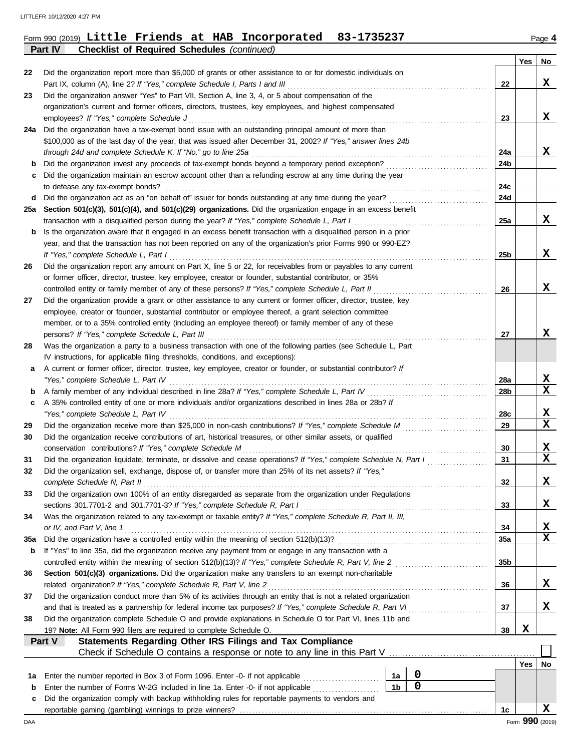| Form 990 (2019) Little Friends at HAB Incorporated 83-1735237 |  | Page 4 |
|---------------------------------------------------------------|--|--------|
|---------------------------------------------------------------|--|--------|

**Part IV Checklist of Required Schedules** *(continued)*

|     |                                                                                                                                            |                |           |                 | Yes | No               |
|-----|--------------------------------------------------------------------------------------------------------------------------------------------|----------------|-----------|-----------------|-----|------------------|
| 22  | Did the organization report more than \$5,000 of grants or other assistance to or for domestic individuals on                              |                |           |                 |     |                  |
|     | Part IX, column (A), line 2? If "Yes," complete Schedule I, Parts I and III                                                                |                |           | 22              |     | X                |
| 23  | Did the organization answer "Yes" to Part VII, Section A, line 3, 4, or 5 about compensation of the                                        |                |           |                 |     |                  |
|     | organization's current and former officers, directors, trustees, key employees, and highest compensated                                    |                |           |                 |     |                  |
|     | employees? If "Yes," complete Schedule J                                                                                                   |                |           | 23              |     | x                |
| 24a | Did the organization have a tax-exempt bond issue with an outstanding principal amount of more than                                        |                |           |                 |     |                  |
|     | \$100,000 as of the last day of the year, that was issued after December 31, 2002? If "Yes," answer lines 24b                              |                |           |                 |     |                  |
|     | through 24d and complete Schedule K. If "No," go to line 25a                                                                               |                |           | 24a             |     | x                |
| b   |                                                                                                                                            |                |           | 24b             |     |                  |
| c   | Did the organization maintain an escrow account other than a refunding escrow at any time during the year                                  |                |           |                 |     |                  |
|     | to defease any tax-exempt bonds?                                                                                                           |                |           | 24c<br>24d      |     |                  |
| d   | Section 501(c)(3), 501(c)(4), and 501(c)(29) organizations. Did the organization engage in an excess benefit                               |                |           |                 |     |                  |
| 25a | transaction with a disqualified person during the year? If "Yes," complete Schedule L, Part I                                              |                |           | 25a             |     | x                |
| b   | Is the organization aware that it engaged in an excess benefit transaction with a disqualified person in a prior                           |                |           |                 |     |                  |
|     | year, and that the transaction has not been reported on any of the organization's prior Forms 990 or 990-EZ?                               |                |           |                 |     |                  |
|     | If "Yes," complete Schedule L, Part I                                                                                                      |                |           | 25b             |     | X                |
| 26  | Did the organization report any amount on Part X, line 5 or 22, for receivables from or payables to any current                            |                |           |                 |     |                  |
|     | or former officer, director, trustee, key employee, creator or founder, substantial contributor, or 35%                                    |                |           |                 |     |                  |
|     | controlled entity or family member of any of these persons? If "Yes," complete Schedule L, Part II                                         |                |           | 26              |     | x                |
| 27  | Did the organization provide a grant or other assistance to any current or former officer, director, trustee, key                          |                |           |                 |     |                  |
|     | employee, creator or founder, substantial contributor or employee thereof, a grant selection committee                                     |                |           |                 |     |                  |
|     | member, or to a 35% controlled entity (including an employee thereof) or family member of any of these                                     |                |           |                 |     |                  |
|     | persons? If "Yes," complete Schedule L, Part III                                                                                           |                |           | 27              |     | x                |
| 28  | Was the organization a party to a business transaction with one of the following parties (see Schedule L, Part                             |                |           |                 |     |                  |
|     | IV instructions, for applicable filing thresholds, conditions, and exceptions):                                                            |                |           |                 |     |                  |
| a   | A current or former officer, director, trustee, key employee, creator or founder, or substantial contributor? If                           |                |           |                 |     |                  |
|     | "Yes," complete Schedule L, Part IV                                                                                                        |                |           | 28a             |     | х                |
| b   |                                                                                                                                            |                |           | 28b             |     | X                |
| c   | A 35% controlled entity of one or more individuals and/or organizations described in lines 28a or 28b? If                                  |                |           |                 |     |                  |
|     | "Yes," complete Schedule L, Part IV                                                                                                        |                |           | 28c             |     | X                |
| 29  |                                                                                                                                            |                |           | 29              |     | X                |
| 30  | Did the organization receive contributions of art, historical treasures, or other similar assets, or qualified                             |                |           |                 |     |                  |
|     | conservation contributions? If "Yes," complete Schedule M                                                                                  |                |           | 30              |     | X<br>$\mathbf x$ |
| 31  | Did the organization liquidate, terminate, or dissolve and cease operations? If "Yes," complete Schedule N, Part I                         |                |           | 31              |     |                  |
| 32  | Did the organization sell, exchange, dispose of, or transfer more than 25% of its net assets? If "Yes,"                                    |                |           | 32              |     | x                |
|     | complete Schedule N, Part II<br>Did the organization own 100% of an entity disregarded as separate from the organization under Regulations |                |           |                 |     |                  |
| 33  | sections 301.7701-2 and 301.7701-3? If "Yes," complete Schedule R, Part I                                                                  |                |           | 33              |     | X                |
| 34  | Was the organization related to any tax-exempt or taxable entity? If "Yes," complete Schedule R, Part II, III,                             |                |           |                 |     |                  |
|     | or IV, and Part V, line 1                                                                                                                  |                |           | 34              |     | X                |
| 35a |                                                                                                                                            |                |           | <b>35a</b>      |     | X                |
| b   | If "Yes" to line 35a, did the organization receive any payment from or engage in any transaction with a                                    |                |           |                 |     |                  |
|     | controlled entity within the meaning of section 512(b)(13)? If "Yes," complete Schedule R, Part V, line 2                                  |                |           | 35 <sub>b</sub> |     |                  |
| 36  | Section 501(c)(3) organizations. Did the organization make any transfers to an exempt non-charitable                                       |                |           |                 |     |                  |
|     | related organization? If "Yes," complete Schedule R, Part V, line 2                                                                        |                |           | 36              |     | X                |
| 37  | Did the organization conduct more than 5% of its activities through an entity that is not a related organization                           |                |           |                 |     |                  |
|     | and that is treated as a partnership for federal income tax purposes? If "Yes," complete Schedule R, Part VI                               |                |           | 37              |     | x                |
| 38  | Did the organization complete Schedule O and provide explanations in Schedule O for Part VI, lines 11b and                                 |                |           |                 |     |                  |
|     | 19? Note: All Form 990 filers are required to complete Schedule O.                                                                         |                |           | 38              | X   |                  |
|     | Statements Regarding Other IRS Filings and Tax Compliance<br>Part V                                                                        |                |           |                 |     |                  |
|     |                                                                                                                                            |                |           |                 |     |                  |
|     |                                                                                                                                            |                |           |                 | Yes | No               |
| 1a  | Enter the number reported in Box 3 of Form 1096. Enter -0- if not applicable                                                               | 1a             | 0         |                 |     |                  |
| b   | Enter the number of Forms W-2G included in line 1a. Enter -0- if not applicable                                                            | 1 <sub>b</sub> | $\pmb{0}$ |                 |     |                  |
| с   | Did the organization comply with backup withholding rules for reportable payments to vendors and                                           |                |           |                 |     |                  |
|     |                                                                                                                                            |                |           | 1c              |     | x                |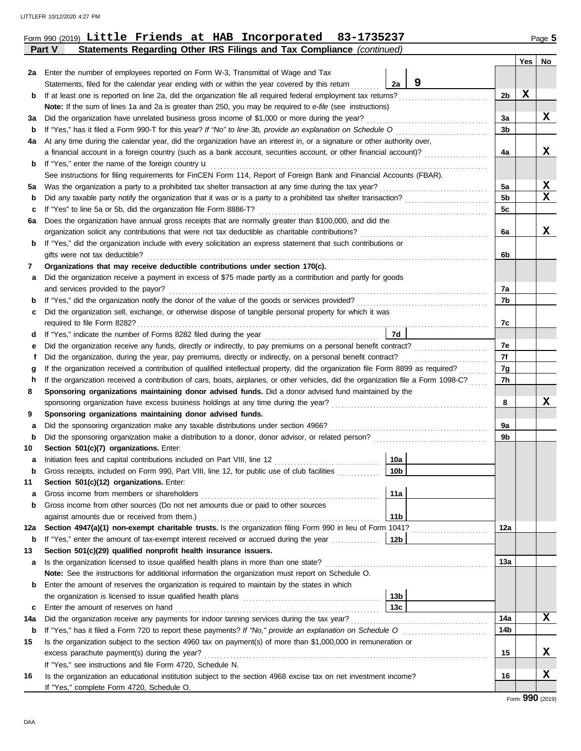|    | Statements Regarding Other IRS Filings and Tax Compliance (continued)<br><b>Part V</b>                                  |                |     |     |
|----|-------------------------------------------------------------------------------------------------------------------------|----------------|-----|-----|
|    |                                                                                                                         |                | Yes | No. |
| 2a | Enter the number of employees reported on Form W-3, Transmittal of Wage and Tax                                         |                |     |     |
|    | - 9<br>Statements, filed for the calendar year ending with or within the year covered by this return<br>2a              |                |     |     |
| b  | If at least one is reported on line 2a, did the organization file all required federal employment tax returns?          | 2 <sub>b</sub> | X   |     |
|    | <b>Note:</b> If the sum of lines 1a and 2a is greater than 250, you may be required to e-file (see instructions)        |                |     |     |
| За | Did the organization have unrelated business gross income of \$1,000 or more during the year?                           | 3a             |     | х   |
| b  | If "Yes," has it filed a Form 990-T for this year? If "No" to line 3b, provide an explanation on Schedule O             | 3 <sub>b</sub> |     |     |
| 4a | At any time during the calendar year, did the organization have an interest in, or a signature or other authority over, |                |     |     |
|    | a financial account in a foreign country (such as a bank account, securities account, or other financial account)?      | 4a             |     | x   |
| b  | If "Yes," enter the name of the foreign country <b>u</b>                                                                |                |     |     |
|    | See instructions for filing requirements for FinCEN Form 114, Report of Foreign Bank and Financial Accounts (FBAR).     |                |     |     |
| 5a | Was the organization a party to a prohibited tax shelter transaction at any time during the tax year?                   | 5a             |     | x   |
| b  |                                                                                                                         | 5 <sub>b</sub> |     | X   |
| c  | If "Yes" to line 5a or 5b, did the organization file Form 8886-T?                                                       | 5c             |     |     |
| 6а | Does the organization have annual gross receipts that are normally greater than \$100,000, and did the                  |                |     |     |
|    | organization solicit any contributions that were not tax deductible as charitable contributions?                        | 6a             |     | x   |
| b  | If "Yes," did the organization include with every solicitation an express statement that such contributions or          |                |     |     |
|    | gifts were not tax deductible?                                                                                          | 6b             |     |     |
|    |                                                                                                                         |                |     |     |

| 7  | Organizations that may receive deductible contributions under section 170(c).                                                      |    |    |   |
|----|------------------------------------------------------------------------------------------------------------------------------------|----|----|---|
| a  | Did the organization receive a payment in excess of \$75 made partly as a contribution and partly for goods                        |    |    |   |
|    | and services provided to the payor?                                                                                                |    | 7a |   |
|    | <b>b</b> If "Yes," did the organization notify the donor of the value of the goods or services provided?                           |    | 7b |   |
|    | Did the organization sell, exchange, or otherwise dispose of tangible personal property for which it was                           |    |    |   |
|    |                                                                                                                                    |    | 7c |   |
| d. | If "Yes," indicate the number of Forms 8282 filed during the year<br>[[[CODER THE VERTIFY]]                                        | 7d |    |   |
| e  | Did the organization receive any funds, directly or indirectly, to pay premiums on a personal benefit contract?                    |    | 7e |   |
|    | Did the organization, during the year, pay premiums, directly or indirectly, on a personal benefit contract?                       |    | 7f |   |
| q  | If the organization received a contribution of qualified intellectual property, did the organization file Form 8899 as required?   |    | 7g |   |
| h. | If the organization received a contribution of cars, boats, airplanes, or other vehicles, did the organization file a Form 1098-C? |    | 7h |   |
| 8  | Sponsoring organizations maintaining donor advised funds. Did a donor advised fund maintained by the                               |    |    |   |
|    | sponsoring organization have excess business holdings at any time during the year?                                                 |    | 8  | x |
| 9  | Sponsoring organizations maintaining donor advised funds.                                                                          |    |    |   |
| a  | Did the sponsoring organization make any taxable distributions under section 4966?                                                 |    | 9а |   |
| b. | Did the sponsoring organization make a distribution to a donor, donor advisor, or related person?                                  |    | 9b |   |
|    |                                                                                                                                    |    |    |   |

|     | Dia the sponsoning organization make a distinguion to a donor, donor advisor, or related person?                |                 | ັນມ             |  |   |  |  |  |
|-----|-----------------------------------------------------------------------------------------------------------------|-----------------|-----------------|--|---|--|--|--|
| 10  | Section 501(c)(7) organizations. Enter:                                                                         |                 |                 |  |   |  |  |  |
| а   |                                                                                                                 | 10a             |                 |  |   |  |  |  |
| b   | Gross receipts, included on Form 990, Part VIII, line 12, for public use of club facilities                     | 10 <sub>b</sub> |                 |  |   |  |  |  |
| 11  | Section 501(c)(12) organizations. Enter:                                                                        |                 |                 |  |   |  |  |  |
| a   | Gross income from members or shareholders                                                                       | 11a             |                 |  |   |  |  |  |
| b   | Gross income from other sources (Do not net amounts due or paid to other sources                                |                 |                 |  |   |  |  |  |
|     | against amounts due or received from them.)<br>11 <b>b</b>                                                      |                 |                 |  |   |  |  |  |
| 12a | Section 4947(a)(1) non-exempt charitable trusts. Is the organization filing Form 990 in lieu of Form 1041?      |                 | 12a             |  |   |  |  |  |
| b   | If "Yes," enter the amount of tax-exempt interest received or accrued during the year                           | 12b             |                 |  |   |  |  |  |
| 13  | Section 501(c)(29) qualified nonprofit health insurance issuers.                                                |                 |                 |  |   |  |  |  |
| а   | Is the organization licensed to issue qualified health plans in more than one state?                            |                 | 13а             |  |   |  |  |  |
|     | Note: See the instructions for additional information the organization must report on Schedule O.               |                 |                 |  |   |  |  |  |
| b   | Enter the amount of reserves the organization is required to maintain by the states in which                    |                 |                 |  |   |  |  |  |
|     |                                                                                                                 | 13b             |                 |  |   |  |  |  |
| C   | Enter the amount of reserves on hand                                                                            | 13 <sub>c</sub> |                 |  |   |  |  |  |
| 14a |                                                                                                                 |                 | 14a             |  | x |  |  |  |
| b   |                                                                                                                 |                 | 14 <sub>b</sub> |  |   |  |  |  |
| 15  | Is the organization subject to the section 4960 tax on payment(s) of more than \$1,000,000 in remuneration or   |                 |                 |  |   |  |  |  |
|     |                                                                                                                 |                 | 15              |  | x |  |  |  |
|     | If "Yes," see instructions and file Form 4720, Schedule N.                                                      |                 |                 |  |   |  |  |  |
| 16  | Is the organization an educational institution subject to the section 4968 excise tax on net investment income? |                 | 16              |  | х |  |  |  |
|     | If "Yes," complete Form 4720, Schedule O.                                                                       |                 |                 |  |   |  |  |  |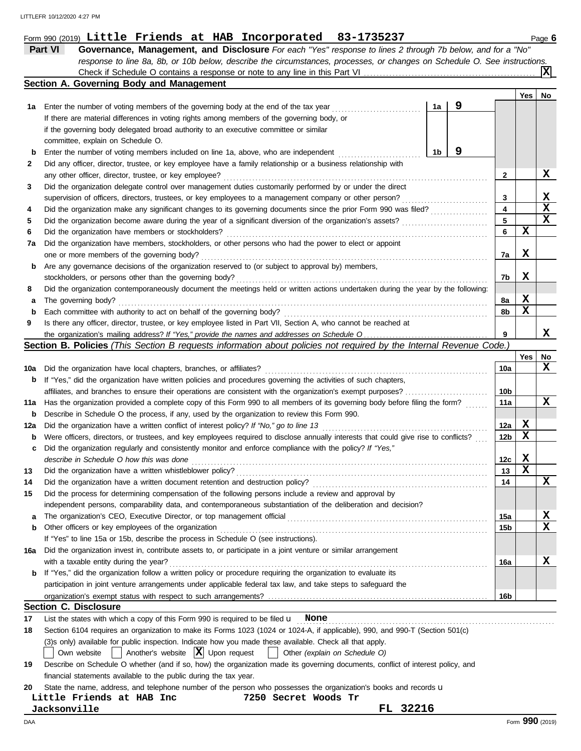|         |  |  | Form 990 (2019) Little Friends at HAB Incorporated 83-1735237               | Page $6$                                                                                                                  |  |
|---------|--|--|-----------------------------------------------------------------------------|---------------------------------------------------------------------------------------------------------------------------|--|
| Part VI |  |  |                                                                             | Governance, Management, and Disclosure For each "Yes" response to lines 2 through 7b below, and for a "No"                |  |
|         |  |  |                                                                             | response to line 8a, 8b, or 10b below, describe the circumstances, processes, or changes on Schedule O. See instructions. |  |
|         |  |  | Check if Schedule O contains a response or note to any line in this Part VI | $\mathbf{x}_\mathsf{L}$                                                                                                   |  |

|     | Section A. Governing Body and Management                                                                                            |    |   |     |     |             |
|-----|-------------------------------------------------------------------------------------------------------------------------------------|----|---|-----|-----|-------------|
|     |                                                                                                                                     |    |   |     | Yes | No.         |
| 1а  | Enter the number of voting members of the governing body at the end of the tax year                                                 | 1a | 9 |     |     |             |
|     | If there are material differences in voting rights among members of the governing body, or                                          |    |   |     |     |             |
|     | if the governing body delegated broad authority to an executive committee or similar                                                |    |   |     |     |             |
|     | committee, explain on Schedule O.                                                                                                   |    |   |     |     |             |
| b   | Enter the number of voting members included on line 1a, above, who are independent                                                  | 1b | 9 |     |     |             |
| 2   | Did any officer, director, trustee, or key employee have a family relationship or a business relationship with                      |    |   |     |     |             |
|     | any other officer, director, trustee, or key employee?                                                                              |    |   | 2   |     | X           |
| 3   | Did the organization delegate control over management duties customarily performed by or under the direct                           |    |   |     |     |             |
|     | supervision of officers, directors, trustees, or key employees to a management company or other person?                             |    |   | 3   |     | x           |
| 4   | Did the organization make any significant changes to its governing documents since the prior Form 990 was filed?                    |    |   | 4   |     | $\mathbf x$ |
| 5   |                                                                                                                                     |    |   | 5   |     | $\mathbf x$ |
| 6   | Did the organization have members or stockholders?                                                                                  |    |   | 6   | х   |             |
| 7a  | Did the organization have members, stockholders, or other persons who had the power to elect or appoint                             |    |   |     |     |             |
|     | one or more members of the governing body?                                                                                          |    |   | 7a  | X   |             |
| b   | Are any governance decisions of the organization reserved to (or subject to approval by) members,                                   |    |   |     |     |             |
|     | stockholders, or persons other than the governing body?                                                                             |    |   | 7b  | X   |             |
| 8   | Did the organization contemporaneously document the meetings held or written actions undertaken during the year by the following:   |    |   |     |     |             |
| а   | The governing body?                                                                                                                 |    |   | 8a  | X   |             |
| b   | Each committee with authority to act on behalf of the governing body?                                                               |    |   | 8b  | х   |             |
| 9   | Is there any officer, director, trustee, or key employee listed in Part VII, Section A, who cannot be reached at                    |    |   |     |     |             |
|     |                                                                                                                                     |    |   | 9   |     | x           |
|     | Section B. Policies (This Section B requests information about policies not required by the Internal Revenue Code.)                 |    |   |     |     |             |
|     |                                                                                                                                     |    |   |     | Yes | No          |
| 10a | Did the organization have local chapters, branches, or affiliates?                                                                  |    |   | 10a |     | x           |
| b   | If "Yes," did the organization have written policies and procedures governing the activities of such chapters,                      |    |   |     |     |             |
|     |                                                                                                                                     |    |   | 10b |     |             |
| 11a | Has the organization provided a complete copy of this Form 990 to all members of its governing body before filing the form?         |    |   | 11a |     | x           |
| b   | Describe in Schedule O the process, if any, used by the organization to review this Form 990.                                       |    |   |     |     |             |
| 12a | Did the organization have a written conflict of interest policy? If "No," go to line 13                                             |    |   | 12a | X   |             |
| b   | Were officers, directors, or trustees, and key employees required to disclose annually interests that could give rise to conflicts? |    |   | 12b | х   |             |
| c   | Did the organization regularly and consistently monitor and enforce compliance with the policy? If "Yes,"                           |    |   |     |     |             |
|     | describe in Schedule O how this was done                                                                                            |    |   | 12c | X   |             |
| 13  | Did the organization have a written whistleblower policy?                                                                           |    |   | 13  | х   |             |
| 14  | Did the organization have a written document retention and destruction policy?                                                      |    |   | 14  |     | x           |
| 15  | Did the process for determining compensation of the following persons include a review and approval by                              |    |   |     |     |             |
|     | independent persons, comparability data, and contemporaneous substantiation of the deliberation and decision?                       |    |   |     |     |             |
| а   |                                                                                                                                     |    |   | 15a |     | X           |
| b   | Other officers or key employees of the organization                                                                                 |    |   | 15b |     | $\mathbf x$ |
|     | If "Yes" to line 15a or 15b, describe the process in Schedule O (see instructions).                                                 |    |   |     |     |             |
| 16a | Did the organization invest in, contribute assets to, or participate in a joint venture or similar arrangement                      |    |   |     |     |             |
|     | with a taxable entity during the year?                                                                                              |    |   | 16a |     | x           |
| b   | If "Yes," did the organization follow a written policy or procedure requiring the organization to evaluate its                      |    |   |     |     |             |
|     |                                                                                                                                     |    |   |     |     |             |
|     | participation in joint venture arrangements under applicable federal tax law, and take steps to safeguard the                       |    |   |     |     |             |

# organization's exempt status with respect to such arrangements? ...

|    | <b>Section C. Disclosure</b>                                                                                                    |
|----|---------------------------------------------------------------------------------------------------------------------------------|
| 17 | List the states with which a copy of this Form 990 is required to be filed $\mathbf u$ None                                     |
| 18 | Section 6104 requires an organization to make its Forms 1023 (1024 or 1024-A, if applicable), 990, and 990-T (Section 501(c)    |
|    | (3)s only) available for public inspection. Indicate how you made these available. Check all that apply.                        |
|    | Own website $\Box$ Another's website $\Box$ Upon request $\Box$ Other (explain on Schedule O)                                   |
| 19 | Describe on Schedule O whether (and if so, how) the organization made its governing documents, conflict of interest policy, and |
|    | financial statements available to the public during the tax year.                                                               |
| 20 | State the name, address, and telephone number of the person who possesses the organization's books and records <b>u</b>         |
|    | Little Friends at HAB Inc<br>7250 Secret Woods Tr                                                                               |
|    | Jacksonville<br>FL 32216                                                                                                        |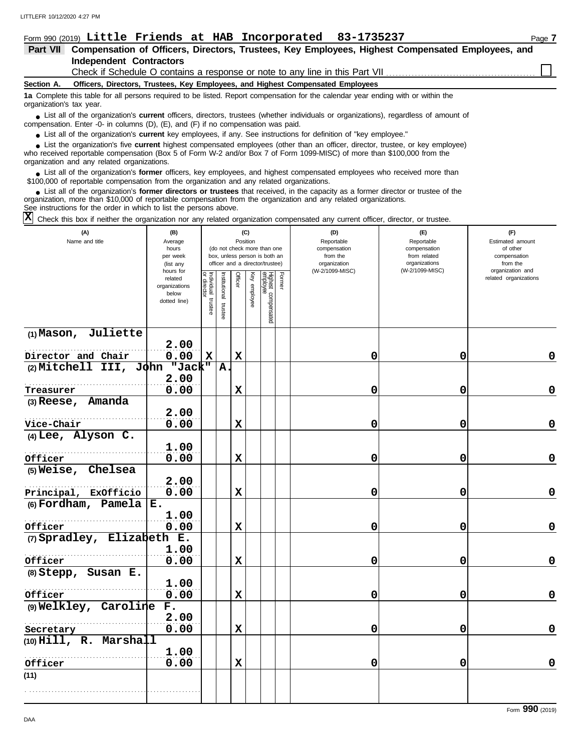| Form 990 (2019) Little Friends at HAB Incorporated 83-1735237                                                                                                                                                                       | Page 7 |  |  |  |  |  |  |  |
|-------------------------------------------------------------------------------------------------------------------------------------------------------------------------------------------------------------------------------------|--------|--|--|--|--|--|--|--|
| Compensation of Officers, Directors, Trustees, Key Employees, Highest Compensated Employees, and<br><b>Part VII</b>                                                                                                                 |        |  |  |  |  |  |  |  |
| <b>Independent Contractors</b>                                                                                                                                                                                                      |        |  |  |  |  |  |  |  |
|                                                                                                                                                                                                                                     |        |  |  |  |  |  |  |  |
| Officers, Directors, Trustees, Key Employees, and Highest Compensated Employees<br>Section A.                                                                                                                                       |        |  |  |  |  |  |  |  |
| 1a Complete this table for all persons required to be listed. Report compensation for the calendar year ending with or within the<br>organization's tax year.                                                                       |        |  |  |  |  |  |  |  |
| • List all of the organization's current officers, directors, trustees (whether individuals or organizations), regardless of amount of<br>compensation. Enter -0- in columns $(D)$ , $(E)$ , and $(F)$ if no compensation was paid. |        |  |  |  |  |  |  |  |
| • List all of the organization's current key employees if any See instructions for definition of "key employee"                                                                                                                     |        |  |  |  |  |  |  |  |

● List all of the organization's **current** key employees, if any. See instructions for definition of "key employee."

■ List the organization's five **current** highest compensated employees (other than an officer, director, trustee, or key employee)<br> **•** Preceived reportable compensation (Box 5 of Form W.2 and/or Box 7 of Form 1000 MISC)

who received reportable compensation (Box 5 of Form W-2 and/or Box 7 of Form 1099-MISC) of more than \$100,000 from the organization and any related organizations.

■ List all of the organization's **former** officers, key employees, and highest compensated employees who received more than<br> **•** 00,000 of reportable compensation from the ergonization and any related ergonizations \$100,000 of reportable compensation from the organization and any related organizations.

List all of the organization's **former directors or trustees** that received, in the capacity as a former director or trustee of the organization, more than \$10,000 of reportable compensation from the organization and any related organizations. See instructions for the order in which to list the persons above. **•**

Check this box if neither the organization nor any related organization compensated any current officer, director, or trustee. **X**

| (A)<br>Name and title      | (B)<br>Average<br>hours<br>per week<br>(list any<br>hours for | (C)<br>Position<br>(do not check more than one<br>box, unless person is both an<br>officer and a director/trustee) |                          |             |              |                                 |        | (D)<br>Reportable<br>compensation<br>from the<br>organization<br>(W-2/1099-MISC) | (E)<br>Reportable<br>compensation<br>from related<br>organizations<br>(W-2/1099-MISC) | (F)<br>Estimated amount<br>of other<br>compensation<br>from the<br>organization and |
|----------------------------|---------------------------------------------------------------|--------------------------------------------------------------------------------------------------------------------|--------------------------|-------------|--------------|---------------------------------|--------|----------------------------------------------------------------------------------|---------------------------------------------------------------------------------------|-------------------------------------------------------------------------------------|
|                            | related<br>organizations<br>below<br>dotted line)             | Individual<br>or director<br>trustee                                                                               | Institutional<br>trustee | Officer     | Key employee | Highest compensated<br>employee | Former |                                                                                  |                                                                                       | related organizations                                                               |
| (1) Mason, Juliette        | 2.00                                                          |                                                                                                                    |                          |             |              |                                 |        |                                                                                  |                                                                                       |                                                                                     |
| Director and Chair         | 0.00                                                          | $\mathbf x$                                                                                                        |                          | $\mathbf x$ |              |                                 |        | 0                                                                                | 0                                                                                     | $\mathbf 0$                                                                         |
| (2) Mitchell III, John     | "Jack"                                                        |                                                                                                                    | Α.                       |             |              |                                 |        |                                                                                  |                                                                                       |                                                                                     |
|                            | 2.00                                                          |                                                                                                                    |                          |             |              |                                 |        |                                                                                  |                                                                                       |                                                                                     |
| Treasurer                  | 0.00                                                          |                                                                                                                    |                          | $\mathbf x$ |              |                                 |        | 0                                                                                | 0                                                                                     | $\mathbf 0$                                                                         |
| (3) Reese, Amanda          |                                                               |                                                                                                                    |                          |             |              |                                 |        |                                                                                  |                                                                                       |                                                                                     |
| Vice-Chair                 | 2.00<br>0.00                                                  |                                                                                                                    |                          | $\mathbf x$ |              |                                 |        | 0                                                                                | 0                                                                                     | $\mathbf 0$                                                                         |
| (4) Lee, Alyson C.         |                                                               |                                                                                                                    |                          |             |              |                                 |        |                                                                                  |                                                                                       |                                                                                     |
|                            | 1.00                                                          |                                                                                                                    |                          |             |              |                                 |        |                                                                                  |                                                                                       |                                                                                     |
| Officer                    | 0.00                                                          |                                                                                                                    |                          | $\mathbf x$ |              |                                 |        | 0                                                                                | 0                                                                                     | $\mathbf 0$                                                                         |
| Chelsea<br>$(5)$ Weise,    |                                                               |                                                                                                                    |                          |             |              |                                 |        |                                                                                  |                                                                                       |                                                                                     |
|                            | 2.00                                                          |                                                                                                                    |                          |             |              |                                 |        |                                                                                  |                                                                                       |                                                                                     |
| Principal, ExOfficio       | 0.00                                                          |                                                                                                                    |                          | $\mathbf x$ |              |                                 |        | 0                                                                                | 0                                                                                     | $\mathbf 0$                                                                         |
| (6) Fordham, Pamela        | E.<br>1.00                                                    |                                                                                                                    |                          |             |              |                                 |        |                                                                                  |                                                                                       |                                                                                     |
| Officer                    | 0.00                                                          |                                                                                                                    |                          | $\mathbf x$ |              |                                 |        | 0                                                                                | 0                                                                                     | $\mathbf 0$                                                                         |
| (7) Spradley, Elizabeth E. |                                                               |                                                                                                                    |                          |             |              |                                 |        |                                                                                  |                                                                                       |                                                                                     |
|                            | 1.00                                                          |                                                                                                                    |                          |             |              |                                 |        |                                                                                  |                                                                                       |                                                                                     |
| Officer                    | 0.00                                                          |                                                                                                                    |                          | $\mathbf x$ |              |                                 |        | 0                                                                                | 0                                                                                     | $\mathbf 0$                                                                         |
| (8) Stepp, Susan E.        |                                                               |                                                                                                                    |                          |             |              |                                 |        |                                                                                  |                                                                                       |                                                                                     |
|                            | 1.00                                                          |                                                                                                                    |                          |             |              |                                 |        |                                                                                  |                                                                                       |                                                                                     |
| Officer                    | 0.00                                                          |                                                                                                                    |                          | $\mathbf x$ |              |                                 |        | 0                                                                                | 0                                                                                     | $\mathbf 0$                                                                         |
| (9) Welkley, Caroline      | F.                                                            |                                                                                                                    |                          |             |              |                                 |        |                                                                                  |                                                                                       |                                                                                     |
|                            | 2.00                                                          |                                                                                                                    |                          |             |              |                                 |        |                                                                                  |                                                                                       |                                                                                     |
| Secretary                  | 0.00                                                          |                                                                                                                    |                          | $\mathbf x$ |              |                                 |        | 0                                                                                | 0                                                                                     | 0                                                                                   |
| (10) Hill, R. Marshall     |                                                               |                                                                                                                    |                          |             |              |                                 |        |                                                                                  |                                                                                       |                                                                                     |
|                            | 1.00                                                          |                                                                                                                    |                          |             |              |                                 |        |                                                                                  |                                                                                       |                                                                                     |
| Officer                    | 0.00                                                          |                                                                                                                    |                          | $\mathbf x$ |              |                                 |        | 0                                                                                | 0                                                                                     | $\mathbf 0$                                                                         |
| (11)                       |                                                               |                                                                                                                    |                          |             |              |                                 |        |                                                                                  |                                                                                       |                                                                                     |
|                            |                                                               |                                                                                                                    |                          |             |              |                                 |        |                                                                                  |                                                                                       |                                                                                     |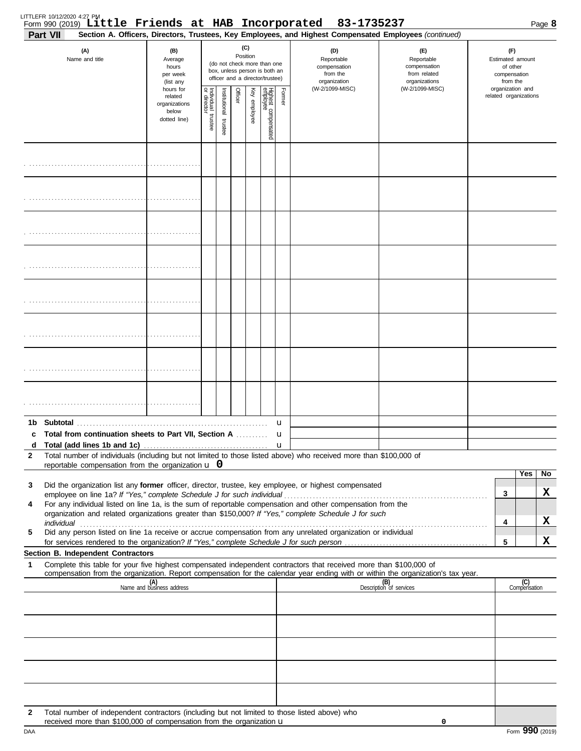| Part VII     |                                                                                                                                                                                 |                                                                |                         |                       |         |                 |                                                                                                 |        | Form 990 (2019) Little Friends at HAB Incorporated 83-1735237<br>Section A. Officers, Directors, Trustees, Key Employees, and Highest Compensated Employees (continued)                                              |                                                                                                                                  |                                                                 |                       | Page 8 |
|--------------|---------------------------------------------------------------------------------------------------------------------------------------------------------------------------------|----------------------------------------------------------------|-------------------------|-----------------------|---------|-----------------|-------------------------------------------------------------------------------------------------|--------|----------------------------------------------------------------------------------------------------------------------------------------------------------------------------------------------------------------------|----------------------------------------------------------------------------------------------------------------------------------|-----------------------------------------------------------------|-----------------------|--------|
|              | (A)<br>Name and title                                                                                                                                                           |                                                                |                         |                       |         | (C)<br>Position | (do not check more than one<br>box, unless person is both an<br>officer and a director/trustee) |        | (D)<br>Reportable<br>compensation<br>from the<br>organization                                                                                                                                                        | (E)<br>Reportable<br>compensation<br>from related<br>organizations                                                               | (F)<br>Estimated amount<br>of other<br>compensation<br>from the |                       |        |
|              |                                                                                                                                                                                 | hours for<br>related<br>organizations<br>below<br>dotted line) | Individual 1<br>trustee | Institutional trustee | Officer | Key employee    | Highest compensated<br>employee                                                                 | Former | (W-2/1099-MISC)                                                                                                                                                                                                      | (W-2/1099-MISC)                                                                                                                  | organization and                                                | related organizations |        |
|              |                                                                                                                                                                                 |                                                                |                         |                       |         |                 |                                                                                                 |        |                                                                                                                                                                                                                      |                                                                                                                                  |                                                                 |                       |        |
|              |                                                                                                                                                                                 |                                                                |                         |                       |         |                 |                                                                                                 |        |                                                                                                                                                                                                                      |                                                                                                                                  |                                                                 |                       |        |
|              |                                                                                                                                                                                 |                                                                |                         |                       |         |                 |                                                                                                 |        |                                                                                                                                                                                                                      |                                                                                                                                  |                                                                 |                       |        |
|              |                                                                                                                                                                                 |                                                                |                         |                       |         |                 |                                                                                                 |        |                                                                                                                                                                                                                      |                                                                                                                                  |                                                                 |                       |        |
|              |                                                                                                                                                                                 |                                                                |                         |                       |         |                 |                                                                                                 |        |                                                                                                                                                                                                                      |                                                                                                                                  |                                                                 |                       |        |
|              |                                                                                                                                                                                 |                                                                |                         |                       |         |                 |                                                                                                 |        |                                                                                                                                                                                                                      |                                                                                                                                  |                                                                 |                       |        |
|              |                                                                                                                                                                                 |                                                                |                         |                       |         |                 |                                                                                                 |        |                                                                                                                                                                                                                      |                                                                                                                                  |                                                                 |                       |        |
|              |                                                                                                                                                                                 |                                                                |                         |                       |         |                 |                                                                                                 |        |                                                                                                                                                                                                                      |                                                                                                                                  |                                                                 |                       |        |
| C            | Total from continuation sheets to Part VII, Section A                                                                                                                           |                                                                |                         |                       |         |                 |                                                                                                 | u<br>u |                                                                                                                                                                                                                      |                                                                                                                                  |                                                                 |                       |        |
| 2            |                                                                                                                                                                                 |                                                                |                         |                       |         |                 |                                                                                                 | u      | Total number of individuals (including but not limited to those listed above) who received more than \$100,000 of                                                                                                    |                                                                                                                                  |                                                                 |                       |        |
| 3            | reportable compensation from the organization $\bf{u}$ 0                                                                                                                        |                                                                |                         |                       |         |                 |                                                                                                 |        | Did the organization list any former officer, director, trustee, key employee, or highest compensated                                                                                                                |                                                                                                                                  |                                                                 | Yes                   | No.    |
| 4            |                                                                                                                                                                                 |                                                                |                         |                       |         |                 |                                                                                                 |        | For any individual listed on line 1a, is the sum of reportable compensation and other compensation from the<br>organization and related organizations greater than \$150,000? If "Yes," complete Schedule J for such |                                                                                                                                  | 3                                                               |                       | X      |
| 5            | individual communications and contact the contact of the contact of the contact of the contact of the contact o                                                                 |                                                                |                         |                       |         |                 |                                                                                                 |        | Did any person listed on line 1a receive or accrue compensation from any unrelated organization or individual                                                                                                        |                                                                                                                                  | 4                                                               |                       | X      |
|              | Section B. Independent Contractors                                                                                                                                              |                                                                |                         |                       |         |                 |                                                                                                 |        |                                                                                                                                                                                                                      |                                                                                                                                  | 5                                                               |                       | X      |
| 1            |                                                                                                                                                                                 |                                                                |                         |                       |         |                 |                                                                                                 |        | Complete this table for your five highest compensated independent contractors that received more than \$100,000 of                                                                                                   | compensation from the organization. Report compensation for the calendar year ending with or within the organization's tax year. |                                                                 |                       |        |
|              |                                                                                                                                                                                 | (A)<br>Name and business address                               |                         |                       |         |                 |                                                                                                 |        |                                                                                                                                                                                                                      | (B)<br>Description of services                                                                                                   |                                                                 | (C)<br>Compensation   |        |
|              |                                                                                                                                                                                 |                                                                |                         |                       |         |                 |                                                                                                 |        |                                                                                                                                                                                                                      |                                                                                                                                  |                                                                 |                       |        |
|              |                                                                                                                                                                                 |                                                                |                         |                       |         |                 |                                                                                                 |        |                                                                                                                                                                                                                      |                                                                                                                                  |                                                                 |                       |        |
|              |                                                                                                                                                                                 |                                                                |                         |                       |         |                 |                                                                                                 |        |                                                                                                                                                                                                                      |                                                                                                                                  |                                                                 |                       |        |
| $\mathbf{2}$ | Total number of independent contractors (including but not limited to those listed above) who<br>received more than \$100,000 of compensation from the organization $\mathbf u$ |                                                                |                         |                       |         |                 |                                                                                                 |        |                                                                                                                                                                                                                      | 0                                                                                                                                |                                                                 |                       |        |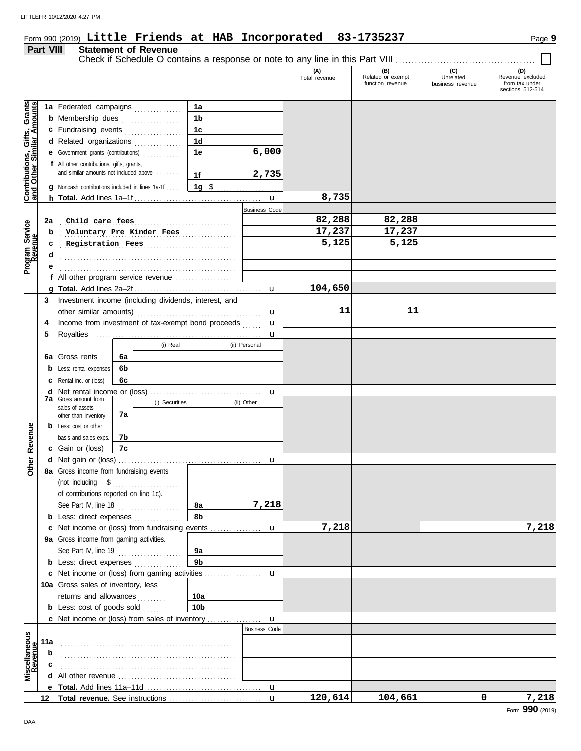# Form 990 (2019) Page **9 Little Friends at HAB Incorporated 83-1735237**

# **Part VIII Statement of Revenue**

Check if Schedule O contains a response or note to any line in this Part VIII . . . . . . . . . . . . . . . . . . . . . . . . . . . . . . . . . . . . . . . . . . . .

|                                                                  |                  |                                                                                     |    |                |                 |                      | (A)<br>Total revenue | (B)<br>Related or exempt<br>function revenue | (C)<br>Unrelated<br>business revenue | (D)<br>Revenue excluded<br>from tax under<br>sections 512-514 |
|------------------------------------------------------------------|------------------|-------------------------------------------------------------------------------------|----|----------------|-----------------|----------------------|----------------------|----------------------------------------------|--------------------------------------|---------------------------------------------------------------|
|                                                                  |                  | 1a Federated campaigns                                                              |    |                | 1a              |                      |                      |                                              |                                      |                                                               |
|                                                                  |                  | <b>b</b> Membership dues                                                            |    |                | 1 <sub>b</sub>  |                      |                      |                                              |                                      |                                                               |
|                                                                  |                  |                                                                                     |    |                | 1 <sub>c</sub>  |                      |                      |                                              |                                      |                                                               |
|                                                                  |                  | c Fundraising events                                                                |    |                | 1 <sub>d</sub>  |                      |                      |                                              |                                      |                                                               |
|                                                                  |                  | d Related organizations                                                             |    | .              |                 | 6,000                |                      |                                              |                                      |                                                               |
|                                                                  |                  | e Government grants (contributions)                                                 |    |                | 1е              |                      |                      |                                              |                                      |                                                               |
| <b>Contributions, Gifts, Grants</b><br>and Other Similar Amounts |                  | f All other contributions, gifts, grants,<br>and similar amounts not included above |    |                | 1f              | 2,735                |                      |                                              |                                      |                                                               |
|                                                                  |                  | <b>g</b> Noncash contributions included in lines 1a-1f                              |    |                | 1g $\sqrt{3}$   |                      |                      |                                              |                                      |                                                               |
|                                                                  |                  |                                                                                     |    |                |                 | $\mathbf u$          | 8,735                |                                              |                                      |                                                               |
|                                                                  |                  |                                                                                     |    |                |                 | <b>Business Code</b> |                      |                                              |                                      |                                                               |
|                                                                  | 2a               | Child care fees                                                                     |    |                |                 |                      | 82,288               | 82,288                                       |                                      |                                                               |
| Program Service<br>Revenue                                       | b                | Voluntary Pre Kinder Fees                                                           |    |                |                 |                      | 17,237               | 17,237                                       |                                      |                                                               |
|                                                                  |                  | Registration Fees                                                                   |    |                |                 |                      | 5,125                | 5,125                                        |                                      |                                                               |
|                                                                  |                  |                                                                                     |    |                |                 |                      |                      |                                              |                                      |                                                               |
|                                                                  |                  |                                                                                     |    |                |                 |                      |                      |                                              |                                      |                                                               |
|                                                                  |                  | f All other program service revenue                                                 |    |                |                 |                      |                      |                                              |                                      |                                                               |
|                                                                  |                  |                                                                                     |    |                |                 | $\mathbf u$          | 104,650              |                                              |                                      |                                                               |
|                                                                  | 3                | Investment income (including dividends, interest, and                               |    |                |                 |                      |                      |                                              |                                      |                                                               |
|                                                                  |                  |                                                                                     |    |                |                 | u                    | 11                   | 11                                           |                                      |                                                               |
|                                                                  | 4                | Income from investment of tax-exempt bond proceeds                                  |    |                |                 |                      |                      |                                              |                                      |                                                               |
|                                                                  |                  |                                                                                     |    |                |                 | u                    |                      |                                              |                                      |                                                               |
|                                                                  | 5                |                                                                                     |    |                |                 | u                    |                      |                                              |                                      |                                                               |
|                                                                  |                  |                                                                                     |    | (i) Real       |                 | (ii) Personal        |                      |                                              |                                      |                                                               |
|                                                                  | 6a               | Gross rents                                                                         | 6a |                |                 |                      |                      |                                              |                                      |                                                               |
|                                                                  | b                | Less: rental expenses                                                               | 6b |                |                 |                      |                      |                                              |                                      |                                                               |
|                                                                  | с                | Rental inc. or (loss)                                                               | 6с |                |                 |                      |                      |                                              |                                      |                                                               |
|                                                                  | d                | <b>7a</b> Gross amount from                                                         |    |                |                 | u                    |                      |                                              |                                      |                                                               |
|                                                                  |                  | sales of assets                                                                     |    | (i) Securities |                 | (ii) Other           |                      |                                              |                                      |                                                               |
|                                                                  |                  | other than inventory                                                                | 7a |                |                 |                      |                      |                                              |                                      |                                                               |
|                                                                  |                  | <b>b</b> Less: cost or other                                                        |    |                |                 |                      |                      |                                              |                                      |                                                               |
| Revenue                                                          |                  | basis and sales exps.                                                               | 7b |                |                 |                      |                      |                                              |                                      |                                                               |
|                                                                  |                  | c Gain or (loss)                                                                    | 7c |                |                 |                      |                      |                                              |                                      |                                                               |
| Other                                                            |                  |                                                                                     |    |                |                 | u                    |                      |                                              |                                      |                                                               |
|                                                                  |                  | 8a Gross income from fundraising events                                             |    |                |                 |                      |                      |                                              |                                      |                                                               |
|                                                                  |                  |                                                                                     |    |                |                 |                      |                      |                                              |                                      |                                                               |
|                                                                  |                  | of contributions reported on line 1c).                                              |    |                |                 |                      |                      |                                              |                                      |                                                               |
|                                                                  |                  | See Part IV, line 18                                                                |    |                | 8а              | 7,218                |                      |                                              |                                      |                                                               |
|                                                                  |                  | <b>b</b> Less: direct expenses                                                      |    |                | 8b              |                      |                      |                                              |                                      |                                                               |
|                                                                  |                  | c Net income or (loss) from fundraising events                                      |    |                |                 | u                    | 7,218                |                                              |                                      | 7,218                                                         |
|                                                                  |                  | 9a Gross income from gaming activities.                                             |    |                |                 |                      |                      |                                              |                                      |                                                               |
|                                                                  |                  | See Part IV, line 19                                                                |    | .              | 9а              |                      |                      |                                              |                                      |                                                               |
|                                                                  |                  | <b>b</b> Less: direct expenses                                                      |    |                | 9 <sub>b</sub>  |                      |                      |                                              |                                      |                                                               |
|                                                                  |                  | c Net income or (loss) from gaming activities                                       |    |                |                 | u                    |                      |                                              |                                      |                                                               |
|                                                                  |                  | 10a Gross sales of inventory, less                                                  |    |                |                 |                      |                      |                                              |                                      |                                                               |
|                                                                  |                  | returns and allowances                                                              |    |                | 10a             |                      |                      |                                              |                                      |                                                               |
|                                                                  |                  | <b>b</b> Less: cost of goods sold                                                   |    | .              | 10 <sub>b</sub> |                      |                      |                                              |                                      |                                                               |
|                                                                  |                  | c Net income or (loss) from sales of inventory                                      |    |                |                 | $\mathbf u$          |                      |                                              |                                      |                                                               |
|                                                                  |                  |                                                                                     |    |                |                 | <b>Business Code</b> |                      |                                              |                                      |                                                               |
|                                                                  | 11a              |                                                                                     |    |                |                 |                      |                      |                                              |                                      |                                                               |
|                                                                  |                  |                                                                                     |    |                |                 |                      |                      |                                              |                                      |                                                               |
|                                                                  | b                |                                                                                     |    |                |                 |                      |                      |                                              |                                      |                                                               |
| Miscellaneous<br>Revenue                                         |                  |                                                                                     |    |                |                 |                      |                      |                                              |                                      |                                                               |
|                                                                  | d                |                                                                                     |    |                |                 |                      |                      |                                              |                                      |                                                               |
|                                                                  |                  |                                                                                     |    |                |                 | $\mathbf u$          | 120,614              | 104,661                                      | 0                                    | 7,218                                                         |
|                                                                  | 12 <sup>12</sup> |                                                                                     |    |                |                 | $\mathbf{u}$         |                      |                                              |                                      | $\alpha \alpha \wedge \alpha$                                 |

DAA

 $\Box$ 

Form **990** (2019)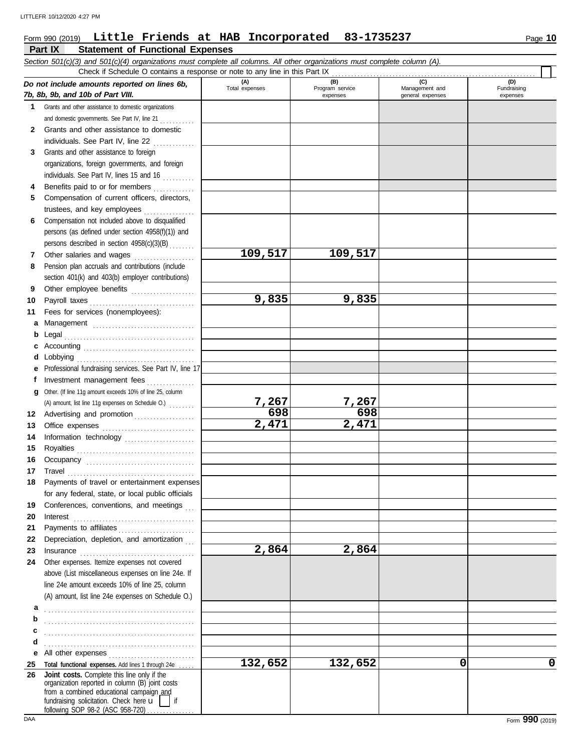#### **Part IX Statement of Functional Expenses** Form 990 (2019) Page **10 Little Friends at HAB Incorporated 83-1735237**

|    | Check if Schedule O contains a response or note to any line in this Part IX                                                                                                                                                                                                                                                                                                                                                                                                                          |                       |                                    |                                           |                                |
|----|------------------------------------------------------------------------------------------------------------------------------------------------------------------------------------------------------------------------------------------------------------------------------------------------------------------------------------------------------------------------------------------------------------------------------------------------------------------------------------------------------|-----------------------|------------------------------------|-------------------------------------------|--------------------------------|
|    | Do not include amounts reported on lines 6b,<br>7b, 8b, 9b, and 10b of Part VIII.                                                                                                                                                                                                                                                                                                                                                                                                                    | (A)<br>Total expenses | (B)<br>Program service<br>expenses | (C)<br>Management and<br>general expenses | (D)<br>Fundraising<br>expenses |
| 1  | Grants and other assistance to domestic organizations                                                                                                                                                                                                                                                                                                                                                                                                                                                |                       |                                    |                                           |                                |
|    | and domestic governments. See Part IV, line 21                                                                                                                                                                                                                                                                                                                                                                                                                                                       |                       |                                    |                                           |                                |
| 2  | Grants and other assistance to domestic                                                                                                                                                                                                                                                                                                                                                                                                                                                              |                       |                                    |                                           |                                |
|    | individuals. See Part IV, line 22                                                                                                                                                                                                                                                                                                                                                                                                                                                                    |                       |                                    |                                           |                                |
| 3  | Grants and other assistance to foreign                                                                                                                                                                                                                                                                                                                                                                                                                                                               |                       |                                    |                                           |                                |
|    | organizations, foreign governments, and foreign                                                                                                                                                                                                                                                                                                                                                                                                                                                      |                       |                                    |                                           |                                |
|    | individuals. See Part IV, lines 15 and 16                                                                                                                                                                                                                                                                                                                                                                                                                                                            |                       |                                    |                                           |                                |
| 4  | Benefits paid to or for members                                                                                                                                                                                                                                                                                                                                                                                                                                                                      |                       |                                    |                                           |                                |
| 5  | Compensation of current officers, directors,                                                                                                                                                                                                                                                                                                                                                                                                                                                         |                       |                                    |                                           |                                |
|    | trustees, and key employees                                                                                                                                                                                                                                                                                                                                                                                                                                                                          |                       |                                    |                                           |                                |
| 6  | Compensation not included above to disqualified                                                                                                                                                                                                                                                                                                                                                                                                                                                      |                       |                                    |                                           |                                |
|    | persons (as defined under section 4958(f)(1)) and                                                                                                                                                                                                                                                                                                                                                                                                                                                    |                       |                                    |                                           |                                |
|    | persons described in section 4958(c)(3)(B)                                                                                                                                                                                                                                                                                                                                                                                                                                                           |                       |                                    |                                           |                                |
| 7  | Other salaries and wages<br>and a straight and straight and a straight and a straight and a straight and a straight and a straight and a                                                                                                                                                                                                                                                                                                                                                             | 109,517               | 109,517                            |                                           |                                |
| 8  | Pension plan accruals and contributions (include                                                                                                                                                                                                                                                                                                                                                                                                                                                     |                       |                                    |                                           |                                |
|    | section 401(k) and 403(b) employer contributions)                                                                                                                                                                                                                                                                                                                                                                                                                                                    |                       |                                    |                                           |                                |
| 9  | Other employee benefits                                                                                                                                                                                                                                                                                                                                                                                                                                                                              |                       |                                    |                                           |                                |
| 10 | Payroll taxes                                                                                                                                                                                                                                                                                                                                                                                                                                                                                        | 9,835                 | 9,835                              |                                           |                                |
| 11 | Fees for services (nonemployees):                                                                                                                                                                                                                                                                                                                                                                                                                                                                    |                       |                                    |                                           |                                |
| а  |                                                                                                                                                                                                                                                                                                                                                                                                                                                                                                      |                       |                                    |                                           |                                |
| b  |                                                                                                                                                                                                                                                                                                                                                                                                                                                                                                      |                       |                                    |                                           |                                |
|    |                                                                                                                                                                                                                                                                                                                                                                                                                                                                                                      |                       |                                    |                                           |                                |
| d  | Lobbying                                                                                                                                                                                                                                                                                                                                                                                                                                                                                             |                       |                                    |                                           |                                |
| е  | Professional fundraising services. See Part IV, line 17                                                                                                                                                                                                                                                                                                                                                                                                                                              |                       |                                    |                                           |                                |
| f  | Investment management fees                                                                                                                                                                                                                                                                                                                                                                                                                                                                           |                       |                                    |                                           |                                |
| g  | Other. (If line 11g amount exceeds 10% of line 25, column                                                                                                                                                                                                                                                                                                                                                                                                                                            |                       |                                    |                                           |                                |
|    | (A) amount, list line 11g expenses on Schedule O.)                                                                                                                                                                                                                                                                                                                                                                                                                                                   | 7,267                 | 7,267                              |                                           |                                |
| 12 | Advertising and promotion                                                                                                                                                                                                                                                                                                                                                                                                                                                                            | 698                   | 698                                |                                           |                                |
| 13 |                                                                                                                                                                                                                                                                                                                                                                                                                                                                                                      | 2,471                 | 2,471                              |                                           |                                |
| 14 | Information technology                                                                                                                                                                                                                                                                                                                                                                                                                                                                               |                       |                                    |                                           |                                |
| 15 |                                                                                                                                                                                                                                                                                                                                                                                                                                                                                                      |                       |                                    |                                           |                                |
| 16 |                                                                                                                                                                                                                                                                                                                                                                                                                                                                                                      |                       |                                    |                                           |                                |
| 17 |                                                                                                                                                                                                                                                                                                                                                                                                                                                                                                      |                       |                                    |                                           |                                |
| 18 | Payments of travel or entertainment expenses                                                                                                                                                                                                                                                                                                                                                                                                                                                         |                       |                                    |                                           |                                |
|    | for any federal, state, or local public officials                                                                                                                                                                                                                                                                                                                                                                                                                                                    |                       |                                    |                                           |                                |
| 19 | Conferences, conventions, and meetings                                                                                                                                                                                                                                                                                                                                                                                                                                                               |                       |                                    |                                           |                                |
| 20 |                                                                                                                                                                                                                                                                                                                                                                                                                                                                                                      |                       |                                    |                                           |                                |
| 21 | Payments to affiliates                                                                                                                                                                                                                                                                                                                                                                                                                                                                               |                       |                                    |                                           |                                |
| 22 | Depreciation, depletion, and amortization                                                                                                                                                                                                                                                                                                                                                                                                                                                            |                       |                                    |                                           |                                |
| 23 | $In surface \begin{tabular}{@{}l@{}} \hline \multicolumn{3}{c}{\textbf{}} & \multicolumn{3}{c}{\textbf{}} \\ \multicolumn{3}{c}{\textbf{}} & \multicolumn{3}{c}{\textbf{}} \\ \multicolumn{3}{c}{\textbf{}} & \multicolumn{3}{c}{\textbf{}} \\ \multicolumn{3}{c}{\textbf{}} & \multicolumn{3}{c}{\textbf{}} \\ \multicolumn{3}{c}{\textbf{}} & \multicolumn{3}{c}{\textbf{}} \\ \multicolumn{3}{c}{\textbf{}} & \multicolumn{3}{c}{\textbf{}} \\ \multicolumn{3}{c}{\textbf{}} & \multicolumn{3}{c$ | 2,864                 | 2,864                              |                                           |                                |
| 24 | Other expenses. Itemize expenses not covered                                                                                                                                                                                                                                                                                                                                                                                                                                                         |                       |                                    |                                           |                                |
|    | above (List miscellaneous expenses on line 24e. If                                                                                                                                                                                                                                                                                                                                                                                                                                                   |                       |                                    |                                           |                                |
|    | line 24e amount exceeds 10% of line 25, column                                                                                                                                                                                                                                                                                                                                                                                                                                                       |                       |                                    |                                           |                                |
|    | (A) amount, list line 24e expenses on Schedule O.)                                                                                                                                                                                                                                                                                                                                                                                                                                                   |                       |                                    |                                           |                                |
| а  |                                                                                                                                                                                                                                                                                                                                                                                                                                                                                                      |                       |                                    |                                           |                                |
| b  |                                                                                                                                                                                                                                                                                                                                                                                                                                                                                                      |                       |                                    |                                           |                                |
| c  |                                                                                                                                                                                                                                                                                                                                                                                                                                                                                                      |                       |                                    |                                           |                                |
| d  |                                                                                                                                                                                                                                                                                                                                                                                                                                                                                                      |                       |                                    |                                           |                                |
| е  |                                                                                                                                                                                                                                                                                                                                                                                                                                                                                                      |                       |                                    |                                           |                                |
| 25 | Total functional expenses. Add lines 1 through 24e                                                                                                                                                                                                                                                                                                                                                                                                                                                   | 132,652               | 132,652                            | 0                                         | 0                              |
| 26 | Joint costs. Complete this line only if the                                                                                                                                                                                                                                                                                                                                                                                                                                                          |                       |                                    |                                           |                                |
|    | organization reported in column (B) joint costs<br>from a combined educational campaign and                                                                                                                                                                                                                                                                                                                                                                                                          |                       |                                    |                                           |                                |
|    | fundraising solicitation. Check here u                                                                                                                                                                                                                                                                                                                                                                                                                                                               |                       |                                    |                                           |                                |

following SOP 98-2 (ASC 958-720) . . . . . . . . . . . . .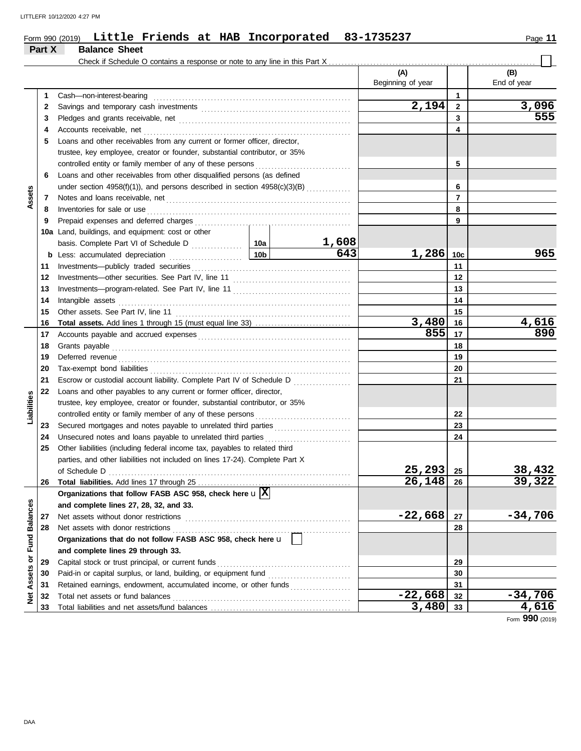|        | Part X           | Form 990 (2019) Little Friends at HAB Incorporated 83-1735237<br><b>Balance Sheet</b>                                                                                                                                                     |  |       |                          |                | Page 11            |
|--------|------------------|-------------------------------------------------------------------------------------------------------------------------------------------------------------------------------------------------------------------------------------------|--|-------|--------------------------|----------------|--------------------|
|        |                  |                                                                                                                                                                                                                                           |  |       |                          |                |                    |
|        |                  |                                                                                                                                                                                                                                           |  |       | (A)<br>Beginning of year |                | (B)<br>End of year |
|        | 1                | Cash-non-interest-bearing                                                                                                                                                                                                                 |  |       | 1                        |                |                    |
|        | 2                |                                                                                                                                                                                                                                           |  |       | 2,194                    | $\overline{2}$ | 3,096              |
|        | 3                |                                                                                                                                                                                                                                           |  |       | 3                        | 555            |                    |
|        | 4                | Accounts receivable, net                                                                                                                                                                                                                  |  |       | 4                        |                |                    |
|        | 5                | Loans and other receivables from any current or former officer, director,                                                                                                                                                                 |  |       |                          |                |                    |
|        |                  | trustee, key employee, creator or founder, substantial contributor, or 35%                                                                                                                                                                |  |       |                          |                |                    |
|        |                  | controlled entity or family member of any of these persons                                                                                                                                                                                |  |       | 5                        |                |                    |
|        | 6                | Loans and other receivables from other disqualified persons (as defined                                                                                                                                                                   |  |       |                          |                |                    |
|        |                  | under section 4958(f)(1)), and persons described in section $4958(c)(3)(B)$                                                                                                                                                               |  |       |                          | 6              |                    |
| Assets |                  |                                                                                                                                                                                                                                           |  |       |                          | $\overline{7}$ |                    |
|        |                  |                                                                                                                                                                                                                                           |  |       |                          | 8              |                    |
|        |                  |                                                                                                                                                                                                                                           |  |       |                          | 9              |                    |
|        |                  | <b>10a</b> Land, buildings, and equipment: cost or other                                                                                                                                                                                  |  |       |                          |                |                    |
|        |                  |                                                                                                                                                                                                                                           |  | 1,608 |                          |                |                    |
|        |                  | <b>b</b> Less: accumulated depreciation <b>contains the set of the language of language and language and language and language and language and language and language and language and language and language and language and languag</b> |  | 643   | 1,286                    | 10c            | 965                |
|        | 11               | Investments---publicly traded securities                                                                                                                                                                                                  |  |       |                          | 11             |                    |
|        | 12               |                                                                                                                                                                                                                                           |  |       |                          | 12             |                    |
|        | 13               |                                                                                                                                                                                                                                           |  |       | 13                       |                |                    |
|        | 14               | Intangible assets                                                                                                                                                                                                                         |  |       | 14                       |                |                    |
|        | 15               | Other assets. See Part IV, line 11                                                                                                                                                                                                        |  |       |                          | 15             |                    |
|        | 16               |                                                                                                                                                                                                                                           |  |       | 3,480                    | 16             | 4,616              |
|        | 17 <sup>17</sup> |                                                                                                                                                                                                                                           |  |       | 855                      | 17             | 890                |
|        |                  |                                                                                                                                                                                                                                           |  |       |                          |                |                    |

|                 | 18 |                                                                                                                                                                         | 18 |                  |
|-----------------|----|-------------------------------------------------------------------------------------------------------------------------------------------------------------------------|----|------------------|
|                 | 19 | Deferred revenue                                                                                                                                                        | 19 |                  |
|                 | 20 |                                                                                                                                                                         | 20 |                  |
|                 | 21 | Escrow or custodial account liability. Complete Part IV of Schedule D                                                                                                   | 21 |                  |
|                 | 22 | Loans and other payables to any current or former officer, director,                                                                                                    |    |                  |
|                 |    | trustee, key employee, creator or founder, substantial contributor, or 35%                                                                                              |    |                  |
| Liabilities     |    | controlled entity or family member of any of these persons                                                                                                              | 22 |                  |
|                 | 23 | Secured mortgages and notes payable to unrelated third parties [111] Secured mortgages and notes payable to unrelated third parties [11] Annumental mortgages and notes | 23 |                  |
|                 | 24 | Unsecured notes and loans payable to unrelated third parties                                                                                                            | 24 |                  |
|                 | 25 | Other liabilities (including federal income tax, payables to related third                                                                                              |    |                  |
|                 |    | parties, and other liabilities not included on lines 17-24). Complete Part X                                                                                            |    |                  |
|                 |    | 25, 293<br>of Schedule D                                                                                                                                                | 25 | 38,432<br>39,322 |
|                 | 26 | 26, 148                                                                                                                                                                 | 26 |                  |
|                 |    | Organizations that follow FASB ASC 958, check here $\mathbf{u} \mathbf{X} $                                                                                             |    |                  |
| <b>Balances</b> |    | and complete lines 27, 28, 32, and 33.                                                                                                                                  |    |                  |
|                 | 27 | $-22,668$<br>Net assets without donor restrictions                                                                                                                      | 27 | $-34,706$        |
|                 | 28 | Net assets with donor restrictions                                                                                                                                      | 28 |                  |
| Fund            |    | Organizations that do not follow FASB ASC 958, check here u                                                                                                             |    |                  |
|                 |    | and complete lines 29 through 33.                                                                                                                                       |    |                  |
| ৯               | 29 | Capital stock or trust principal, or current funds                                                                                                                      | 29 |                  |
| ssets           | 30 | Paid-in or capital surplus, or land, building, or equipment fund                                                                                                        | 30 |                  |
|                 | 31 | Retained earnings, endowment, accumulated income, or other funds                                                                                                        | 31 |                  |
| ğ               | 32 | $-22,668$<br>Total net assets or fund balances                                                                                                                          | 32 | $-34,706$        |
|                 | 33 | 3,480                                                                                                                                                                   | 33 | 4,616            |
|                 |    |                                                                                                                                                                         |    |                  |

Form **990** (2019)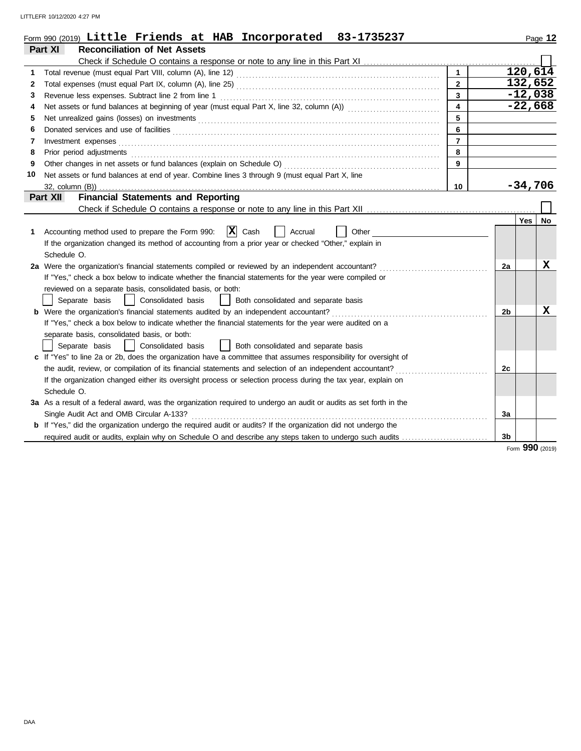LITTLEFR 10/12/2020 4:27 PM

|              | Form 990 (2019) Little Friends at HAB Incorporated<br>83-1735237                                                      |                         |    |           | Page 12         |
|--------------|-----------------------------------------------------------------------------------------------------------------------|-------------------------|----|-----------|-----------------|
|              | <b>Reconciliation of Net Assets</b><br>Part XI                                                                        |                         |    |           |                 |
|              |                                                                                                                       |                         |    |           |                 |
| 1            |                                                                                                                       |                         |    | 120, 614  |                 |
| $\mathbf{2}$ |                                                                                                                       | $\mathbf{2}$            |    | 132,652   |                 |
| 3            | Revenue less expenses. Subtract line 2 from line 1                                                                    | $\overline{\mathbf{3}}$ |    | $-12,038$ |                 |
| 4            |                                                                                                                       | $\overline{\mathbf{4}}$ |    | $-22,668$ |                 |
| 5            |                                                                                                                       | 5                       |    |           |                 |
| 6            |                                                                                                                       | 6                       |    |           |                 |
| 7            | Investment expenses                                                                                                   | $\overline{7}$          |    |           |                 |
| 8            | Prior period adjustments                                                                                              | 8                       |    |           |                 |
| 9            | Other changes in net assets or fund balances (explain on Schedule O)                                                  | 9                       |    |           |                 |
| 10           | Net assets or fund balances at end of year. Combine lines 3 through 9 (must equal Part X, line                        |                         |    |           |                 |
|              | 32, column (B))                                                                                                       | 10                      |    | $-34,706$ |                 |
|              | <b>Financial Statements and Reporting</b><br>Part XII                                                                 |                         |    |           |                 |
|              |                                                                                                                       |                         |    |           |                 |
|              |                                                                                                                       |                         |    | Yes       | No              |
| 1            | $ \mathbf{X} $ Cash<br>Accounting method used to prepare the Form 990:<br>Accrual<br>Other                            |                         |    |           |                 |
|              | If the organization changed its method of accounting from a prior year or checked "Other," explain in                 |                         |    |           |                 |
|              | Schedule O.                                                                                                           |                         |    |           |                 |
|              | 2a Were the organization's financial statements compiled or reviewed by an independent accountant?                    |                         | 2a |           | X               |
|              | If "Yes," check a box below to indicate whether the financial statements for the year were compiled or                |                         |    |           |                 |
|              | reviewed on a separate basis, consolidated basis, or both:                                                            |                         |    |           |                 |
|              | Separate basis<br>Consolidated basis<br>Both consolidated and separate basis                                          |                         |    |           |                 |
|              | b Were the organization's financial statements audited by an independent accountant?                                  |                         | 2b |           | X               |
|              | If "Yes," check a box below to indicate whether the financial statements for the year were audited on a               |                         |    |           |                 |
|              | separate basis, consolidated basis, or both:                                                                          |                         |    |           |                 |
|              | Both consolidated and separate basis<br>Separate basis<br>Consolidated basis                                          |                         |    |           |                 |
|              | c If "Yes" to line 2a or 2b, does the organization have a committee that assumes responsibility for oversight of      |                         |    |           |                 |
|              | the audit, review, or compilation of its financial statements and selection of an independent accountant?             |                         | 2c |           |                 |
|              | If the organization changed either its oversight process or selection process during the tax year, explain on         |                         |    |           |                 |
|              | Schedule O.                                                                                                           |                         |    |           |                 |
|              | 3a As a result of a federal award, was the organization required to undergo an audit or audits as set forth in the    |                         |    |           |                 |
|              | Single Audit Act and OMB Circular A-133?                                                                              |                         | За |           |                 |
|              | <b>b</b> If "Yes," did the organization undergo the required audit or audits? If the organization did not undergo the |                         |    |           |                 |
|              | required audit or audits, explain why on Schedule O and describe any steps taken to undergo such audits               |                         | 3b |           | Form 990 (2019) |
|              |                                                                                                                       |                         |    |           |                 |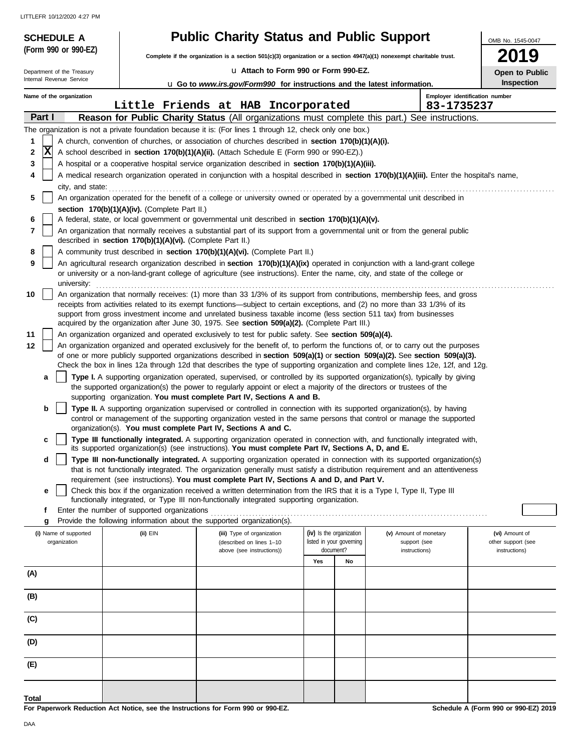LITTLEFR 10/12/2020 4:27 PM

|          | <b>SCHEDULE A</b>                     |                                                            | <b>Public Charity Status and Public Support</b>                                                                                                                                                                     |                                                                   |                                                                                                                                                                                                                                                                 | OMB No. 1545-0047                                     |  |  |  |
|----------|---------------------------------------|------------------------------------------------------------|---------------------------------------------------------------------------------------------------------------------------------------------------------------------------------------------------------------------|-------------------------------------------------------------------|-----------------------------------------------------------------------------------------------------------------------------------------------------------------------------------------------------------------------------------------------------------------|-------------------------------------------------------|--|--|--|
|          | (Form 990 or 990-EZ)                  |                                                            | 2019<br>Complete if the organization is a section 501(c)(3) organization or a section 4947(a)(1) nonexempt charitable trust.                                                                                        |                                                                   |                                                                                                                                                                                                                                                                 |                                                       |  |  |  |
|          | Department of the Treasury            |                                                            | La Attach to Form 990 or Form 990-EZ.<br>Open to Public                                                                                                                                                             |                                                                   |                                                                                                                                                                                                                                                                 |                                                       |  |  |  |
|          | Internal Revenue Service              |                                                            | <b>u</b> Go to www.irs.gov/Form990 for instructions and the latest information.                                                                                                                                     |                                                                   |                                                                                                                                                                                                                                                                 | <b>Inspection</b>                                     |  |  |  |
|          | Name of the organization              |                                                            |                                                                                                                                                                                                                     |                                                                   |                                                                                                                                                                                                                                                                 | Employer identification number                        |  |  |  |
|          | Part I                                |                                                            | Little Friends at HAB Incorporated                                                                                                                                                                                  |                                                                   | 83-1735237<br>Reason for Public Charity Status (All organizations must complete this part.) See instructions.                                                                                                                                                   |                                                       |  |  |  |
|          |                                       |                                                            | The organization is not a private foundation because it is: (For lines 1 through 12, check only one box.)                                                                                                           |                                                                   |                                                                                                                                                                                                                                                                 |                                                       |  |  |  |
| 1        |                                       |                                                            | A church, convention of churches, or association of churches described in section 170(b)(1)(A)(i).                                                                                                                  |                                                                   |                                                                                                                                                                                                                                                                 |                                                       |  |  |  |
| 2        | X                                     |                                                            | A school described in section 170(b)(1)(A)(ii). (Attach Schedule E (Form 990 or 990-EZ).)                                                                                                                           |                                                                   |                                                                                                                                                                                                                                                                 |                                                       |  |  |  |
| 3        |                                       |                                                            | A hospital or a cooperative hospital service organization described in section 170(b)(1)(A)(iii).                                                                                                                   |                                                                   |                                                                                                                                                                                                                                                                 |                                                       |  |  |  |
| 4        |                                       |                                                            |                                                                                                                                                                                                                     |                                                                   | A medical research organization operated in conjunction with a hospital described in section 170(b)(1)(A)(iii). Enter the hospital's name,                                                                                                                      |                                                       |  |  |  |
| 5        | city, and state:                      |                                                            |                                                                                                                                                                                                                     |                                                                   | An organization operated for the benefit of a college or university owned or operated by a governmental unit described in                                                                                                                                       |                                                       |  |  |  |
| 6        |                                       | section 170(b)(1)(A)(iv). (Complete Part II.)              | A federal, state, or local government or governmental unit described in section 170(b)(1)(A)(v).                                                                                                                    |                                                                   |                                                                                                                                                                                                                                                                 |                                                       |  |  |  |
| 7        |                                       | described in section 170(b)(1)(A)(vi). (Complete Part II.) |                                                                                                                                                                                                                     |                                                                   | An organization that normally receives a substantial part of its support from a governmental unit or from the general public                                                                                                                                    |                                                       |  |  |  |
| 8        |                                       |                                                            | A community trust described in section 170(b)(1)(A)(vi). (Complete Part II.)                                                                                                                                        |                                                                   |                                                                                                                                                                                                                                                                 |                                                       |  |  |  |
| 9        |                                       |                                                            |                                                                                                                                                                                                                     |                                                                   | An agricultural research organization described in section 170(b)(1)(A)(ix) operated in conjunction with a land-grant college<br>or university or a non-land-grant college of agriculture (see instructions). Enter the name, city, and state of the college or |                                                       |  |  |  |
| 10       | university:                           |                                                            |                                                                                                                                                                                                                     |                                                                   | An organization that normally receives: (1) more than 33 1/3% of its support from contributions, membership fees, and gross                                                                                                                                     |                                                       |  |  |  |
|          |                                       |                                                            | support from gross investment income and unrelated business taxable income (less section 511 tax) from businesses                                                                                                   |                                                                   | receipts from activities related to its exempt functions—subject to certain exceptions, and (2) no more than 33 1/3% of its                                                                                                                                     |                                                       |  |  |  |
|          |                                       |                                                            | acquired by the organization after June 30, 1975. See section 509(a)(2). (Complete Part III.)                                                                                                                       |                                                                   |                                                                                                                                                                                                                                                                 |                                                       |  |  |  |
| 11<br>12 |                                       |                                                            | An organization organized and operated exclusively to test for public safety. See section 509(a)(4).                                                                                                                |                                                                   | An organization organized and operated exclusively for the benefit of, to perform the functions of, or to carry out the purposes                                                                                                                                |                                                       |  |  |  |
|          |                                       |                                                            |                                                                                                                                                                                                                     |                                                                   | of one or more publicly supported organizations described in section 509(a)(1) or section 509(a)(2). See section 509(a)(3).<br>Check the box in lines 12a through 12d that describes the type of supporting organization and complete lines 12e, 12f, and 12g.  |                                                       |  |  |  |
|          | a                                     |                                                            |                                                                                                                                                                                                                     |                                                                   | Type I. A supporting organization operated, supervised, or controlled by its supported organization(s), typically by giving                                                                                                                                     |                                                       |  |  |  |
|          |                                       |                                                            | the supported organization(s) the power to regularly appoint or elect a majority of the directors or trustees of the<br>supporting organization. You must complete Part IV, Sections A and B.                       |                                                                   |                                                                                                                                                                                                                                                                 |                                                       |  |  |  |
|          | b                                     |                                                            | organization(s). You must complete Part IV, Sections A and C.                                                                                                                                                       |                                                                   | Type II. A supporting organization supervised or controlled in connection with its supported organization(s), by having<br>control or management of the supporting organization vested in the same persons that control or manage the supported                 |                                                       |  |  |  |
|          | c                                     |                                                            | its supported organization(s) (see instructions). You must complete Part IV, Sections A, D, and E.                                                                                                                  |                                                                   | Type III functionally integrated. A supporting organization operated in connection with, and functionally integrated with,                                                                                                                                      |                                                       |  |  |  |
|          | d                                     |                                                            |                                                                                                                                                                                                                     |                                                                   | Type III non-functionally integrated. A supporting organization operated in connection with its supported organization(s)<br>that is not functionally integrated. The organization generally must satisfy a distribution requirement and an attentiveness       |                                                       |  |  |  |
|          |                                       |                                                            | requirement (see instructions). You must complete Part IV, Sections A and D, and Part V.<br>Check this box if the organization received a written determination from the IRS that it is a Type I, Type II, Type III |                                                                   |                                                                                                                                                                                                                                                                 |                                                       |  |  |  |
|          | е                                     |                                                            | functionally integrated, or Type III non-functionally integrated supporting organization.                                                                                                                           |                                                                   |                                                                                                                                                                                                                                                                 |                                                       |  |  |  |
|          | f                                     | Enter the number of supported organizations                |                                                                                                                                                                                                                     |                                                                   |                                                                                                                                                                                                                                                                 |                                                       |  |  |  |
|          | g                                     |                                                            | Provide the following information about the supported organization(s).                                                                                                                                              |                                                                   |                                                                                                                                                                                                                                                                 |                                                       |  |  |  |
|          | (i) Name of supported<br>organization | (ii) EIN                                                   | (iii) Type of organization<br>(described on lines 1-10<br>above (see instructions))                                                                                                                                 | (iv) Is the organization<br>listed in your governing<br>document? | (v) Amount of monetary<br>support (see<br>instructions)                                                                                                                                                                                                         | (vi) Amount of<br>other support (see<br>instructions) |  |  |  |
|          |                                       |                                                            |                                                                                                                                                                                                                     | Yes<br>No                                                         |                                                                                                                                                                                                                                                                 |                                                       |  |  |  |
| (A)      |                                       |                                                            |                                                                                                                                                                                                                     |                                                                   |                                                                                                                                                                                                                                                                 |                                                       |  |  |  |
| (B)      |                                       |                                                            |                                                                                                                                                                                                                     |                                                                   |                                                                                                                                                                                                                                                                 |                                                       |  |  |  |
| (C)      |                                       |                                                            |                                                                                                                                                                                                                     |                                                                   |                                                                                                                                                                                                                                                                 |                                                       |  |  |  |
| (D)      |                                       |                                                            |                                                                                                                                                                                                                     |                                                                   |                                                                                                                                                                                                                                                                 |                                                       |  |  |  |
| (E)      |                                       |                                                            |                                                                                                                                                                                                                     |                                                                   |                                                                                                                                                                                                                                                                 |                                                       |  |  |  |
| Total    |                                       |                                                            |                                                                                                                                                                                                                     |                                                                   |                                                                                                                                                                                                                                                                 |                                                       |  |  |  |

**For Paperwork Reduction Act Notice, see the Instructions for Form 990 or 990-EZ.**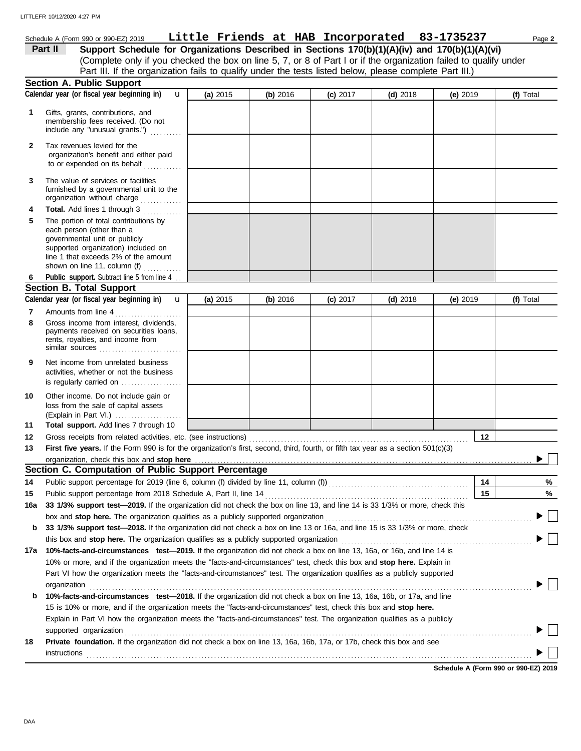## Schedule A (Form 990 or 990-EZ) 2019 Page **2 Little Friends at HAB Incorporated 83-1735237**

(Complete only if you checked the box on line 5, 7, or 8 of Part I or if the organization failed to qualify under Part II Support Schedule for Organizations Described in Sections 170(b)(1)(A)(iv) and 170(b)(1)(A)(vi) Part III. If the organization fails to qualify under the tests listed below, please complete Part III.)

|     | <b>Section A. Public Support</b>                                                                                                                                                                                   |          |          |            |            |            |           |
|-----|--------------------------------------------------------------------------------------------------------------------------------------------------------------------------------------------------------------------|----------|----------|------------|------------|------------|-----------|
|     | Calendar year (or fiscal year beginning in)<br>u                                                                                                                                                                   | (a) 2015 | (b) 2016 | $(c)$ 2017 | $(d)$ 2018 | (e) 2019   | (f) Total |
| 1   | Gifts, grants, contributions, and<br>membership fees received. (Do not<br>include any "unusual grants.")                                                                                                           |          |          |            |            |            |           |
| 2   | Tax revenues levied for the<br>organization's benefit and either paid<br>to or expended on its behalf                                                                                                              |          |          |            |            |            |           |
| 3   | The value of services or facilities<br>furnished by a governmental unit to the<br>organization without charge                                                                                                      |          |          |            |            |            |           |
| 4   | <b>Total.</b> Add lines 1 through 3                                                                                                                                                                                |          |          |            |            |            |           |
| 5   | The portion of total contributions by<br>each person (other than a<br>governmental unit or publicly<br>supported organization) included on<br>line 1 that exceeds 2% of the amount<br>shown on line 11, column (f) |          |          |            |            |            |           |
| 6   | Public support. Subtract line 5 from line 4                                                                                                                                                                        |          |          |            |            |            |           |
|     | <b>Section B. Total Support</b>                                                                                                                                                                                    |          |          |            |            |            |           |
|     | Calendar year (or fiscal year beginning in)<br>u                                                                                                                                                                   | (a) 2015 | (b) 2016 | (c) 2017   | $(d)$ 2018 | (e) $2019$ | (f) Total |
| 7   | Amounts from line 4                                                                                                                                                                                                |          |          |            |            |            |           |
| 8   | Gross income from interest, dividends,<br>payments received on securities loans,<br>rents, royalties, and income from<br>similar sources                                                                           |          |          |            |            |            |           |
| 9   | Net income from unrelated business<br>activities, whether or not the business<br>is regularly carried on                                                                                                           |          |          |            |            |            |           |
| 10  | Other income. Do not include gain or<br>loss from the sale of capital assets<br>(Explain in Part VI.)                                                                                                              |          |          |            |            |            |           |
| 11  | Total support. Add lines 7 through 10                                                                                                                                                                              |          |          |            |            |            |           |
| 12  | Gross receipts from related activities, etc. (see instructions)                                                                                                                                                    |          |          |            |            | 12         |           |
| 13  | First five years. If the Form 990 is for the organization's first, second, third, fourth, or fifth tax year as a section 501(c)(3)                                                                                 |          |          |            |            |            |           |
|     | organization, check this box and stop here                                                                                                                                                                         |          |          |            |            |            |           |
|     | Section C. Computation of Public Support Percentage                                                                                                                                                                |          |          |            |            |            |           |
| 14  | Public support percentage for 2019 (line 6, column (f) divided by line 11, column (f)) [[[[[[[[[[[[[[[[[[[[[[                                                                                                      |          |          |            |            | 14         | %         |
| 15  | Public support percentage from 2018 Schedule A, Part II, line 14                                                                                                                                                   |          |          |            |            | 15         | %         |
|     | 16a 33 1/3% support test-2019. If the organization did not check the box on line 13, and line 14 is 33 1/3% or more, check this                                                                                    |          |          |            |            |            |           |
|     | box and stop here. The organization qualifies as a publicly supported organization                                                                                                                                 |          |          |            |            |            |           |
| b   | 33 1/3% support test-2018. If the organization did not check a box on line 13 or 16a, and line 15 is 33 1/3% or more, check                                                                                        |          |          |            |            |            |           |
|     |                                                                                                                                                                                                                    |          |          |            |            |            |           |
| 17а | 10%-facts-and-circumstances test-2019. If the organization did not check a box on line 13, 16a, or 16b, and line 14 is                                                                                             |          |          |            |            |            |           |
|     | 10% or more, and if the organization meets the "facts-and-circumstances" test, check this box and stop here. Explain in                                                                                            |          |          |            |            |            |           |
|     | Part VI how the organization meets the "facts-and-circumstances" test. The organization qualifies as a publicly supported                                                                                          |          |          |            |            |            |           |
|     | organization                                                                                                                                                                                                       |          |          |            |            |            |           |
| b   | 10%-facts-and-circumstances test-2018. If the organization did not check a box on line 13, 16a, 16b, or 17a, and line                                                                                              |          |          |            |            |            |           |
|     | 15 is 10% or more, and if the organization meets the "facts-and-circumstances" test, check this box and stop here.                                                                                                 |          |          |            |            |            |           |
|     | Explain in Part VI how the organization meets the "facts-and-circumstances" test. The organization qualifies as a publicly                                                                                         |          |          |            |            |            |           |
|     | supported organization                                                                                                                                                                                             |          |          |            |            |            |           |
| 18  | Private foundation. If the organization did not check a box on line 13, 16a, 16b, 17a, or 17b, check this box and see                                                                                              |          |          |            |            |            |           |
|     | instructions                                                                                                                                                                                                       |          |          |            |            |            |           |
|     |                                                                                                                                                                                                                    |          |          |            |            |            |           |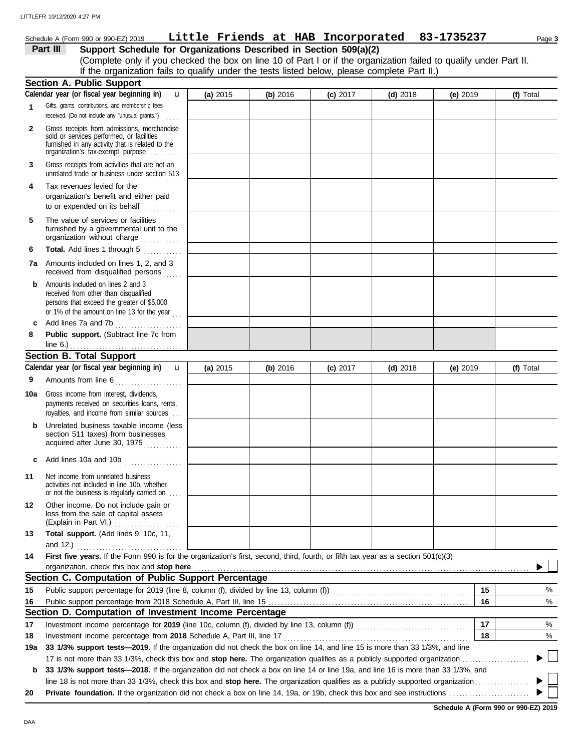# Schedule A (Form 990 or 990-EZ) 2019 Page **3 Little Friends at HAB Incorporated 83-1735237**

**Part III** Support Schedule for Organizations Described in Section 509(a)(2)

(Complete only if you checked the box on line 10 of Part I or if the organization failed to qualify under Part II. If the organization fails to qualify under the tests listed below, please complete Part II.)

|     | <b>Section A. Public Support</b>                                                                                                                                                       |            |          |            |            |            |    |           |
|-----|----------------------------------------------------------------------------------------------------------------------------------------------------------------------------------------|------------|----------|------------|------------|------------|----|-----------|
|     | Calendar year (or fiscal year beginning in)<br>u                                                                                                                                       | (a) $2015$ | (b) 2016 | $(c)$ 2017 | (d) $2018$ | (e) $2019$ |    | (f) Total |
| 1   | Gifts, grants, contributions, and membership fees<br>received. (Do not include any "unusual grants.")                                                                                  |            |          |            |            |            |    |           |
| 2   | Gross receipts from admissions, merchandise<br>sold or services performed, or facilities<br>furnished in any activity that is related to the<br>organization's tax-exempt purpose      |            |          |            |            |            |    |           |
| 3   | Gross receipts from activities that are not an<br>unrelated trade or business under section 513                                                                                        |            |          |            |            |            |    |           |
| 4   | Tax revenues levied for the<br>organization's benefit and either paid<br>to or expended on its behalf<br>.                                                                             |            |          |            |            |            |    |           |
| 5   | The value of services or facilities<br>furnished by a governmental unit to the<br>organization without charge                                                                          |            |          |            |            |            |    |           |
| 6   | Total. Add lines 1 through 5<br>.                                                                                                                                                      |            |          |            |            |            |    |           |
| 7а  | Amounts included on lines 1, 2, and 3<br>received from disqualified persons<br>.                                                                                                       |            |          |            |            |            |    |           |
| b   | Amounts included on lines 2 and 3<br>received from other than disqualified<br>persons that exceed the greater of \$5,000<br>or 1% of the amount on line 13 for the year $\frac{1}{11}$ |            |          |            |            |            |    |           |
| c   | Add lines 7a and 7b<br>.                                                                                                                                                               |            |          |            |            |            |    |           |
| 8   | Public support. (Subtract line 7c from<br>line $6.$ )                                                                                                                                  |            |          |            |            |            |    |           |
|     | <b>Section B. Total Support</b>                                                                                                                                                        |            |          |            |            |            |    |           |
|     | Calendar year (or fiscal year beginning in)<br>$\mathbf{u}$                                                                                                                            | (a) 2015   | (b) 2016 | $(c)$ 2017 | (d) $2018$ | (e) 2019   |    | (f) Total |
| 9   | Amounts from line 6<br>.                                                                                                                                                               |            |          |            |            |            |    |           |
| 10a | Gross income from interest, dividends,<br>payments received on securities loans, rents,<br>royalties, and income from similar sources                                                  |            |          |            |            |            |    |           |
| b   | Unrelated business taxable income (less<br>section 511 taxes) from businesses<br>acquired after June 30, 1975                                                                          |            |          |            |            |            |    |           |
| C   | Add lines 10a and 10b                                                                                                                                                                  |            |          |            |            |            |    |           |
| 11  | Net income from unrelated business<br>activities not included in line 10b, whether<br>or not the business is regularly carried on                                                      |            |          |            |            |            |    |           |
| 12  | Other income. Do not include gain or<br>loss from the sale of capital assets<br>(Explain in Part VI.)                                                                                  |            |          |            |            |            |    |           |
| 13  | Total support. (Add lines 9, 10c, 11,<br>and 12.)                                                                                                                                      |            |          |            |            |            |    |           |
| 14  | First five years. If the Form 990 is for the organization's first, second, third, fourth, or fifth tax year as a section 501(c)(3)<br>organization, check this box and stop here       |            |          |            |            |            |    |           |
|     | Section C. Computation of Public Support Percentage                                                                                                                                    |            |          |            |            |            |    |           |
| 15  |                                                                                                                                                                                        |            |          |            |            |            | 15 | %         |
| 16  |                                                                                                                                                                                        |            |          |            |            |            | 16 | %         |
|     | Section D. Computation of Investment Income Percentage                                                                                                                                 |            |          |            |            |            |    |           |
| 17  | Investment income percentage for 2019 (line 10c, column (f), divided by line 13, column (f)) [[[[[[[[[[[[[[[[                                                                          |            |          |            |            |            | 17 | %         |
| 18  | Investment income percentage from 2018 Schedule A, Part III, line 17                                                                                                                   |            |          |            |            |            | 18 | %         |
| 19a | 33 1/3% support tests-2019. If the organization did not check the box on line 14, and line 15 is more than 33 1/3%, and line                                                           |            |          |            |            |            |    |           |
|     |                                                                                                                                                                                        |            |          |            |            |            |    |           |
| b   | 33 1/3% support tests-2018. If the organization did not check a box on line 14 or line 19a, and line 16 is more than 33 1/3%, and                                                      |            |          |            |            |            |    |           |
|     |                                                                                                                                                                                        |            |          |            |            |            |    |           |
| 20  |                                                                                                                                                                                        |            |          |            |            |            |    |           |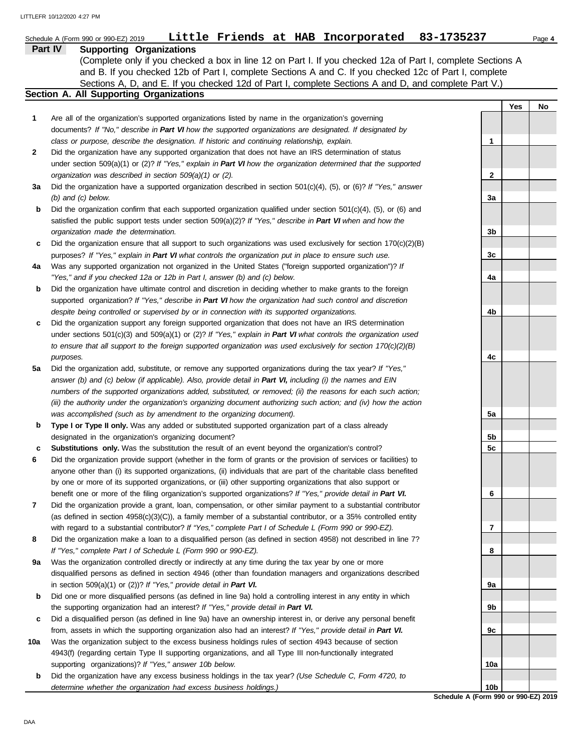|     | Little Friends at HAB Incorporated 83-1735237<br>Schedule A (Form 990 or 990-EZ) 2019                                    |                 |     | Page 4 |
|-----|--------------------------------------------------------------------------------------------------------------------------|-----------------|-----|--------|
|     | Part IV<br><b>Supporting Organizations</b>                                                                               |                 |     |        |
|     | (Complete only if you checked a box in line 12 on Part I. If you checked 12a of Part I, complete Sections A              |                 |     |        |
|     | and B. If you checked 12b of Part I, complete Sections A and C. If you checked 12c of Part I, complete                   |                 |     |        |
|     | Sections A, D, and E. If you checked 12d of Part I, complete Sections A and D, and complete Part V.)                     |                 |     |        |
|     | Section A. All Supporting Organizations                                                                                  |                 |     |        |
|     |                                                                                                                          |                 | Yes | No     |
| 1   | Are all of the organization's supported organizations listed by name in the organization's governing                     |                 |     |        |
|     | documents? If "No," describe in Part VI how the supported organizations are designated. If designated by                 |                 |     |        |
|     | class or purpose, describe the designation. If historic and continuing relationship, explain.                            | 1               |     |        |
| 2   | Did the organization have any supported organization that does not have an IRS determination of status                   |                 |     |        |
|     | under section 509(a)(1) or (2)? If "Yes," explain in Part VI how the organization determined that the supported          |                 |     |        |
|     | organization was described in section 509(a)(1) or (2).                                                                  | 2               |     |        |
| За  | Did the organization have a supported organization described in section $501(c)(4)$ , (5), or (6)? If "Yes," answer      |                 |     |        |
|     | $(b)$ and $(c)$ below.                                                                                                   | 3a              |     |        |
| b   | Did the organization confirm that each supported organization qualified under section $501(c)(4)$ , $(5)$ , or $(6)$ and |                 |     |        |
|     | satisfied the public support tests under section 509(a)(2)? If "Yes," describe in Part VI when and how the               |                 |     |        |
|     | organization made the determination.                                                                                     | 3b              |     |        |
| c   | Did the organization ensure that all support to such organizations was used exclusively for section $170(c)(2)(B)$       |                 |     |        |
|     | purposes? If "Yes," explain in Part VI what controls the organization put in place to ensure such use.                   | 3c              |     |        |
| 4a  | Was any supported organization not organized in the United States ("foreign supported organization")? If                 |                 |     |        |
|     | "Yes," and if you checked 12a or 12b in Part I, answer (b) and (c) below.                                                | 4a              |     |        |
| b   | Did the organization have ultimate control and discretion in deciding whether to make grants to the foreign              |                 |     |        |
|     | supported organization? If "Yes," describe in Part VI how the organization had such control and discretion               |                 |     |        |
|     | despite being controlled or supervised by or in connection with its supported organizations.                             | 4b              |     |        |
| c   | Did the organization support any foreign supported organization that does not have an IRS determination                  |                 |     |        |
|     | under sections $501(c)(3)$ and $509(a)(1)$ or (2)? If "Yes," explain in Part VI what controls the organization used      |                 |     |        |
|     | to ensure that all support to the foreign supported organization was used exclusively for section $170(c)(2)(B)$         |                 |     |        |
|     | purposes.                                                                                                                | 4c              |     |        |
| 5a  | Did the organization add, substitute, or remove any supported organizations during the tax year? If "Yes,"               |                 |     |        |
|     | answer (b) and (c) below (if applicable). Also, provide detail in Part VI, including (i) the names and EIN               |                 |     |        |
|     | numbers of the supported organizations added, substituted, or removed; (ii) the reasons for each such action;            |                 |     |        |
|     | (iii) the authority under the organization's organizing document authorizing such action; and (iv) how the action        |                 |     |        |
|     | was accomplished (such as by amendment to the organizing document).                                                      | 5а              |     |        |
| b   | Type I or Type II only. Was any added or substituted supported organization part of a class already                      |                 |     |        |
|     | designated in the organization's organizing document?                                                                    | 5b              |     |        |
|     | <b>Substitutions only.</b> Was the substitution the result of an event bevond the organization's control?                | 5 <sub>c</sub>  |     |        |
| 6   | Did the organization provide support (whether in the form of grants or the provision of services or facilities) to       |                 |     |        |
|     | anyone other than (i) its supported organizations, (ii) individuals that are part of the charitable class benefited      |                 |     |        |
|     | by one or more of its supported organizations, or (iii) other supporting organizations that also support or              |                 |     |        |
|     | benefit one or more of the filing organization's supported organizations? If "Yes," provide detail in Part VI.           | 6               |     |        |
| 7   | Did the organization provide a grant, loan, compensation, or other similar payment to a substantial contributor          |                 |     |        |
|     | (as defined in section $4958(c)(3)(C)$ ), a family member of a substantial contributor, or a 35% controlled entity       |                 |     |        |
|     | with regard to a substantial contributor? If "Yes," complete Part I of Schedule L (Form 990 or 990-EZ).                  | 7               |     |        |
| 8   | Did the organization make a loan to a disqualified person (as defined in section 4958) not described in line 7?          |                 |     |        |
|     | If "Yes," complete Part I of Schedule L (Form 990 or 990-EZ).                                                            | 8               |     |        |
| 9а  | Was the organization controlled directly or indirectly at any time during the tax year by one or more                    |                 |     |        |
|     | disqualified persons as defined in section 4946 (other than foundation managers and organizations described              |                 |     |        |
|     | in section $509(a)(1)$ or $(2)$ ? If "Yes," provide detail in Part VI.                                                   | 9а              |     |        |
| b   | Did one or more disqualified persons (as defined in line 9a) hold a controlling interest in any entity in which          |                 |     |        |
|     | the supporting organization had an interest? If "Yes," provide detail in Part VI.                                        | 9b              |     |        |
| c   | Did a disqualified person (as defined in line 9a) have an ownership interest in, or derive any personal benefit          |                 |     |        |
|     | from, assets in which the supporting organization also had an interest? If "Yes," provide detail in Part VI.             | 9с              |     |        |
| 10a | Was the organization subject to the excess business holdings rules of section 4943 because of section                    |                 |     |        |
|     | 4943(f) (regarding certain Type II supporting organizations, and all Type III non-functionally integrated                |                 |     |        |
|     | supporting organizations)? If "Yes," answer 10b below.                                                                   | 10a             |     |        |
| b   | Did the organization have any excess business holdings in the tax year? (Use Schedule C, Form 4720, to                   |                 |     |        |
|     | determine whether the organization had excess business holdings.)                                                        | 10 <sub>b</sub> |     |        |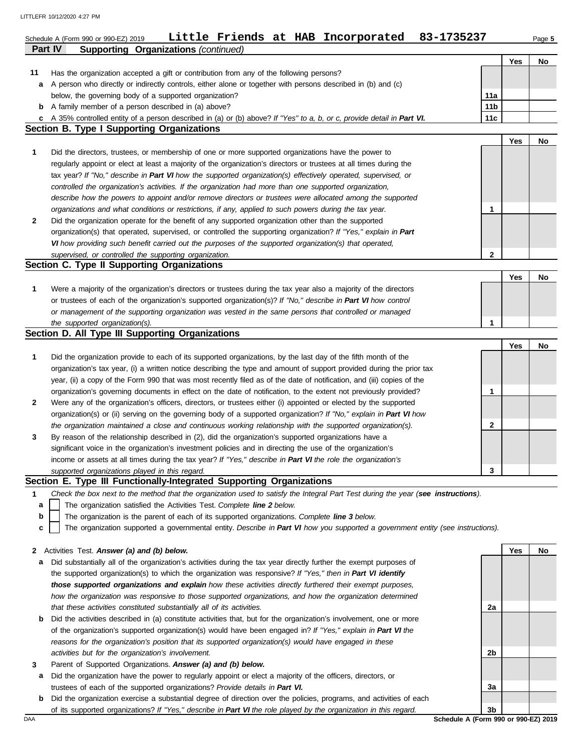LITTLEFR 10/12/2020 4:27 PM

|    | Little Friends at HAB Incorporated<br>83-1735237<br>Schedule A (Form 990 or 990-EZ) 2019                                          |                 |     | Page 5 |
|----|-----------------------------------------------------------------------------------------------------------------------------------|-----------------|-----|--------|
|    | <b>Supporting Organizations (continued)</b><br><b>Part IV</b>                                                                     |                 |     |        |
|    |                                                                                                                                   |                 | Yes | No     |
| 11 | Has the organization accepted a gift or contribution from any of the following persons?                                           |                 |     |        |
| а  | A person who directly or indirectly controls, either alone or together with persons described in (b) and (c)                      |                 |     |        |
|    | below, the governing body of a supported organization?                                                                            | 11a             |     |        |
| b  | A family member of a person described in (a) above?                                                                               | 11 <sub>b</sub> |     |        |
| c  | A 35% controlled entity of a person described in (a) or (b) above? If "Yes" to a, b, or c, provide detail in Part VI.             | 11c             |     |        |
|    | <b>Section B. Type I Supporting Organizations</b>                                                                                 |                 |     |        |
|    |                                                                                                                                   |                 | Yes | No     |
| 1  | Did the directors, trustees, or membership of one or more supported organizations have the power to                               |                 |     |        |
|    | regularly appoint or elect at least a majority of the organization's directors or trustees at all times during the                |                 |     |        |
|    | tax year? If "No," describe in Part VI how the supported organization(s) effectively operated, supervised, or                     |                 |     |        |
|    | controlled the organization's activities. If the organization had more than one supported organization,                           |                 |     |        |
|    | describe how the powers to appoint and/or remove directors or trustees were allocated among the supported                         |                 |     |        |
|    | organizations and what conditions or restrictions, if any, applied to such powers during the tax year.                            | 1               |     |        |
| 2  | Did the organization operate for the benefit of any supported organization other than the supported                               |                 |     |        |
|    | organization(s) that operated, supervised, or controlled the supporting organization? If "Yes," explain in Part                   |                 |     |        |
|    | VI how providing such benefit carried out the purposes of the supported organization(s) that operated,                            |                 |     |        |
|    | supervised, or controlled the supporting organization.                                                                            | $\mathbf{2}$    |     |        |
|    | Section C. Type II Supporting Organizations                                                                                       |                 |     |        |
|    |                                                                                                                                   |                 | Yes | No     |
| 1  | Were a majority of the organization's directors or trustees during the tax year also a majority of the directors                  |                 |     |        |
|    | or trustees of each of the organization's supported organization(s)? If "No," describe in Part VI how control                     |                 |     |        |
|    | or management of the supporting organization was vested in the same persons that controlled or managed                            |                 |     |        |
|    | the supported organization(s).                                                                                                    | 1               |     |        |
|    | Section D. All Type III Supporting Organizations                                                                                  |                 |     |        |
|    |                                                                                                                                   |                 | Yes | No     |
| 1  | Did the organization provide to each of its supported organizations, by the last day of the fifth month of the                    |                 |     |        |
|    | organization's tax year, (i) a written notice describing the type and amount of support provided during the prior tax             |                 |     |        |
|    | year, (ii) a copy of the Form 990 that was most recently filed as of the date of notification, and (iii) copies of the            |                 |     |        |
|    | organization's governing documents in effect on the date of notification, to the extent not previously provided?                  | 1               |     |        |
| 2  | Were any of the organization's officers, directors, or trustees either (i) appointed or elected by the supported                  |                 |     |        |
|    | organization(s) or (ii) serving on the governing body of a supported organization? If "No," explain in Part VI how                |                 |     |        |
|    | the organization maintained a close and continuous working relationship with the supported organization(s).                       | 2               |     |        |
|    | By reason of the relationship described in (2), did the organization's supported organizations have a                             |                 |     |        |
| 3  |                                                                                                                                   |                 |     |        |
|    | significant voice in the organization's investment policies and in directing the use of the organization's                        |                 |     |        |
|    | income or assets at all times during the tax year? If "Yes," describe in Part VI the role the organization's                      |                 |     |        |
|    | supported organizations played in this regard.<br>Section E. Type III Functionally-Integrated Supporting Organizations            | 3               |     |        |
|    |                                                                                                                                   |                 |     |        |
| 1  | Check the box next to the method that the organization used to satisfy the Integral Part Test during the year (see instructions). |                 |     |        |
| а  | The organization satisfied the Activities Test. Complete line 2 below.                                                            |                 |     |        |
| b  | The organization is the parent of each of its supported organizations. Complete line 3 below.                                     |                 |     |        |
| с  | The organization supported a governmental entity. Describe in Part VI how you supported a government entity (see instructions).   |                 |     |        |
|    |                                                                                                                                   |                 |     |        |
| 2  | Activities Test. Answer (a) and (b) below.                                                                                        |                 | Yes | No     |
| а  | Did substantially all of the organization's activities during the tax year directly further the exempt purposes of                |                 |     |        |
|    | the supported organization(s) to which the organization was responsive? If "Yes," then in Part VI identify                        |                 |     |        |
|    | those supported organizations and explain how these activities directly furthered their exempt purposes,                          |                 |     |        |
|    | how the organization was responsive to those supported organizations, and how the organization determined                         |                 |     |        |
|    | that these activities constituted substantially all of its activities.                                                            | 2a              |     |        |
| b  | Did the activities described in (a) constitute activities that, but for the organization's involvement, one or more               |                 |     |        |
|    | of the organization's supported organization(s) would have been engaged in? If "Yes," explain in Part VI the                      |                 |     |        |
|    | reasons for the organization's position that its supported organization(s) would have engaged in these                            |                 |     |        |
|    | activities but for the organization's involvement.                                                                                | 2b              |     |        |
| 3  | Parent of Supported Organizations. Answer (a) and (b) below.                                                                      |                 |     |        |
| а  | Did the organization have the power to regularly appoint or elect a majority of the officers, directors, or                       |                 |     |        |
|    | trustees of each of the supported organizations? Provide details in Part VI.                                                      | За              |     |        |

**b** Did the organization exercise a substantial degree of direction over the policies, programs, and activities of each of its supported organizations? *If "Yes," describe in Part VI the role played by the organization in this regard.*

DAA **Schedule A (Form 990 or 990-EZ) 2019 3b**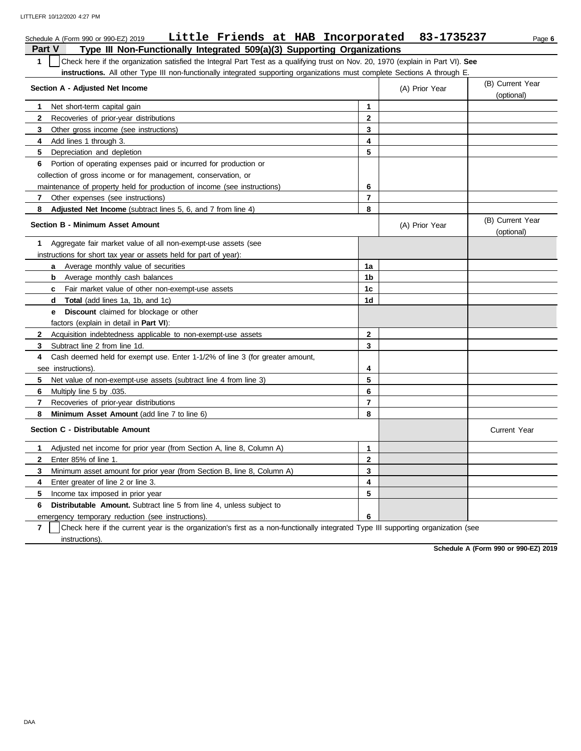|               | Little Friends at HAB Incorporated<br>Schedule A (Form 990 or 990-EZ) 2019                                                       |                | 83-1735237     | Page 6                         |  |  |  |  |
|---------------|----------------------------------------------------------------------------------------------------------------------------------|----------------|----------------|--------------------------------|--|--|--|--|
| <b>Part V</b> | Type III Non-Functionally Integrated 509(a)(3) Supporting Organizations                                                          |                |                |                                |  |  |  |  |
| 1             | Check here if the organization satisfied the Integral Part Test as a qualifying trust on Nov. 20, 1970 (explain in Part VI). See |                |                |                                |  |  |  |  |
|               | instructions. All other Type III non-functionally integrated supporting organizations must complete Sections A through E.        |                |                |                                |  |  |  |  |
|               | Section A - Adjusted Net Income                                                                                                  |                | (A) Prior Year | (B) Current Year<br>(optional) |  |  |  |  |
| 1             | Net short-term capital gain                                                                                                      | $\mathbf{1}$   |                |                                |  |  |  |  |
| $\mathbf{2}$  | Recoveries of prior-year distributions                                                                                           | $\mathbf{2}$   |                |                                |  |  |  |  |
| 3             | Other gross income (see instructions)                                                                                            | 3              |                |                                |  |  |  |  |
| 4             | Add lines 1 through 3.                                                                                                           | 4              |                |                                |  |  |  |  |
| 5             | Depreciation and depletion                                                                                                       | 5              |                |                                |  |  |  |  |
| 6             | Portion of operating expenses paid or incurred for production or                                                                 |                |                |                                |  |  |  |  |
|               | collection of gross income or for management, conservation, or                                                                   |                |                |                                |  |  |  |  |
|               | maintenance of property held for production of income (see instructions)                                                         | 6              |                |                                |  |  |  |  |
| 7             | Other expenses (see instructions)                                                                                                | $\overline{7}$ |                |                                |  |  |  |  |
| 8             | Adjusted Net Income (subtract lines 5, 6, and 7 from line 4)                                                                     | 8              |                |                                |  |  |  |  |
|               | <b>Section B - Minimum Asset Amount</b>                                                                                          |                | (A) Prior Year | (B) Current Year<br>(optional) |  |  |  |  |
| 1             | Aggregate fair market value of all non-exempt-use assets (see                                                                    |                |                |                                |  |  |  |  |
|               | instructions for short tax year or assets held for part of year):                                                                |                |                |                                |  |  |  |  |
|               | Average monthly value of securities<br>a                                                                                         | 1a             |                |                                |  |  |  |  |
|               | Average monthly cash balances<br>b                                                                                               | 1 <sub>b</sub> |                |                                |  |  |  |  |
|               | Fair market value of other non-exempt-use assets<br>$\mathbf{c}$                                                                 | 1 <sub>c</sub> |                |                                |  |  |  |  |
|               | Total (add lines 1a, 1b, and 1c)<br>d                                                                                            | 1d             |                |                                |  |  |  |  |
|               | <b>Discount</b> claimed for blockage or other<br>е                                                                               |                |                |                                |  |  |  |  |
|               | factors (explain in detail in Part VI):                                                                                          |                |                |                                |  |  |  |  |
| $\mathbf{2}$  | Acquisition indebtedness applicable to non-exempt-use assets                                                                     | $\mathbf{2}$   |                |                                |  |  |  |  |
| 3             | Subtract line 2 from line 1d.                                                                                                    | 3              |                |                                |  |  |  |  |
| 4             | Cash deemed held for exempt use. Enter 1-1/2% of line 3 (for greater amount,                                                     |                |                |                                |  |  |  |  |
|               | see instructions).                                                                                                               | 4              |                |                                |  |  |  |  |
| 5             | Net value of non-exempt-use assets (subtract line 4 from line 3)                                                                 | 5              |                |                                |  |  |  |  |
| 6             | Multiply line 5 by .035.                                                                                                         | 6              |                |                                |  |  |  |  |
| 7             | Recoveries of prior-year distributions                                                                                           | $\overline{7}$ |                |                                |  |  |  |  |
| 8             | Minimum Asset Amount (add line 7 to line 6)                                                                                      | 8              |                |                                |  |  |  |  |
|               | Section C - Distributable Amount                                                                                                 |                |                | <b>Current Year</b>            |  |  |  |  |
| 1             | Adjusted net income for prior year (from Section A, line 8, Column A)                                                            | $\mathbf{1}$   |                |                                |  |  |  |  |
| $\mathbf{2}$  | Enter 85% of line 1.                                                                                                             | $\mathbf{2}$   |                |                                |  |  |  |  |
| 3             | Minimum asset amount for prior year (from Section B, line 8, Column A)                                                           | 3              |                |                                |  |  |  |  |
| 4             | Enter greater of line 2 or line 3.                                                                                               | 4              |                |                                |  |  |  |  |
| 5             | Income tax imposed in prior year                                                                                                 | 5              |                |                                |  |  |  |  |
| 6             | <b>Distributable Amount.</b> Subtract line 5 from line 4, unless subject to                                                      |                |                |                                |  |  |  |  |
|               | emergency temporary reduction (see instructions).                                                                                | 6              |                |                                |  |  |  |  |

**7** instructions). Check here if the current year is the organization's first as a non-functionally integrated Type III supporting organization (see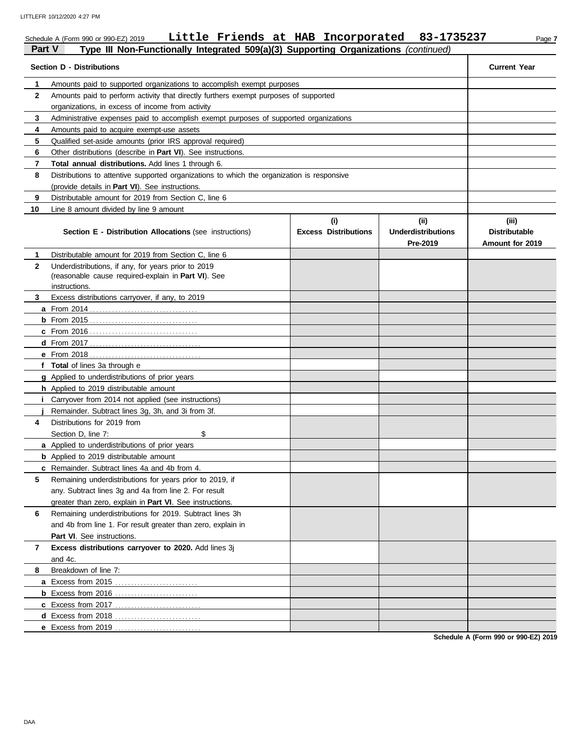|               | Little Friends at HAB Incorporated<br>Schedule A (Form 990 or 990-EZ) 2019                 |                             | 83-1735237                            | Page 7                                  |
|---------------|--------------------------------------------------------------------------------------------|-----------------------------|---------------------------------------|-----------------------------------------|
| <b>Part V</b> | Type III Non-Functionally Integrated 509(a)(3) Supporting Organizations (continued)        |                             |                                       |                                         |
|               | <b>Section D - Distributions</b>                                                           |                             |                                       | <b>Current Year</b>                     |
| 1             | Amounts paid to supported organizations to accomplish exempt purposes                      |                             |                                       |                                         |
| $\mathbf{2}$  | Amounts paid to perform activity that directly furthers exempt purposes of supported       |                             |                                       |                                         |
|               | organizations, in excess of income from activity                                           |                             |                                       |                                         |
| 3             | Administrative expenses paid to accomplish exempt purposes of supported organizations      |                             |                                       |                                         |
| 4             | Amounts paid to acquire exempt-use assets                                                  |                             |                                       |                                         |
| 5             | Qualified set-aside amounts (prior IRS approval required)                                  |                             |                                       |                                         |
| 6             | Other distributions (describe in Part VI). See instructions.                               |                             |                                       |                                         |
| 7             | Total annual distributions. Add lines 1 through 6.                                         |                             |                                       |                                         |
| 8             | Distributions to attentive supported organizations to which the organization is responsive |                             |                                       |                                         |
|               | (provide details in Part VI). See instructions.                                            |                             |                                       |                                         |
| 9             | Distributable amount for 2019 from Section C, line 6                                       |                             |                                       |                                         |
| 10            | Line 8 amount divided by line 9 amount                                                     |                             |                                       |                                         |
|               |                                                                                            | (i)                         | (ii)                                  | (iii)                                   |
|               | <b>Section E - Distribution Allocations (see instructions)</b>                             | <b>Excess Distributions</b> | <b>Underdistributions</b><br>Pre-2019 | <b>Distributable</b><br>Amount for 2019 |
| 1             | Distributable amount for 2019 from Section C, line 6                                       |                             |                                       |                                         |
| $\mathbf{2}$  | Underdistributions, if any, for years prior to 2019                                        |                             |                                       |                                         |
|               | (reasonable cause required-explain in Part VI). See                                        |                             |                                       |                                         |
|               | instructions.                                                                              |                             |                                       |                                         |
| 3             | Excess distributions carryover, if any, to 2019                                            |                             |                                       |                                         |
|               |                                                                                            |                             |                                       |                                         |
|               |                                                                                            |                             |                                       |                                         |
|               |                                                                                            |                             |                                       |                                         |
|               |                                                                                            |                             |                                       |                                         |
|               |                                                                                            |                             |                                       |                                         |
|               | f Total of lines 3a through e                                                              |                             |                                       |                                         |
|               | g Applied to underdistributions of prior years                                             |                             |                                       |                                         |
|               | h Applied to 2019 distributable amount                                                     |                             |                                       |                                         |
|               | Carryover from 2014 not applied (see instructions)                                         |                             |                                       |                                         |
|               | Remainder. Subtract lines 3q, 3h, and 3i from 3f.                                          |                             |                                       |                                         |
| 4             | Distributions for 2019 from                                                                |                             |                                       |                                         |
|               | Section D, line 7:<br>\$                                                                   |                             |                                       |                                         |
|               | a Applied to underdistributions of prior years                                             |                             |                                       |                                         |
|               | <b>b</b> Applied to 2019 distributable amount                                              |                             |                                       |                                         |
|               | c Remainder. Subtract lines 4a and 4b from 4.                                              |                             |                                       |                                         |
| 5             | Remaining underdistributions for years prior to 2019, if                                   |                             |                                       |                                         |
|               | any. Subtract lines 3g and 4a from line 2. For result                                      |                             |                                       |                                         |
|               | greater than zero, explain in Part VI. See instructions.                                   |                             |                                       |                                         |
| 6             | Remaining underdistributions for 2019. Subtract lines 3h                                   |                             |                                       |                                         |
|               | and 4b from line 1. For result greater than zero, explain in                               |                             |                                       |                                         |
|               | Part VI. See instructions.                                                                 |                             |                                       |                                         |
| 7             | Excess distributions carryover to 2020. Add lines 3j                                       |                             |                                       |                                         |
|               | and 4c.                                                                                    |                             |                                       |                                         |
| 8             | Breakdown of line 7:                                                                       |                             |                                       |                                         |
|               |                                                                                            |                             |                                       |                                         |
|               |                                                                                            |                             |                                       |                                         |
|               |                                                                                            |                             |                                       |                                         |
|               |                                                                                            |                             |                                       |                                         |
|               | e Excess from 2019                                                                         |                             |                                       |                                         |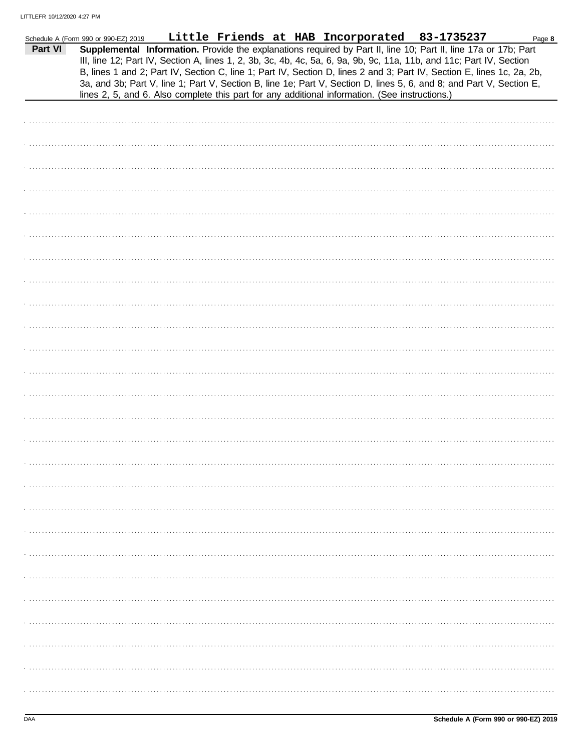|         | Schedule A (Form 990 or 990-EZ) 2019 |  |                                                                                                | <u>Little Friends at HAB Incorporated 83-1735237</u>                                                                                                                                                                                                                                                                                                                                                                                                                                      | Page 8 |
|---------|--------------------------------------|--|------------------------------------------------------------------------------------------------|-------------------------------------------------------------------------------------------------------------------------------------------------------------------------------------------------------------------------------------------------------------------------------------------------------------------------------------------------------------------------------------------------------------------------------------------------------------------------------------------|--------|
| Part VI |                                      |  |                                                                                                | Supplemental Information. Provide the explanations required by Part II, line 10; Part II, line 17a or 17b; Part<br>III, line 12; Part IV, Section A, lines 1, 2, 3b, 3c, 4b, 4c, 5a, 6, 9a, 9b, 9c, 11a, 11b, and 11c; Part IV, Section<br>B, lines 1 and 2; Part IV, Section C, line 1; Part IV, Section D, lines 2 and 3; Part IV, Section E, lines 1c, 2a, 2b,<br>3a, and 3b; Part V, line 1; Part V, Section B, line 1e; Part V, Section D, lines 5, 6, and 8; and Part V, Section E, |        |
|         |                                      |  | lines 2, 5, and 6. Also complete this part for any additional information. (See instructions.) |                                                                                                                                                                                                                                                                                                                                                                                                                                                                                           |        |
|         |                                      |  |                                                                                                |                                                                                                                                                                                                                                                                                                                                                                                                                                                                                           |        |
|         |                                      |  |                                                                                                |                                                                                                                                                                                                                                                                                                                                                                                                                                                                                           |        |
|         |                                      |  |                                                                                                |                                                                                                                                                                                                                                                                                                                                                                                                                                                                                           |        |
|         |                                      |  |                                                                                                |                                                                                                                                                                                                                                                                                                                                                                                                                                                                                           |        |
|         |                                      |  |                                                                                                |                                                                                                                                                                                                                                                                                                                                                                                                                                                                                           |        |
|         |                                      |  |                                                                                                |                                                                                                                                                                                                                                                                                                                                                                                                                                                                                           |        |
|         |                                      |  |                                                                                                |                                                                                                                                                                                                                                                                                                                                                                                                                                                                                           |        |
|         |                                      |  |                                                                                                |                                                                                                                                                                                                                                                                                                                                                                                                                                                                                           |        |
|         |                                      |  |                                                                                                |                                                                                                                                                                                                                                                                                                                                                                                                                                                                                           |        |
|         |                                      |  |                                                                                                |                                                                                                                                                                                                                                                                                                                                                                                                                                                                                           |        |
|         |                                      |  |                                                                                                |                                                                                                                                                                                                                                                                                                                                                                                                                                                                                           |        |
|         |                                      |  |                                                                                                |                                                                                                                                                                                                                                                                                                                                                                                                                                                                                           |        |
|         |                                      |  |                                                                                                |                                                                                                                                                                                                                                                                                                                                                                                                                                                                                           |        |
|         |                                      |  |                                                                                                |                                                                                                                                                                                                                                                                                                                                                                                                                                                                                           |        |
|         |                                      |  |                                                                                                |                                                                                                                                                                                                                                                                                                                                                                                                                                                                                           |        |
|         |                                      |  |                                                                                                |                                                                                                                                                                                                                                                                                                                                                                                                                                                                                           |        |
|         |                                      |  |                                                                                                |                                                                                                                                                                                                                                                                                                                                                                                                                                                                                           |        |
|         |                                      |  |                                                                                                |                                                                                                                                                                                                                                                                                                                                                                                                                                                                                           |        |
|         |                                      |  |                                                                                                |                                                                                                                                                                                                                                                                                                                                                                                                                                                                                           |        |
|         |                                      |  |                                                                                                |                                                                                                                                                                                                                                                                                                                                                                                                                                                                                           |        |
|         |                                      |  |                                                                                                |                                                                                                                                                                                                                                                                                                                                                                                                                                                                                           |        |
|         |                                      |  |                                                                                                |                                                                                                                                                                                                                                                                                                                                                                                                                                                                                           |        |
|         |                                      |  |                                                                                                |                                                                                                                                                                                                                                                                                                                                                                                                                                                                                           |        |
|         |                                      |  |                                                                                                |                                                                                                                                                                                                                                                                                                                                                                                                                                                                                           |        |
|         |                                      |  |                                                                                                |                                                                                                                                                                                                                                                                                                                                                                                                                                                                                           |        |
|         |                                      |  |                                                                                                |                                                                                                                                                                                                                                                                                                                                                                                                                                                                                           |        |
|         |                                      |  |                                                                                                |                                                                                                                                                                                                                                                                                                                                                                                                                                                                                           |        |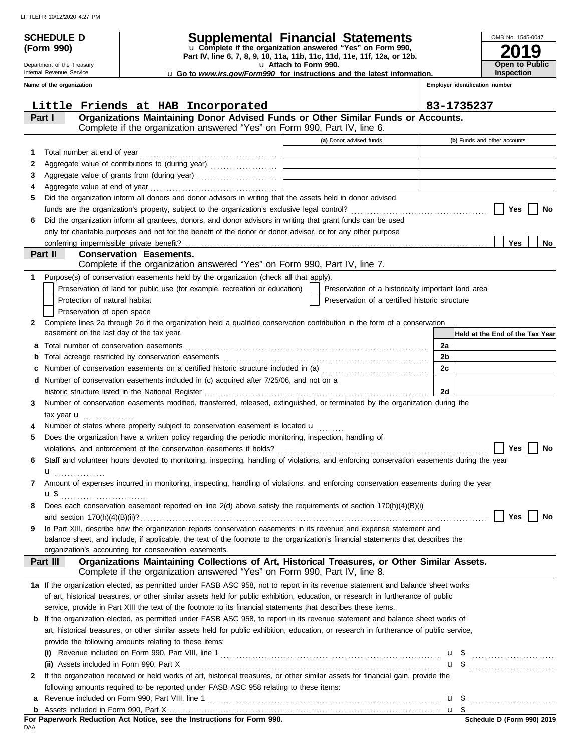Department of the Treasury Internal Revenue Service **Name of the organization**

**(Form 990)**

# **SCHEDULE D Supplemental Financial Statements**

**Part IV, line 6, 7, 8, 9, 10, 11a, 11b, 11c, 11d, 11e, 11f, 12a, or 12b.** u **Complete if the organization answered "Yes" on Form 990,**

u **Attach to Form 990.** 

u **Go to** *www.irs.gov/Form990* **for instructions and the latest information.**

**Employer identification number Inspection**

**2019**

**Open to Public**

OMB No. 1545-0047

|    | Little Friends at HAB Incorporated                                                                                                          |                                                    | 83-1735237                      |
|----|---------------------------------------------------------------------------------------------------------------------------------------------|----------------------------------------------------|---------------------------------|
|    | Organizations Maintaining Donor Advised Funds or Other Similar Funds or Accounts.<br>Part I                                                 |                                                    |                                 |
|    | Complete if the organization answered "Yes" on Form 990, Part IV, line 6.                                                                   |                                                    |                                 |
|    |                                                                                                                                             | (a) Donor advised funds                            | (b) Funds and other accounts    |
| 1  | Total number at end of year                                                                                                                 |                                                    |                                 |
| 2  |                                                                                                                                             |                                                    |                                 |
| З  |                                                                                                                                             |                                                    |                                 |
| 4  |                                                                                                                                             |                                                    |                                 |
| 5  | Did the organization inform all donors and donor advisors in writing that the assets held in donor advised                                  |                                                    |                                 |
|    |                                                                                                                                             |                                                    | Yes<br>No                       |
| 6  | Did the organization inform all grantees, donors, and donor advisors in writing that grant funds can be used                                |                                                    |                                 |
|    | only for charitable purposes and not for the benefit of the donor or donor advisor, or for any other purpose                                |                                                    |                                 |
|    | Part II<br><b>Conservation Easements.</b>                                                                                                   |                                                    | <b>Yes</b><br>No                |
|    | Complete if the organization answered "Yes" on Form 990, Part IV, line 7.                                                                   |                                                    |                                 |
| 1. | Purpose(s) of conservation easements held by the organization (check all that apply).                                                       |                                                    |                                 |
|    | Preservation of land for public use (for example, recreation or education)                                                                  | Preservation of a historically important land area |                                 |
|    | Protection of natural habitat                                                                                                               | Preservation of a certified historic structure     |                                 |
|    | Preservation of open space                                                                                                                  |                                                    |                                 |
| 2  | Complete lines 2a through 2d if the organization held a qualified conservation contribution in the form of a conservation                   |                                                    |                                 |
|    | easement on the last day of the tax year.                                                                                                   |                                                    | Held at the End of the Tax Year |
| а  | Total number of conservation easements                                                                                                      |                                                    | 2a                              |
|    |                                                                                                                                             |                                                    | 2b                              |
|    | Number of conservation easements on a certified historic structure included in (a) [[[[[ [ [ ]]]                                            |                                                    | 2c                              |
| d  | Number of conservation easements included in (c) acquired after 7/25/06, and not on a                                                       |                                                    |                                 |
|    | historic structure listed in the National Register                                                                                          |                                                    | 2d                              |
| 3  | Number of conservation easements modified, transferred, released, extinguished, or terminated by the organization during the                |                                                    |                                 |
|    | tax year $\mathbf{u}$                                                                                                                       |                                                    |                                 |
|    | Number of states where property subject to conservation easement is located u                                                               |                                                    |                                 |
| 5  | Does the organization have a written policy regarding the periodic monitoring, inspection, handling of                                      |                                                    |                                 |
|    |                                                                                                                                             |                                                    | Yes<br>No                       |
| 6  | Staff and volunteer hours devoted to monitoring, inspecting, handling of violations, and enforcing conservation easements during the year   |                                                    |                                 |
|    | $\mathbf{u}$ is a serious set of $\mathbf{u}$                                                                                               |                                                    |                                 |
| 7  | Amount of expenses incurred in monitoring, inspecting, handling of violations, and enforcing conservation easements during the year<br>ս \$ |                                                    |                                 |
| 8  | Does each conservation easement reported on line 2(d) above satisfy the requirements of section 170(h)(4)(B)(i)                             |                                                    |                                 |
|    |                                                                                                                                             |                                                    |                                 |
| 9  | In Part XIII, describe how the organization reports conservation easements in its revenue and expense statement and                         |                                                    |                                 |
|    | balance sheet, and include, if applicable, the text of the footnote to the organization's financial statements that describes the           |                                                    |                                 |
|    | organization's accounting for conservation easements.                                                                                       |                                                    |                                 |
|    | Organizations Maintaining Collections of Art, Historical Treasures, or Other Similar Assets.<br>Part III                                    |                                                    |                                 |
|    | Complete if the organization answered "Yes" on Form 990, Part IV, line 8.                                                                   |                                                    |                                 |
|    | 1a If the organization elected, as permitted under FASB ASC 958, not to report in its revenue statement and balance sheet works             |                                                    |                                 |
|    | of art, historical treasures, or other similar assets held for public exhibition, education, or research in furtherance of public           |                                                    |                                 |
|    | service, provide in Part XIII the text of the footnote to its financial statements that describes these items.                              |                                                    |                                 |
|    | <b>b</b> If the organization elected, as permitted under FASB ASC 958, to report in its revenue statement and balance sheet works of        |                                                    |                                 |
|    | art, historical treasures, or other similar assets held for public exhibition, education, or research in furtherance of public service,     |                                                    |                                 |
|    | provide the following amounts relating to these items:                                                                                      |                                                    |                                 |
|    |                                                                                                                                             |                                                    | $\mathbf{u}$ \$                 |
|    | (ii) Assets included in Form 990, Part X                                                                                                    |                                                    | $u \$                           |
| 2  | If the organization received or held works of art, historical treasures, or other similar assets for financial gain, provide the            |                                                    |                                 |
|    | following amounts required to be reported under FASB ASC 958 relating to these items:                                                       |                                                    |                                 |
| а  |                                                                                                                                             |                                                    | u \$                            |
|    |                                                                                                                                             |                                                    |                                 |

DAA **For Paperwork Reduction Act Notice, see the Instructions for Form 990.**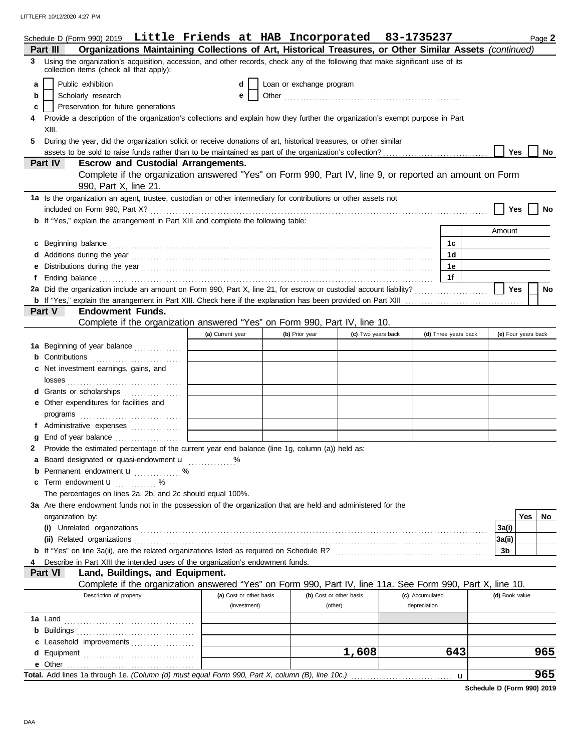LITTLEFR 10/12/2020 4:27 PM

|   | Schedule D (Form 990) 2019 Little Friends at HAB Incorporated 83-1735237                                                                                                                                                             |                         |  |                          |                    |                 |                      | Page 2              |  |
|---|--------------------------------------------------------------------------------------------------------------------------------------------------------------------------------------------------------------------------------------|-------------------------|--|--------------------------|--------------------|-----------------|----------------------|---------------------|--|
|   | Organizations Maintaining Collections of Art, Historical Treasures, or Other Similar Assets (continued)<br>Part III                                                                                                                  |                         |  |                          |                    |                 |                      |                     |  |
| 3 | Using the organization's acquisition, accession, and other records, check any of the following that make significant use of its<br>collection items (check all that apply):                                                          |                         |  |                          |                    |                 |                      |                     |  |
| a | Public exhibition                                                                                                                                                                                                                    | d                       |  | Loan or exchange program |                    |                 |                      |                     |  |
| b | Scholarly research                                                                                                                                                                                                                   | е                       |  |                          |                    |                 |                      |                     |  |
| c | Preservation for future generations                                                                                                                                                                                                  |                         |  |                          |                    |                 |                      |                     |  |
| 4 | Provide a description of the organization's collections and explain how they further the organization's exempt purpose in Part                                                                                                       |                         |  |                          |                    |                 |                      |                     |  |
|   | XIII.                                                                                                                                                                                                                                |                         |  |                          |                    |                 |                      |                     |  |
| 5 | During the year, did the organization solicit or receive donations of art, historical treasures, or other similar                                                                                                                    |                         |  |                          |                    |                 |                      |                     |  |
|   |                                                                                                                                                                                                                                      |                         |  |                          |                    |                 |                      | Yes<br>No           |  |
|   | <b>Escrow and Custodial Arrangements.</b><br><b>Part IV</b>                                                                                                                                                                          |                         |  |                          |                    |                 |                      |                     |  |
|   | Complete if the organization answered "Yes" on Form 990, Part IV, line 9, or reported an amount on Form                                                                                                                              |                         |  |                          |                    |                 |                      |                     |  |
|   | 990, Part X, line 21.                                                                                                                                                                                                                |                         |  |                          |                    |                 |                      |                     |  |
|   | 1a Is the organization an agent, trustee, custodian or other intermediary for contributions or other assets not                                                                                                                      |                         |  |                          |                    |                 |                      |                     |  |
|   |                                                                                                                                                                                                                                      |                         |  |                          |                    |                 |                      | Yes<br>No           |  |
|   | <b>b</b> If "Yes," explain the arrangement in Part XIII and complete the following table:                                                                                                                                            |                         |  |                          |                    |                 |                      |                     |  |
|   |                                                                                                                                                                                                                                      |                         |  |                          |                    |                 |                      | Amount              |  |
|   |                                                                                                                                                                                                                                      |                         |  |                          |                    |                 |                      |                     |  |
|   | c Beginning balance <b>contract to the contract of the set of the contract of the contract of the contract of the contract of the contract of the contract of the contract of the contract of the contract of the contract of th</b> |                         |  |                          |                    |                 | 1c                   |                     |  |
|   |                                                                                                                                                                                                                                      |                         |  |                          |                    |                 | 1d                   |                     |  |
|   |                                                                                                                                                                                                                                      |                         |  |                          |                    |                 | 1e                   |                     |  |
|   |                                                                                                                                                                                                                                      |                         |  |                          |                    |                 | 1f                   |                     |  |
|   |                                                                                                                                                                                                                                      |                         |  |                          |                    |                 |                      | Yes<br><b>No</b>    |  |
|   |                                                                                                                                                                                                                                      |                         |  |                          |                    |                 |                      |                     |  |
|   | Part V<br><b>Endowment Funds.</b>                                                                                                                                                                                                    |                         |  |                          |                    |                 |                      |                     |  |
|   | Complete if the organization answered "Yes" on Form 990, Part IV, line 10.                                                                                                                                                           |                         |  |                          |                    |                 |                      |                     |  |
|   |                                                                                                                                                                                                                                      | (a) Current year        |  | (b) Prior year           | (c) Two years back |                 | (d) Three years back | (e) Four years back |  |
|   | 1a Beginning of year balance                                                                                                                                                                                                         |                         |  |                          |                    |                 |                      |                     |  |
|   | <b>b</b> Contributions <b>contributions</b>                                                                                                                                                                                          |                         |  |                          |                    |                 |                      |                     |  |
|   | c Net investment earnings, gains, and                                                                                                                                                                                                |                         |  |                          |                    |                 |                      |                     |  |
|   |                                                                                                                                                                                                                                      |                         |  |                          |                    |                 |                      |                     |  |
|   | d Grants or scholarships                                                                                                                                                                                                             |                         |  |                          |                    |                 |                      |                     |  |
|   | e Other expenditures for facilities and                                                                                                                                                                                              |                         |  |                          |                    |                 |                      |                     |  |
|   | programs $\begin{array}{ccc}\n\hline\n\end{array}$                                                                                                                                                                                   |                         |  |                          |                    |                 |                      |                     |  |
|   | f Administrative expenses                                                                                                                                                                                                            |                         |  |                          |                    |                 |                      |                     |  |
|   |                                                                                                                                                                                                                                      |                         |  |                          |                    |                 |                      |                     |  |
|   | 2 Provide the estimated percentage of the current year end balance (line 1g, column (a)) held as:                                                                                                                                    |                         |  |                          |                    |                 |                      |                     |  |
|   | a Board designated or quasi-endowment u                                                                                                                                                                                              |                         |  |                          |                    |                 |                      |                     |  |
|   | <b>b</b> Permanent endowment <b>u</b> %                                                                                                                                                                                              |                         |  |                          |                    |                 |                      |                     |  |
|   | c Term endowment <b>u</b> %                                                                                                                                                                                                          |                         |  |                          |                    |                 |                      |                     |  |
|   | The percentages on lines 2a, 2b, and 2c should equal 100%.                                                                                                                                                                           |                         |  |                          |                    |                 |                      |                     |  |
|   | 3a Are there endowment funds not in the possession of the organization that are held and administered for the                                                                                                                        |                         |  |                          |                    |                 |                      |                     |  |
|   | organization by:                                                                                                                                                                                                                     |                         |  |                          |                    |                 |                      | Yes<br>No           |  |
|   |                                                                                                                                                                                                                                      |                         |  |                          |                    |                 |                      | 3a(i)               |  |
|   | (ii) Related organizations <b>constructs</b> or a construction of the construction of the construction of the construction of the construction of the construction of the construction of the construction of the construction of t  |                         |  |                          |                    |                 |                      | 3a(ii)              |  |
|   |                                                                                                                                                                                                                                      |                         |  |                          |                    |                 |                      | 3b                  |  |
|   | Describe in Part XIII the intended uses of the organization's endowment funds.                                                                                                                                                       |                         |  |                          |                    |                 |                      |                     |  |
|   | Land, Buildings, and Equipment.<br>Part VI                                                                                                                                                                                           |                         |  |                          |                    |                 |                      |                     |  |
|   | Complete if the organization answered "Yes" on Form 990, Part IV, line 11a. See Form 990, Part X, line 10.                                                                                                                           |                         |  |                          |                    |                 |                      |                     |  |
|   | Description of property                                                                                                                                                                                                              | (a) Cost or other basis |  | (b) Cost or other basis  |                    | (c) Accumulated |                      | (d) Book value      |  |
|   |                                                                                                                                                                                                                                      | (investment)            |  | (other)                  |                    | depreciation    |                      |                     |  |
|   |                                                                                                                                                                                                                                      |                         |  |                          |                    |                 |                      |                     |  |
|   |                                                                                                                                                                                                                                      |                         |  |                          |                    |                 |                      |                     |  |
|   |                                                                                                                                                                                                                                      |                         |  |                          |                    |                 |                      |                     |  |
|   | c Leasehold improvements                                                                                                                                                                                                             |                         |  |                          |                    |                 |                      | 965                 |  |
|   |                                                                                                                                                                                                                                      |                         |  |                          | 1,608              |                 | 643                  |                     |  |
|   |                                                                                                                                                                                                                                      |                         |  |                          |                    |                 |                      |                     |  |
|   | Total. Add lines 1a through 1e. (Column (d) must equal Form 990, Part X, column (B), line 10c.)                                                                                                                                      |                         |  |                          |                    |                 | u                    | 965                 |  |

**Schedule D (Form 990) 2019**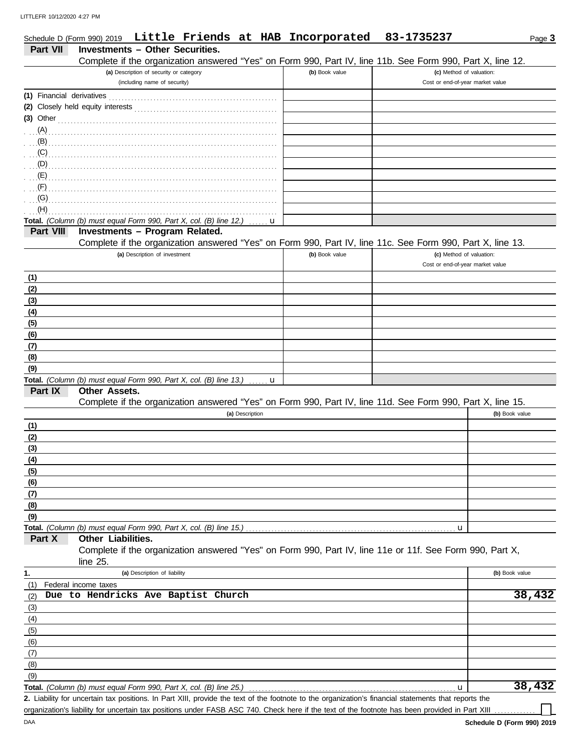|             | Schedule D (Form 990) 2019                                                                                   |                                         |                 | Little Friends at HAB Incorporated                                                                                                  | 83-1735237                                                                                                 | Page 3         |
|-------------|--------------------------------------------------------------------------------------------------------------|-----------------------------------------|-----------------|-------------------------------------------------------------------------------------------------------------------------------------|------------------------------------------------------------------------------------------------------------|----------------|
| Part VII    | <b>Investments - Other Securities.</b>                                                                       |                                         |                 |                                                                                                                                     |                                                                                                            |                |
|             |                                                                                                              |                                         |                 |                                                                                                                                     | Complete if the organization answered "Yes" on Form 990, Part IV, line 11b. See Form 990, Part X, line 12. |                |
|             |                                                                                                              | (a) Description of security or category |                 | (b) Book value                                                                                                                      | (c) Method of valuation:                                                                                   |                |
|             |                                                                                                              | (including name of security)            |                 |                                                                                                                                     | Cost or end-of-year market value                                                                           |                |
|             |                                                                                                              |                                         |                 |                                                                                                                                     |                                                                                                            |                |
|             |                                                                                                              |                                         |                 |                                                                                                                                     |                                                                                                            |                |
|             | (3) Other $\ldots$ $\ldots$ $\ldots$ $\ldots$ $\ldots$ $\ldots$ $\ldots$ $\ldots$ $\ldots$ $\ldots$ $\ldots$ |                                         |                 |                                                                                                                                     |                                                                                                            |                |
| (B)         |                                                                                                              |                                         |                 |                                                                                                                                     |                                                                                                            |                |
|             |                                                                                                              |                                         |                 |                                                                                                                                     |                                                                                                            |                |
|             |                                                                                                              |                                         |                 |                                                                                                                                     |                                                                                                            |                |
|             |                                                                                                              |                                         |                 |                                                                                                                                     |                                                                                                            |                |
| $\cdot$ (F) |                                                                                                              |                                         |                 |                                                                                                                                     |                                                                                                            |                |
| (G)         |                                                                                                              |                                         |                 |                                                                                                                                     |                                                                                                            |                |
| (H)         |                                                                                                              |                                         |                 |                                                                                                                                     |                                                                                                            |                |
|             | Total. (Column (b) must equal Form 990, Part X, col. (B) line 12.)                                           |                                         | . <b>u</b>      |                                                                                                                                     |                                                                                                            |                |
| Part VIII   | Investments - Program Related.                                                                               |                                         |                 |                                                                                                                                     |                                                                                                            |                |
|             |                                                                                                              |                                         |                 |                                                                                                                                     | Complete if the organization answered "Yes" on Form 990, Part IV, line 11c. See Form 990, Part X, line 13. |                |
|             |                                                                                                              | (a) Description of investment           |                 | (b) Book value                                                                                                                      | (c) Method of valuation:                                                                                   |                |
|             |                                                                                                              |                                         |                 |                                                                                                                                     | Cost or end-of-year market value                                                                           |                |
| (1)         |                                                                                                              |                                         |                 |                                                                                                                                     |                                                                                                            |                |
| (2)         |                                                                                                              |                                         |                 |                                                                                                                                     |                                                                                                            |                |
| (3)<br>(4)  |                                                                                                              |                                         |                 |                                                                                                                                     |                                                                                                            |                |
| (5)         |                                                                                                              |                                         |                 |                                                                                                                                     |                                                                                                            |                |
| (6)         |                                                                                                              |                                         |                 |                                                                                                                                     |                                                                                                            |                |
| (7)         |                                                                                                              |                                         |                 |                                                                                                                                     |                                                                                                            |                |
| (8)         |                                                                                                              |                                         |                 |                                                                                                                                     |                                                                                                            |                |
| (9)         |                                                                                                              |                                         |                 |                                                                                                                                     |                                                                                                            |                |
|             | Total. (Column (b) must equal Form 990, Part X, col. (B) line 13.) $\ldots$ <b>u</b>                         |                                         |                 |                                                                                                                                     |                                                                                                            |                |
| Part IX     | Other Assets.                                                                                                |                                         |                 |                                                                                                                                     |                                                                                                            |                |
|             |                                                                                                              |                                         |                 |                                                                                                                                     | Complete if the organization answered "Yes" on Form 990, Part IV, line 11d. See Form 990, Part X, line 15. |                |
|             |                                                                                                              |                                         | (a) Description |                                                                                                                                     |                                                                                                            | (b) Book value |
| (1)         |                                                                                                              |                                         |                 |                                                                                                                                     |                                                                                                            |                |
| (2)         |                                                                                                              |                                         |                 |                                                                                                                                     |                                                                                                            |                |
| (3)         |                                                                                                              |                                         |                 |                                                                                                                                     |                                                                                                            |                |
| (4)         |                                                                                                              |                                         |                 |                                                                                                                                     |                                                                                                            |                |
| (5)         |                                                                                                              |                                         |                 |                                                                                                                                     |                                                                                                            |                |
| (6)<br>(7)  |                                                                                                              |                                         |                 |                                                                                                                                     |                                                                                                            |                |
| (8)         |                                                                                                              |                                         |                 |                                                                                                                                     |                                                                                                            |                |
| (9)         |                                                                                                              |                                         |                 |                                                                                                                                     |                                                                                                            |                |
|             | Total. (Column (b) must equal Form 990, Part X, col. (B) line 15.)                                           |                                         |                 |                                                                                                                                     | u                                                                                                          |                |
| Part X      | Other Liabilities.                                                                                           |                                         |                 |                                                                                                                                     |                                                                                                            |                |
|             |                                                                                                              |                                         |                 |                                                                                                                                     | Complete if the organization answered "Yes" on Form 990, Part IV, line 11e or 11f. See Form 990, Part X,   |                |
|             | line $25$ .                                                                                                  |                                         |                 |                                                                                                                                     |                                                                                                            |                |
| 1.          |                                                                                                              | (a) Description of liability            |                 |                                                                                                                                     |                                                                                                            | (b) Book value |
| (1)         | Federal income taxes                                                                                         |                                         |                 |                                                                                                                                     |                                                                                                            |                |
| (2)         | Due to Hendricks Ave Baptist Church                                                                          |                                         |                 |                                                                                                                                     |                                                                                                            | 38,432         |
| (3)         |                                                                                                              |                                         |                 |                                                                                                                                     |                                                                                                            |                |
| (4)         |                                                                                                              |                                         |                 |                                                                                                                                     |                                                                                                            |                |
| (5)<br>(6)  |                                                                                                              |                                         |                 |                                                                                                                                     |                                                                                                            |                |
| (7)         |                                                                                                              |                                         |                 |                                                                                                                                     |                                                                                                            |                |
| (8)         |                                                                                                              |                                         |                 |                                                                                                                                     |                                                                                                            |                |
| (9)         |                                                                                                              |                                         |                 |                                                                                                                                     |                                                                                                            |                |
|             | Total. (Column (b) must equal Form 990, Part X, col. (B) line 25.)                                           |                                         |                 |                                                                                                                                     | u                                                                                                          | 38,432         |
|             |                                                                                                              |                                         |                 | 2. Lipbility for uncortain tax positions. In Part YIII, provide the toyt of the footpote to the errorization's financial statements |                                                                                                            |                |

Liability for uncertain tax positions. In Part XIII, provide the text of the footnote to the organization's financial statements that reports the **2.** organization's liability for uncertain tax positions under FASB ASC 740. Check here if the text of the footnote has been provided in Part XIII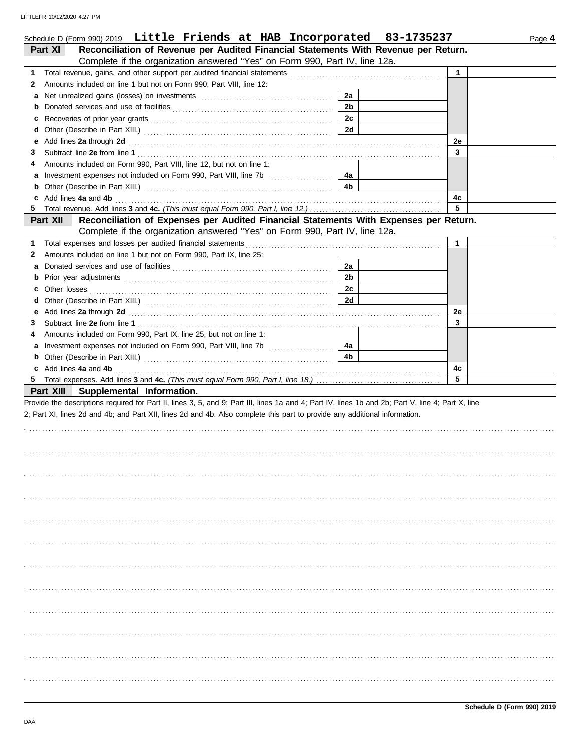| н |
|---|

|    | Schedule D (Form 990) 2019 Little Friends at HAB Incorporated 83-1735237                                                                                                                                                                 |                      |              | Page 4 |
|----|------------------------------------------------------------------------------------------------------------------------------------------------------------------------------------------------------------------------------------------|----------------------|--------------|--------|
|    | Reconciliation of Revenue per Audited Financial Statements With Revenue per Return.<br>Part XI                                                                                                                                           |                      |              |        |
|    | Complete if the organization answered "Yes" on Form 990, Part IV, line 12a.                                                                                                                                                              |                      |              |        |
| 1  |                                                                                                                                                                                                                                          |                      | 1            |        |
| 2  | Amounts included on line 1 but not on Form 990, Part VIII, line 12:                                                                                                                                                                      |                      |              |        |
| а  |                                                                                                                                                                                                                                          | 2a                   |              |        |
|    |                                                                                                                                                                                                                                          | 2 <sub>b</sub>       |              |        |
| c  |                                                                                                                                                                                                                                          | 2c                   |              |        |
| d  |                                                                                                                                                                                                                                          | 2d                   |              |        |
| е  | Add lines 2a through 2d [11] Additional Property and Property and Property and Property and Property and Property and Property and Property and Property and Property and Property and Property and Property and Property and            |                      | 2e           |        |
| З  |                                                                                                                                                                                                                                          |                      | 3            |        |
| 4  | Amounts included on Form 990, Part VIII, line 12, but not on line 1:                                                                                                                                                                     |                      |              |        |
| a  |                                                                                                                                                                                                                                          | 4а                   |              |        |
|    |                                                                                                                                                                                                                                          | 4b                   |              |        |
|    | c Add lines 4a and 4b                                                                                                                                                                                                                    |                      | 4с           |        |
| 5  |                                                                                                                                                                                                                                          |                      | 5            |        |
|    | Reconciliation of Expenses per Audited Financial Statements With Expenses per Return.<br><b>Part XII</b>                                                                                                                                 |                      |              |        |
|    | Complete if the organization answered "Yes" on Form 990, Part IV, line 12a.                                                                                                                                                              |                      |              |        |
| 1  | Total expenses and losses per audited financial statements                                                                                                                                                                               |                      | $\mathbf{1}$ |        |
| 2  | Amounts included on line 1 but not on Form 990, Part IX, line 25:                                                                                                                                                                        |                      |              |        |
|    |                                                                                                                                                                                                                                          |                      |              |        |
| а  |                                                                                                                                                                                                                                          | 2a<br>2 <sub>b</sub> |              |        |
|    |                                                                                                                                                                                                                                          |                      |              |        |
|    |                                                                                                                                                                                                                                          | 2c                   |              |        |
| d  |                                                                                                                                                                                                                                          | 2d                   |              |        |
| е  | Add lines 2a through 2d [11] Additional Property and Table 2014 10:00 PM and Table 2014 10:00 PM and Table 20                                                                                                                            |                      | 2e           |        |
| З  |                                                                                                                                                                                                                                          |                      | 3            |        |
| 4  | Amounts included on Form 990, Part IX, line 25, but not on line 1:                                                                                                                                                                       |                      |              |        |
| a  |                                                                                                                                                                                                                                          | 4а                   |              |        |
|    | <b>b</b> Other (Describe in Part XIII.) <b>CONSIDENT</b> 2014 12:20 12:20 12:20 12:20 12:20 12:20 12:20 12:20 12:20 12:20 12:20 12:20 12:20 12:20 12:20 12:20 12:20 12:20 12:20 12:20 12:20 12:20 12:20 12:20 12:20 12:20 12:20 12:20 12 | 4b                   |              |        |
|    | c Add lines 4a and 4b                                                                                                                                                                                                                    |                      | 4c           |        |
| 5. |                                                                                                                                                                                                                                          |                      | 5            |        |
|    | Part XIII Supplemental Information.                                                                                                                                                                                                      |                      |              |        |
|    | Provide the descriptions required for Part II, lines 3, 5, and 9; Part III, lines 1a and 4; Part IV, lines 1b and 2b; Part V, line 4; Part X, line                                                                                       |                      |              |        |
|    | 2; Part XI, lines 2d and 4b; and Part XII, lines 2d and 4b. Also complete this part to provide any additional information.                                                                                                               |                      |              |        |
|    |                                                                                                                                                                                                                                          |                      |              |        |
|    |                                                                                                                                                                                                                                          |                      |              |        |
|    |                                                                                                                                                                                                                                          |                      |              |        |
|    |                                                                                                                                                                                                                                          |                      |              |        |
|    |                                                                                                                                                                                                                                          |                      |              |        |
|    |                                                                                                                                                                                                                                          |                      |              |        |
|    |                                                                                                                                                                                                                                          |                      |              |        |
|    |                                                                                                                                                                                                                                          |                      |              |        |
|    |                                                                                                                                                                                                                                          |                      |              |        |
|    |                                                                                                                                                                                                                                          |                      |              |        |
|    |                                                                                                                                                                                                                                          |                      |              |        |
|    |                                                                                                                                                                                                                                          |                      |              |        |
|    |                                                                                                                                                                                                                                          |                      |              |        |
|    |                                                                                                                                                                                                                                          |                      |              |        |
|    |                                                                                                                                                                                                                                          |                      |              |        |
|    |                                                                                                                                                                                                                                          |                      |              |        |
|    |                                                                                                                                                                                                                                          |                      |              |        |
|    |                                                                                                                                                                                                                                          |                      |              |        |
|    |                                                                                                                                                                                                                                          |                      |              |        |
|    |                                                                                                                                                                                                                                          |                      |              |        |
|    |                                                                                                                                                                                                                                          |                      |              |        |
|    |                                                                                                                                                                                                                                          |                      |              |        |
|    |                                                                                                                                                                                                                                          |                      |              |        |
|    |                                                                                                                                                                                                                                          |                      |              |        |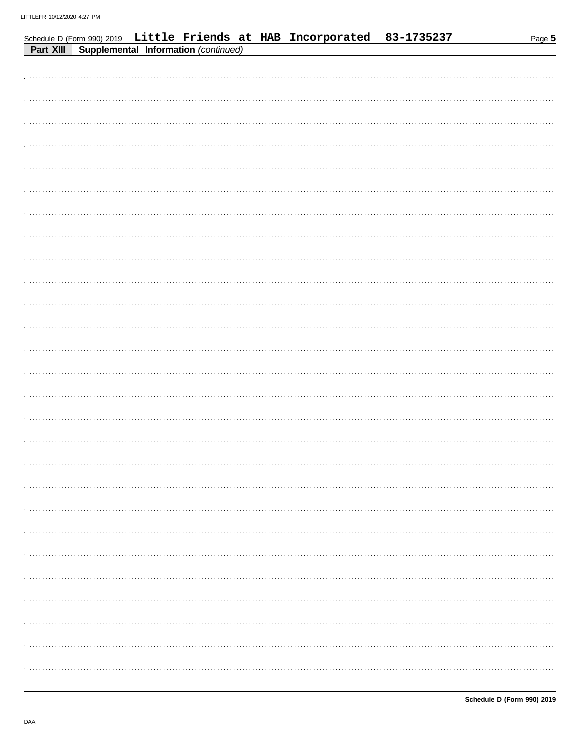|           |  |                                      | Schedule D (Form 990) 2019 Little Friends at HAB Incorporated | 83-1735237 | Page $5$ |
|-----------|--|--------------------------------------|---------------------------------------------------------------|------------|----------|
| Part XIII |  | Supplemental Information (continued) |                                                               |            |          |
|           |  |                                      |                                                               |            |          |
|           |  |                                      |                                                               |            |          |
|           |  |                                      |                                                               |            |          |
|           |  |                                      |                                                               |            |          |
|           |  |                                      |                                                               |            |          |
|           |  |                                      |                                                               |            |          |
|           |  |                                      |                                                               |            |          |
|           |  |                                      |                                                               |            |          |
|           |  |                                      |                                                               |            |          |
|           |  |                                      |                                                               |            |          |
|           |  |                                      |                                                               |            |          |
|           |  |                                      |                                                               |            |          |
|           |  |                                      |                                                               |            |          |
|           |  |                                      |                                                               |            |          |
|           |  |                                      |                                                               |            |          |
|           |  |                                      |                                                               |            |          |
|           |  |                                      |                                                               |            |          |
|           |  |                                      |                                                               |            |          |
|           |  |                                      |                                                               |            |          |
|           |  |                                      |                                                               |            |          |
|           |  |                                      |                                                               |            |          |
|           |  |                                      |                                                               |            |          |
|           |  |                                      |                                                               |            |          |
|           |  |                                      |                                                               |            |          |
|           |  |                                      |                                                               |            |          |
|           |  |                                      |                                                               |            |          |
|           |  |                                      |                                                               |            |          |
|           |  |                                      |                                                               |            |          |
|           |  |                                      |                                                               |            |          |
|           |  |                                      |                                                               |            |          |
|           |  |                                      |                                                               |            |          |
|           |  |                                      |                                                               |            |          |
|           |  |                                      |                                                               |            |          |
|           |  |                                      |                                                               |            |          |
|           |  |                                      |                                                               |            |          |
|           |  |                                      |                                                               |            |          |
|           |  |                                      |                                                               |            |          |
|           |  |                                      |                                                               |            |          |
|           |  |                                      |                                                               |            |          |
|           |  |                                      |                                                               |            |          |
|           |  |                                      |                                                               |            |          |
|           |  |                                      |                                                               |            |          |
|           |  |                                      |                                                               |            |          |
|           |  |                                      |                                                               |            |          |
|           |  |                                      |                                                               |            |          |
|           |  |                                      |                                                               |            |          |
|           |  |                                      |                                                               |            |          |
|           |  |                                      |                                                               |            |          |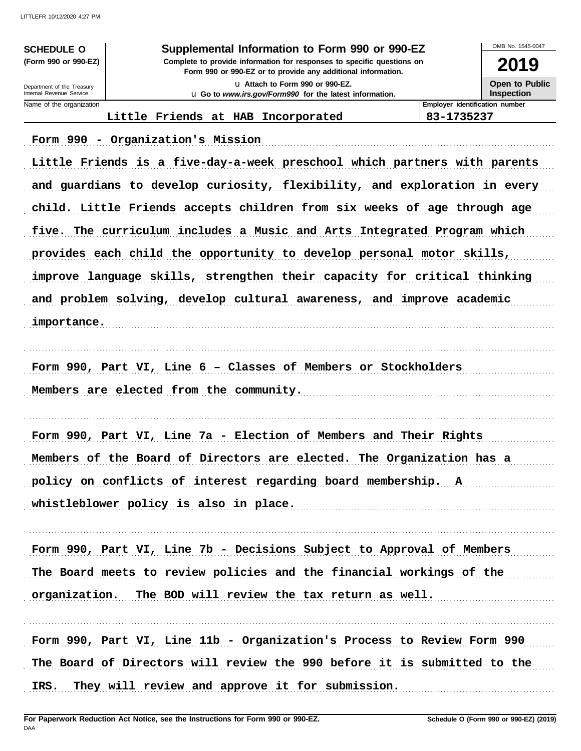**SCHEDULE O** (Form 990 or 990-EZ)

#### Supplemental Information to Form 990 or 990-EZ

Complete to provide information for responses to specific questions on Form 990 or 990-EZ or to provide any additional information. u Attach to Form 990 or 990-EZ.

u Go to www.irs.gov/Form990 for the latest information.

OMB No 1545-0047

2019 **Open to Public** 

Inspection

Department of the Treasury Internal Revenue Service Name of the organization

# Little Friends at HAB Incorporated

Employer identification number 83-1735237

Form 990 - Organization's Mission Little Friends is a five-day-a-week preschool which partners with parents and guardians to develop curiosity, flexibility, and exploration in every child. Little Friends accepts children from six weeks of age through age five. The curriculum includes a Music and Arts Integrated Program which provides each child the opportunity to develop personal motor skills, improve language skills, strengthen their capacity for critical thinking and problem solving, develop cultural awareness, and improve academic importance. Form 990, Part VI, Line 6 - Classes of Members or Stockholders Members are elected from the community. Form 990, Part VI, Line 7a – Election of Members and Their Rights Members of the Board of Directors are elected. The Organization has a policy on conflicts of interest regarding board membership. A whistleblower policy is also in place. Form 990, Part VI, Line 7b - Decisions Subject to Approval of Members The Board meets to review policies and the financial workings of the organization. The BOD will review the tax return as well. Form 990, Part VI, Line 11b - Organization's Process to Review Form 990 The Board of Directors will review the 990 before it is submitted to the

IRS. They will review and approve it for submission.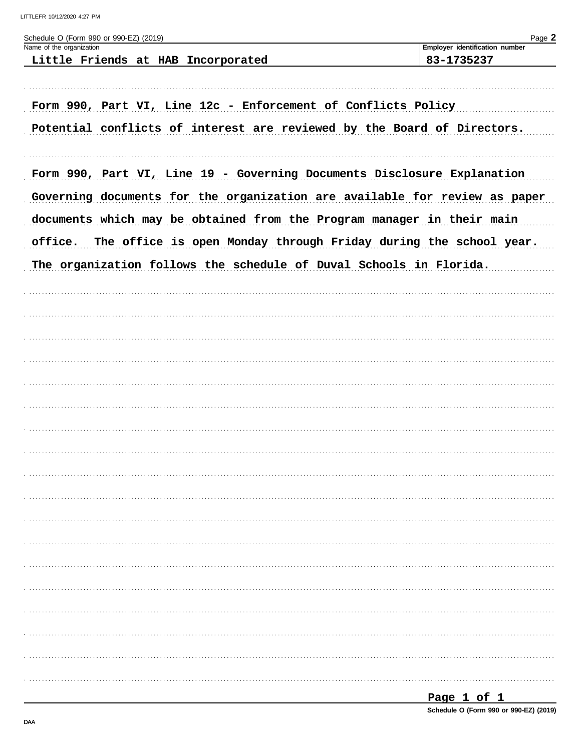| Schedule O (Form 990 or 990-EZ) (2019)<br>Name of the organization                                                                                      | Page 2<br>Employer identification number                         |
|---------------------------------------------------------------------------------------------------------------------------------------------------------|------------------------------------------------------------------|
| Little Friends at HAB Incorporated                                                                                                                      | 83-1735237                                                       |
| Form 990, Part VI, Line 12c - Enforcement of Conflicts Policy                                                                                           |                                                                  |
| Potential conflicts of interest are reviewed by the Board of Directors.                                                                                 |                                                                  |
| Form 990, Part VI, Line 19 - Governing Documents Disclosure Explanation                                                                                 |                                                                  |
| Governing documents for the organization are available for review as paper                                                                              |                                                                  |
|                                                                                                                                                         |                                                                  |
|                                                                                                                                                         |                                                                  |
|                                                                                                                                                         | The office is open Monday through Friday during the school year. |
|                                                                                                                                                         |                                                                  |
| documents which may be obtained from the Program manager in their main<br>office.<br>The organization follows the schedule of Duval Schools in Florida. |                                                                  |
|                                                                                                                                                         |                                                                  |
|                                                                                                                                                         |                                                                  |
|                                                                                                                                                         |                                                                  |
|                                                                                                                                                         |                                                                  |
|                                                                                                                                                         |                                                                  |
|                                                                                                                                                         |                                                                  |
|                                                                                                                                                         |                                                                  |
|                                                                                                                                                         |                                                                  |
|                                                                                                                                                         |                                                                  |
|                                                                                                                                                         |                                                                  |
|                                                                                                                                                         |                                                                  |
|                                                                                                                                                         |                                                                  |
|                                                                                                                                                         |                                                                  |

 $\sim$   $\sim$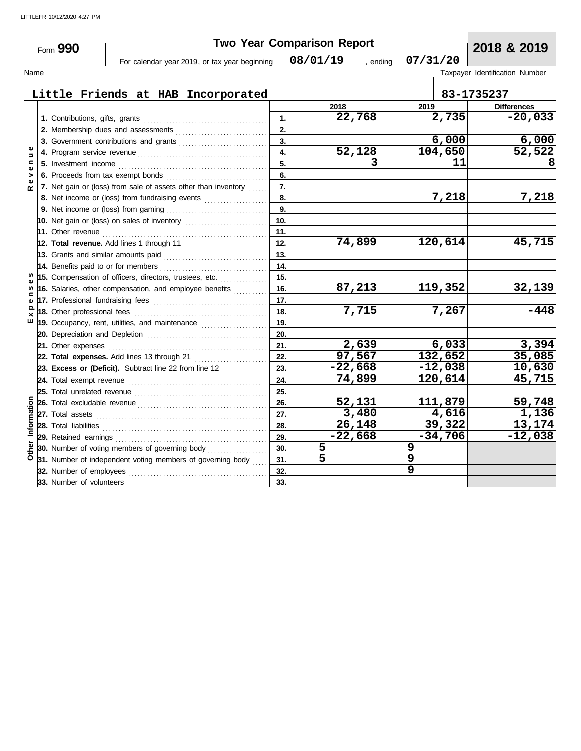|                                    |  | Form 990                 |                                                                                                                                                                                                                                      |     | <b>Two Year Comparison Report</b> |           | 2018 & 2019                    |
|------------------------------------|--|--------------------------|--------------------------------------------------------------------------------------------------------------------------------------------------------------------------------------------------------------------------------------|-----|-----------------------------------|-----------|--------------------------------|
|                                    |  |                          | For calendar year 2019, or tax year beginning                                                                                                                                                                                        |     | 08/01/19<br>, ending              | 07/31/20  |                                |
| Name                               |  |                          |                                                                                                                                                                                                                                      |     |                                   |           | Taxpayer Identification Number |
|                                    |  |                          |                                                                                                                                                                                                                                      |     |                                   |           |                                |
|                                    |  |                          | Little Friends at HAB Incorporated                                                                                                                                                                                                   |     |                                   |           | 83-1735237                     |
|                                    |  |                          |                                                                                                                                                                                                                                      |     | 2018                              | 2019      | <b>Differences</b>             |
|                                    |  |                          |                                                                                                                                                                                                                                      |     | 22,768                            | 2,735     | $-20,033$                      |
| $\Rightarrow$<br>$\mathbf{C}$<br>Φ |  |                          |                                                                                                                                                                                                                                      |     |                                   |           |                                |
|                                    |  |                          | 3. Government contributions and grants                                                                                                                                                                                               | 3.  |                                   | 6,000     | 6,000                          |
|                                    |  |                          |                                                                                                                                                                                                                                      | 4.  | 52,128                            | 104,650   | 52,522                         |
|                                    |  |                          |                                                                                                                                                                                                                                      | 5.  | 3                                 | 11        | 8                              |
| >                                  |  |                          |                                                                                                                                                                                                                                      | 6.  |                                   |           |                                |
| $\mathbf{Q}$<br>$\alpha$           |  |                          | 7. Net gain or (loss) from sale of assets other than inventory                                                                                                                                                                       | 7.  |                                   |           |                                |
|                                    |  |                          | 8. Net income or (loss) from fundraising events                                                                                                                                                                                      | 8.  |                                   | 7,218     | 7,218                          |
|                                    |  |                          |                                                                                                                                                                                                                                      | 9.  |                                   |           |                                |
|                                    |  |                          |                                                                                                                                                                                                                                      | 10. |                                   |           |                                |
|                                    |  |                          |                                                                                                                                                                                                                                      | 11. |                                   |           |                                |
|                                    |  |                          | 12. Total revenue. Add lines 1 through 11                                                                                                                                                                                            | 12. | 74,899                            | 120,614   | 45,715                         |
|                                    |  |                          |                                                                                                                                                                                                                                      | 13. |                                   |           |                                |
|                                    |  |                          | 14. Benefits paid to or for members                                                                                                                                                                                                  | 14. |                                   |           |                                |
|                                    |  |                          | 15. Compensation of officers, directors, trustees, etc.                                                                                                                                                                              | 15. |                                   |           |                                |
| S                                  |  |                          | 16. Salaries, other compensation, and employee benefits                                                                                                                                                                              | 16. | 87,213                            | 119,352   | 32,139                         |
| ⊆                                  |  |                          | 17. Professional fundraising fees                                                                                                                                                                                                    | 17. |                                   |           |                                |
| ≏<br>×                             |  |                          |                                                                                                                                                                                                                                      | 18. | 7,715                             | 7,267     | $-448$                         |
| ш                                  |  |                          |                                                                                                                                                                                                                                      | 19. |                                   |           |                                |
|                                    |  |                          |                                                                                                                                                                                                                                      | 20. |                                   |           |                                |
|                                    |  | 21. Other expenses       |                                                                                                                                                                                                                                      | 21. | 2,639                             | 6,033     | 3,394                          |
|                                    |  |                          | 22. Total expenses. Add lines 13 through 21                                                                                                                                                                                          | 22. | 97,567                            | 132,652   | 35,085                         |
|                                    |  |                          | 23. Excess or (Deficit). Subtract line 22 from line 12                                                                                                                                                                               | 23. | $-22,668$                         | $-12,038$ | 10,630                         |
|                                    |  |                          |                                                                                                                                                                                                                                      | 24. | 74,899                            | 120,614   | 45,715                         |
|                                    |  |                          |                                                                                                                                                                                                                                      | 25. |                                   |           |                                |
|                                    |  |                          |                                                                                                                                                                                                                                      | 26. | 52,131                            | 111,879   | 59,748                         |
|                                    |  |                          |                                                                                                                                                                                                                                      | 27. | 3,480                             | 4,616     | 1,136                          |
| Information                        |  |                          | 28. Total liabilities <b>constant in the set of the set of the set of the set of the set of the set of the set of the set of the set of the set of the set of the set of the set of the set of the set of the set of the set of </b> | 28. | 26,148                            | 39,322    | 13,174                         |
|                                    |  |                          |                                                                                                                                                                                                                                      | 29. | $-22,668$                         | $-34,706$ | $-12,038$                      |
| Other                              |  |                          | 30. Number of voting members of governing body                                                                                                                                                                                       | 30. | 5                                 | 9         |                                |
|                                    |  |                          | 31. Number of independent voting members of governing body                                                                                                                                                                           | 31. | 5                                 | 9         |                                |
|                                    |  |                          |                                                                                                                                                                                                                                      | 32. |                                   | 9         |                                |
|                                    |  | 33. Number of volunteers |                                                                                                                                                                                                                                      | 33. |                                   |           |                                |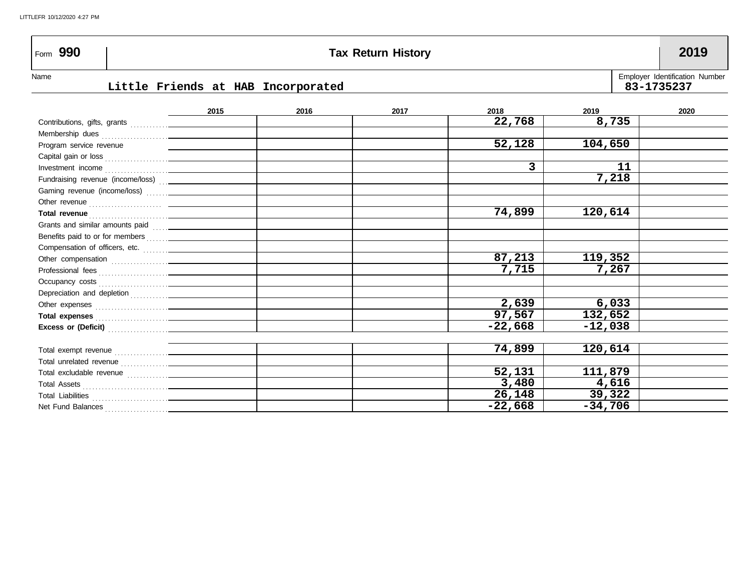| $\vert$ Form 990 | <b>Tax Return History</b>           | 2019                                        |
|------------------|-------------------------------------|---------------------------------------------|
| Name             | Tittle Boiseds of WAD Technological | Employer Identification Number<br>02.152527 |

#### **Little Friends at HAB Incorporated 83-1735237**

|                                                    | 2015 | 2016 | 2017 | 2018      | 2019      | 2020 |
|----------------------------------------------------|------|------|------|-----------|-----------|------|
|                                                    |      |      |      | 22,768    | 8,735     |      |
|                                                    |      |      |      |           |           |      |
| Program service revenue                            |      |      |      | 52,128    | 104,650   |      |
|                                                    |      |      |      |           |           |      |
|                                                    |      |      |      | 3         | 11        |      |
| Fundraising revenue (income/loss)  _______________ |      |      |      |           | 7,218     |      |
|                                                    |      |      |      |           |           |      |
|                                                    |      |      |      |           |           |      |
|                                                    |      |      |      | 74,899    | 120,614   |      |
|                                                    |      |      |      |           |           |      |
|                                                    |      |      |      |           |           |      |
|                                                    |      |      |      |           |           |      |
|                                                    |      |      |      | 87,213    | 119,352   |      |
|                                                    |      |      |      | 7,715     | 7,267     |      |
|                                                    |      |      |      |           |           |      |
|                                                    |      |      |      |           |           |      |
|                                                    |      |      |      | 2,639     | 6,033     |      |
| Total expenses <b>contract to the expenses</b>     |      |      |      | 97,567    | 132,652   |      |
| Excess or (Deficit) <b>Excess</b>                  |      |      |      | $-22,668$ | $-12,038$ |      |
|                                                    |      |      |      |           |           |      |
|                                                    |      |      |      | 74,899    | 120,614   |      |
|                                                    |      |      |      |           |           |      |
|                                                    |      |      |      | 52,131    | 111,879   |      |
|                                                    |      |      |      | 3,480     | 4,616     |      |
|                                                    |      |      |      | 26,148    | 39,322    |      |
|                                                    |      |      |      | $-22,668$ | $-34,706$ |      |